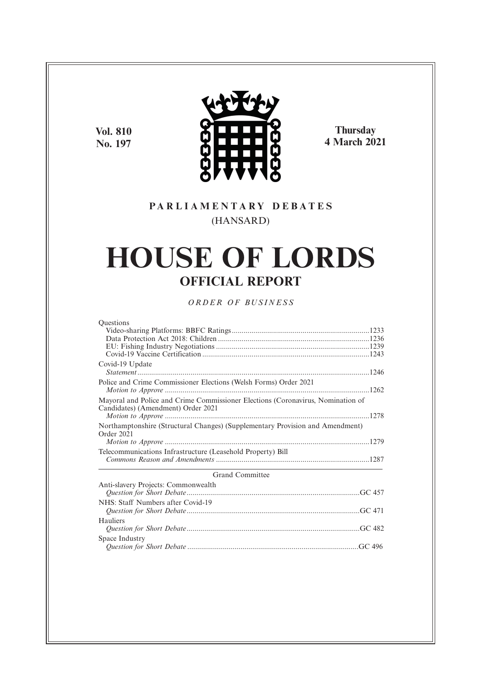**Vol. 810 No. 197**



**Thursday 4 March 2021**

### **P A R L I A M E N T A R Y D E B A T E S** (HANSARD)

# **HOUSE OF LORDS OFFICIAL REPORT**

*O R D E R O F BU S I N E S S*

| <b>Ouestions</b>                                                                                                      |
|-----------------------------------------------------------------------------------------------------------------------|
|                                                                                                                       |
|                                                                                                                       |
|                                                                                                                       |
|                                                                                                                       |
| Covid-19 Update                                                                                                       |
|                                                                                                                       |
| Police and Crime Commissioner Elections (Welsh Forms) Order 2021                                                      |
|                                                                                                                       |
| Mayoral and Police and Crime Commissioner Elections (Coronavirus, Nomination of<br>Candidates) (Amendment) Order 2021 |
|                                                                                                                       |
| Northamptonshire (Structural Changes) (Supplementary Provision and Amendment)<br>Order 2021                           |
|                                                                                                                       |
| Telecommunications Infrastructure (Leasehold Property) Bill                                                           |
|                                                                                                                       |
| <b>Grand Committee</b>                                                                                                |
| Anti-slavery Projects: Commonwealth                                                                                   |
|                                                                                                                       |
| NHS: Staff Numbers after Covid-19                                                                                     |
|                                                                                                                       |
| Hauliers                                                                                                              |
|                                                                                                                       |
| Space Industry                                                                                                        |
|                                                                                                                       |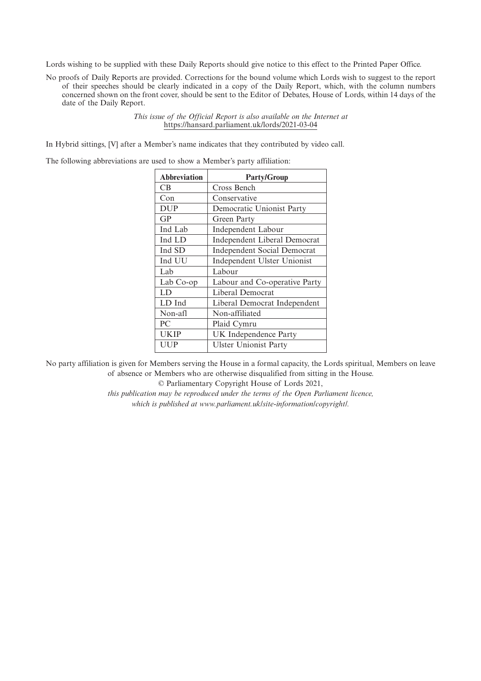Lords wishing to be supplied with these Daily Reports should give notice to this effect to the Printed Paper Office.

No proofs of Daily Reports are provided. Corrections for the bound volume which Lords wish to suggest to the report of their speeches should be clearly indicated in a copy of the Daily Report, which, with the column numbers concerned shown on the front cover, should be sent to the Editor of Debates, House of Lords, within 14 days of the date of the Daily Report.

> *This issue of the Official Report is also available on the Internet at* https://hansard.parliament.uk/lords/2021-03-04

In Hybrid sittings, [V] after a Member's name indicates that they contributed by video call.

The following abbreviations are used to show a Member's party affiliation:

| <b>Abbreviation</b> | <b>Party/Group</b>                 |
|---------------------|------------------------------------|
| <b>CB</b>           | Cross Bench                        |
| Con                 | Conservative                       |
| <b>DUP</b>          | Democratic Unionist Party          |
| GP                  | Green Party                        |
| Ind Lab             | Independent Labour                 |
| Ind LD              | Independent Liberal Democrat       |
| Ind SD              | <b>Independent Social Democrat</b> |
| Ind UU              | Independent Ulster Unionist        |
| Lab                 | Labour                             |
| Lab Co-op           | Labour and Co-operative Party      |
| LD                  | Liberal Democrat                   |
| LD Ind              | Liberal Democrat Independent       |
| Non-afl             | Non-affiliated                     |
| PC                  | Plaid Cymru                        |
| <b>UKIP</b>         | UK Independence Party              |
| UUP                 | <b>Ulster Unionist Party</b>       |

No party affiliation is given for Members serving the House in a formal capacity, the Lords spiritual, Members on leave of absence or Members who are otherwise disqualified from sitting in the House.

© Parliamentary Copyright House of Lords 2021,

*this publication may be reproduced under the terms of the Open Parliament licence, which is published at www.parliament.uk/site-information/copyright/.*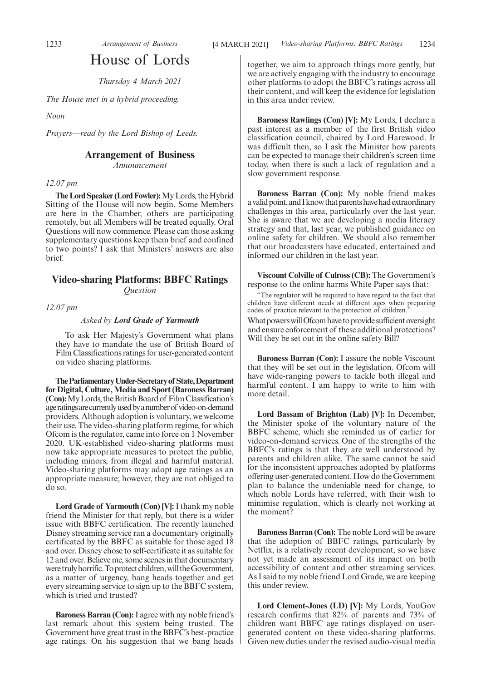## House of Lords

*Thursday 4 March 2021*

*The House met in a hybrid proceeding.*

*Noon*

*Prayers—read by the Lord Bishop of Leeds.*

### **Arrangement of Business**

*Announcement*

#### *12.07 pm*

**The Lord Speaker (Lord Fowler):**My Lords, the Hybrid Sitting of the House will now begin. Some Members are here in the Chamber, others are participating remotely, but all Members will be treated equally. Oral Questions will now commence. Please can those asking supplementary questions keep them brief and confined to two points? I ask that Ministers' answers are also brief.

#### **Video-sharing Platforms: BBFC Ratings** *Question*

*12.07 pm*

#### *Asked by Lord Grade of Yarmouth*

To ask Her Majesty's Government what plans they have to mandate the use of British Board of Film Classifications ratings for user-generated content on video sharing platforms.

**TheParliamentaryUnder-Secretaryof State,Department for Digital, Culture, Media and Sport (Baroness Barran) (Con):** My Lords, the British Board of Film Classification's ageratingsarecurrentlyusedbyanumberof video-on-demand providers. Although adoption is voluntary, we welcome their use. The video-sharing platform regime, for which Ofcom is the regulator, came into force on 1 November 2020. UK-established video-sharing platforms must now take appropriate measures to protect the public, including minors, from illegal and harmful material. Video-sharing platforms may adopt age ratings as an appropriate measure; however, they are not obliged to do so.

**Lord Grade of Yarmouth (Con) [V]:**I thank my noble friend the Minister for that reply, but there is a wider issue with BBFC certification. The recently launched Disney streaming service ran a documentary originally certificated by the BBFC as suitable for those aged 18 and over. Disney chose to self-certificate it as suitable for 12 and over. Believe me, some scenes in that documentary were truly horrific. To protect children, will the Government, as a matter of urgency, bang heads together and get every streaming service to sign up to the BBFC system, which is tried and trusted?

**Baroness Barran (Con):**I agree with my noble friend's last remark about this system being trusted. The Government have great trust in the BBFC's best-practice age ratings. On his suggestion that we bang heads together, we aim to approach things more gently, but we are actively engaging with the industry to encourage other platforms to adopt the BBFC's ratings across all their content, and will keep the evidence for legislation in this area under review.

**Baroness Rawlings (Con) [V]:** My Lords, I declare a past interest as a member of the first British video classification council, chaired by Lord Harewood. It was difficult then, so I ask the Minister how parents can be expected to manage their children's screen time today, when there is such a lack of regulation and a slow government response.

**Baroness Barran (Con):** My noble friend makes a valid point, and I know that parents have had extraordinary challenges in this area, particularly over the last year. She is aware that we are developing a media literacy strategy and that, last year, we published guidance on online safety for children. We should also remember that our broadcasters have educated, entertained and informed our children in the last year.

**Viscount Colville of Culross (CB):** The Government's response to the online harms White Paper says that:

"The regulator will be required to have regard to the fact that children have different needs at different ages when preparing codes of practice relevant to the protection of children." What powers will Ofcom have to provide sufficient oversight

and ensure enforcement of these additional protections? Will they be set out in the online safety Bill?

**Baroness Barran (Con):** I assure the noble Viscount that they will be set out in the legislation. Ofcom will have wide-ranging powers to tackle both illegal and harmful content. I am happy to write to him with more detail.

**Lord Bassam of Brighton (Lab) [V]:** In December, the Minister spoke of the voluntary nature of the BBFC scheme, which she reminded us of earlier for video-on-demand services. One of the strengths of the BBFC's ratings is that they are well understood by parents and children alike. The same cannot be said for the inconsistent approaches adopted by platforms offering user-generated content. How do the Government plan to balance the undeniable need for change, to which noble Lords have referred, with their wish to minimise regulation, which is clearly not working at the moment?

**Baroness Barran (Con):** The noble Lord will be aware that the adoption of BBFC ratings, particularly by Netflix, is a relatively recent development, so we have not yet made an assessment of its impact on both accessibility of content and other streaming services. As I said to my noble friend Lord Grade, we are keeping this under review.

**Lord Clement-Jones (LD) [V]:** My Lords, YouGov research confirms that 82% of parents and 73% of children want BBFC age ratings displayed on usergenerated content on these video-sharing platforms. Given new duties under the revised audio-visual media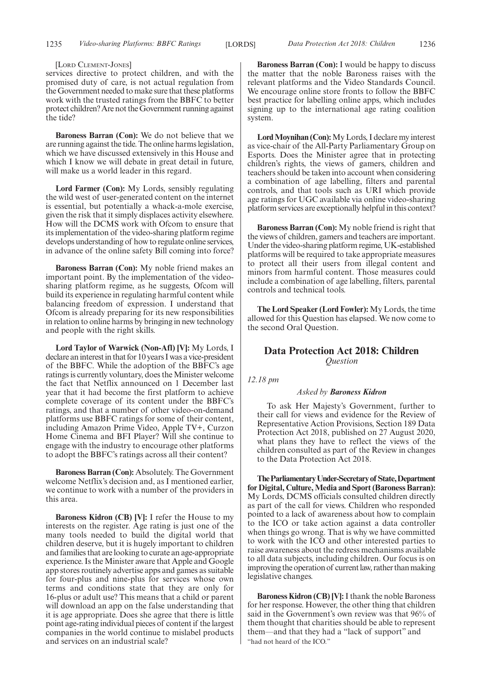#### [LORD CLEMENT-JONES]

services directive to protect children, and with the promised duty of care, is not actual regulation from the Government needed to make sure that these platforms work with the trusted ratings from the BBFC to better protect children? Are not the Government running against the tide?

**Baroness Barran (Con):** We do not believe that we are running against the tide. The online harms legislation, which we have discussed extensively in this House and which I know we will debate in great detail in future, will make us a world leader in this regard.

**Lord Farmer (Con):** My Lords, sensibly regulating the wild west of user-generated content on the internet is essential, but potentially a whack-a-mole exercise, given the risk that it simply displaces activity elsewhere. How will the DCMS work with Ofcom to ensure that its implementation of the video-sharing platform regime develops understanding of how to regulate online services, in advance of the online safety Bill coming into force?

**Baroness Barran (Con):** My noble friend makes an important point. By the implementation of the videosharing platform regime, as he suggests, Ofcom will build its experience in regulating harmful content while balancing freedom of expression. I understand that Ofcom is already preparing for its new responsibilities in relation to online harms by bringing in new technology and people with the right skills.

**Lord Taylor of Warwick (Non-Afl) [V]:** My Lords, I declare an interest in that for 10 years I was a vice-president of the BBFC. While the adoption of the BBFC's age ratings is currently voluntary, does the Minister welcome the fact that Netflix announced on 1 December last year that it had become the first platform to achieve complete coverage of its content under the BBFC's ratings, and that a number of other video-on-demand platforms use BBFC ratings for some of their content, including Amazon Prime Video, Apple TV+, Curzon Home Cinema and BFI Player? Will she continue to engage with the industry to encourage other platforms to adopt the BBFC's ratings across all their content?

**Baroness Barran (Con):** Absolutely. The Government welcome Netflix's decision and, as I mentioned earlier, we continue to work with a number of the providers in this area.

**Baroness Kidron (CB) [V]:** I refer the House to my interests on the register. Age rating is just one of the many tools needed to build the digital world that children deserve, but it is hugely important to children and families that are looking to curate an age-appropriate experience. Is the Minister aware that Apple and Google app stores routinely advertise apps and games as suitable for four-plus and nine-plus for services whose own terms and conditions state that they are only for 16-plus or adult use? This means that a child or parent will download an app on the false understanding that it is age appropriate. Does she agree that there is little point age-rating individual pieces of content if the largest companies in the world continue to mislabel products and services on an industrial scale?

**Baroness Barran (Con):** I would be happy to discuss the matter that the noble Baroness raises with the relevant platforms and the Video Standards Council. We encourage online store fronts to follow the BBFC best practice for labelling online apps, which includes signing up to the international age rating coalition system.

**Lord Moynihan (Con):**My Lords, I declare my interest as vice-chair of the All-Party Parliamentary Group on Esports. Does the Minister agree that in protecting children's rights, the views of gamers, children and teachers should be taken into account when considering a combination of age labelling, filters and parental controls, and that tools such as URI which provide age ratings for UGC available via online video-sharing platform services are exceptionally helpful in this context?

**Baroness Barran (Con):** My noble friend is right that the views of children, gamers and teachers are important. Under the video-sharing platform regime, UK-established platforms will be required to take appropriate measures to protect all their users from illegal content and minors from harmful content. Those measures could include a combination of age labelling, filters, parental controls and technical tools.

**The Lord Speaker (Lord Fowler):** My Lords, the time allowed for this Question has elapsed. We now come to the second Oral Question.

### **Data Protection Act 2018: Children** *Question*

*12.18 pm*

#### *Asked by Baroness Kidron*

To ask Her Majesty's Government, further to their call for views and evidence for the Review of Representative Action Provisions, Section 189 Data Protection Act 2018, published on 27 August 2020, what plans they have to reflect the views of the children consulted as part of the Review in changes to the Data Protection Act 2018.

**TheParliamentaryUnder-Secretaryof State,Department for Digital, Culture, Media and Sport (Baroness Barran):** My Lords, DCMS officials consulted children directly as part of the call for views. Children who responded pointed to a lack of awareness about how to complain to the ICO or take action against a data controller when things go wrong. That is why we have committed to work with the ICO and other interested parties to raise awareness about the redress mechanisms available to all data subjects, including children. Our focus is on improving the operation of current law, rather than making legislative changes.

**Baroness Kidron (CB) [V]:**I thank the noble Baroness for her response. However, the other thing that children said in the Government's own review was that 96% of them thought that charities should be able to represent them—and that they had a "lack of support" and "had not heard of the ICO."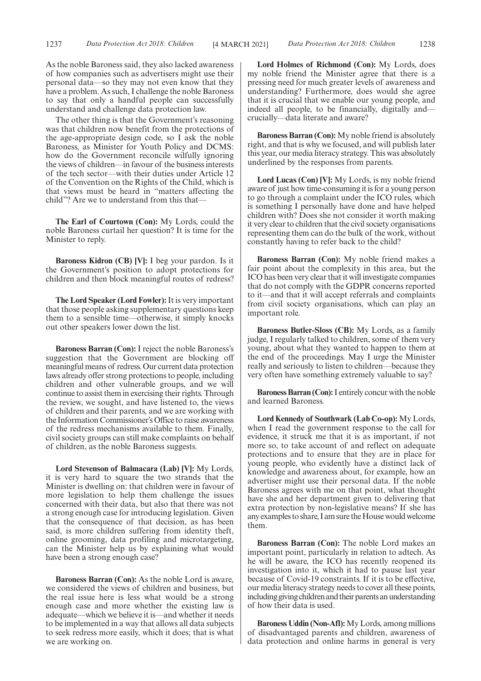As the noble Baroness said, they also lacked awareness of how companies such as advertisers might use their personal data—so they may not even know that they have a problem. As such, I challenge the noble Baroness to say that only a handful people can successfully understand and challenge data protection law.

The other thing is that the Government's reasoning was that children now benefit from the protections of the age-appropriate design code, so I ask the noble Baroness, as Minister for Youth Policy and DCMS: how do the Government reconcile wilfully ignoring the views of children—in favour of the business interests of the tech sector—with their duties under Article 12 of the Convention on the Rights of the Child, which is that views must be heard in "matters affecting the child"? Are we to understand from this that—

**The Earl of Courtown (Con):** My Lords, could the noble Baroness curtail her question? It is time for the Minister to reply.

**Baroness Kidron (CB) [V]:** I beg your pardon. Is it the Government's position to adopt protections for children and then block meaningful routes of redress?

**The Lord Speaker (Lord Fowler):**It is very important that those people asking supplementary questions keep them to a sensible time—otherwise, it simply knocks out other speakers lower down the list.

**Baroness Barran (Con):** I reject the noble Baroness's suggestion that the Government are blocking off meaningful means of redress. Our current data protection laws already offer strong protections to people, including children and other vulnerable groups, and we will continue to assist them in exercising their rights. Through the review, we sought, and have listened to, the views of children and their parents, and we are working with the Information Commissioner's Office to raise awareness of the redress mechanisms available to them. Finally, civil society groups can still make complaints on behalf of children, as the noble Baroness suggests.

**Lord Stevenson of Balmacara (Lab) [V]:** My Lords, it is very hard to square the two strands that the Minister is dwelling on: that children were in favour of more legislation to help them challenge the issues concerned with their data, but also that there was not a strong enough case for introducing legislation. Given that the consequence of that decision, as has been said, is more children suffering from identity theft, online grooming, data profiling and microtargeting, can the Minister help us by explaining what would have been a strong enough case?

**Baroness Barran (Con):** As the noble Lord is aware, we considered the views of children and business, but the real issue here is less what would be a strong enough case and more whether the existing law is adequate—which we believe it is—and whether it needs to be implemented in a way that allows all data subjects to seek redress more easily, which it does; that is what we are working on.

**Lord Holmes of Richmond (Con):** My Lords, does my noble friend the Minister agree that there is a pressing need for much greater levels of awareness and understanding? Furthermore, does would she agree that it is crucial that we enable our young people, and indeed all people, to be financially, digitally and crucially—data literate and aware?

**Baroness Barran (Con):** My noble friend is absolutely right, and that is why we focused, and will publish later this year, our media literacy strategy. This was absolutely underlined by the responses from parents.

**Lord Lucas (Con) [V]:** My Lords, is my noble friend aware of just how time-consuming it is for a young person to go through a complaint under the ICO rules, which is something I personally have done and have helped children with? Does she not consider it worth making it very clear to children that the civil society organisations representing them can do the bulk of the work, without constantly having to refer back to the child?

**Baroness Barran (Con):** My noble friend makes a fair point about the complexity in this area, but the ICO has been very clear that it will investigate companies that do not comply with the GDPR concerns reported to it—and that it will accept referrals and complaints from civil society organisations, which can play an important role.

**Baroness Butler-Sloss (CB):** My Lords, as a family judge, I regularly talked to children, some of them very young, about what they wanted to happen to them at the end of the proceedings. May I urge the Minister really and seriously to listen to children—because they very often have something extremely valuable to say?

**Baroness Barran (Con):**I entirely concur with the noble and learned Baroness.

**Lord Kennedy of Southwark (Lab Co-op):** My Lords, when I read the government response to the call for evidence, it struck me that it is as important, if not more so, to take account of and reflect on adequate protections and to ensure that they are in place for young people, who evidently have a distinct lack of knowledge and awareness about, for example, how an advertiser might use their personal data. If the noble Baroness agrees with me on that point, what thought have she and her department given to delivering that extra protection by non-legislative means? If she has any examples to share, I am sure the House would welcome them.

**Baroness Barran (Con):** The noble Lord makes an important point, particularly in relation to adtech. As he will be aware, the ICO has recently reopened its investigation into it, which it had to pause last year because of Covid-19 constraints. If it is to be effective, our media literacy strategy needs to cover all these points, including giving children and their parents an understanding of how their data is used.

**Baroness Uddin (Non-Afl):**My Lords, among millions of disadvantaged parents and children, awareness of data protection and online harms in general is very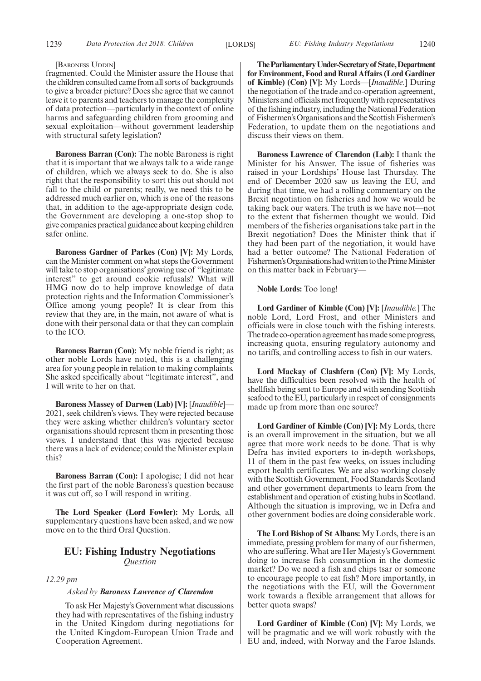#### 1239 *Data Protection Act 2018: Children EU: Fishing Industry Negotiations* [LORDS] 1240

#### [BARONESS UDDIN]

fragmented. Could the Minister assure the House that the children consulted came from all sorts of backgrounds to give a broader picture? Does she agree that we cannot leave it to parents and teachers to manage the complexity of data protection—particularly in the context of online harms and safeguarding children from grooming and sexual exploitation—without government leadership with structural safety legislation?

**Baroness Barran (Con):** The noble Baroness is right that it is important that we always talk to a wide range of children, which we always seek to do. She is also right that the responsibility to sort this out should not fall to the child or parents; really, we need this to be addressed much earlier on, which is one of the reasons that, in addition to the age-appropriate design code, the Government are developing a one-stop shop to give companies practical guidance about keeping children safer online.

**Baroness Gardner of Parkes (Con) [V]:** My Lords, can the Minister comment on what steps the Government will take to stop organisations'growing use of "legitimate interest" to get around cookie refusals? What will HMG now do to help improve knowledge of data protection rights and the Information Commissioner's Office among young people? It is clear from this review that they are, in the main, not aware of what is done with their personal data or that they can complain to the ICO.

**Baroness Barran (Con):** My noble friend is right; as other noble Lords have noted, this is a challenging area for young people in relation to making complaints. She asked specifically about "legitimate interest", and I will write to her on that.

**Baroness Massey of Darwen (Lab) [V]:** [*Inaudible*]— 2021, seek children's views. They were rejected because they were asking whether children's voluntary sector organisations should represent them in presenting those views. I understand that this was rejected because there was a lack of evidence; could the Minister explain this?

**Baroness Barran (Con):** I apologise; I did not hear the first part of the noble Baroness's question because it was cut off, so I will respond in writing.

**The Lord Speaker (Lord Fowler):** My Lords, all supplementary questions have been asked, and we now move on to the third Oral Question.

#### **EU: Fishing Industry Negotiations** *Question*

#### *12.29 pm*

#### *Asked by Baroness Lawrence of Clarendon*

To ask Her Majesty's Government what discussions they had with representatives of the fishing industry in the United Kingdom during negotiations for the United Kingdom-European Union Trade and Cooperation Agreement.

**TheParliamentaryUnder-Secretaryof State,Department for Environment, Food and Rural Affairs (Lord Gardiner of Kimble) (Con) [V]:** My Lords—[*Inaudible.*] During the negotiation of the trade and co-operation agreement, Ministers and officials met frequently with representatives of the fishing industry, including the National Federation of Fishermen's Organisations and the Scottish Fishermen's Federation, to update them on the negotiations and discuss their views on them.

**Baroness Lawrence of Clarendon (Lab):** I thank the Minister for his Answer. The issue of fisheries was raised in your Lordships' House last Thursday. The end of December 2020 saw us leaving the EU, and during that time, we had a rolling commentary on the Brexit negotiation on fisheries and how we would be taking back our waters. The truth is we have not—not to the extent that fishermen thought we would. Did members of the fisheries organisations take part in the Brexit negotiation? Does the Minister think that if they had been part of the negotiation, it would have had a better outcome? The National Federation of Fishermen'sOrganisationshadwrittentothePrimeMinister on this matter back in February—

**Noble Lords:** Too long!

**Lord Gardiner of Kimble (Con) [V]:** [*Inaudible.*] The noble Lord, Lord Frost, and other Ministers and officials were in close touch with the fishing interests. The trade co-operation agreement has made some progress, increasing quota, ensuring regulatory autonomy and no tariffs, and controlling access to fish in our waters.

**Lord Mackay of Clashfern (Con) [V]:** My Lords, have the difficulties been resolved with the health of shellfish being sent to Europe and with sending Scottish seafood to the EU, particularly in respect of consignments made up from more than one source?

**Lord Gardiner of Kimble (Con) [V]:** My Lords, there is an overall improvement in the situation, but we all agree that more work needs to be done. That is why Defra has invited exporters to in-depth workshops, 11 of them in the past few weeks, on issues including export health certificates. We are also working closely with the Scottish Government, Food Standards Scotland and other government departments to learn from the establishment and operation of existing hubs in Scotland. Although the situation is improving, we in Defra and other government bodies are doing considerable work.

**The Lord Bishop of St Albans:** My Lords, there is an immediate, pressing problem for many of our fishermen, who are suffering. What are Her Majesty's Government doing to increase fish consumption in the domestic market? Do we need a fish and chips tsar or someone to encourage people to eat fish? More importantly, in the negotiations with the EU, will the Government work towards a flexible arrangement that allows for better quota swaps?

**Lord Gardiner of Kimble (Con) [V]:** My Lords, we will be pragmatic and we will work robustly with the EU and, indeed, with Norway and the Faroe Islands.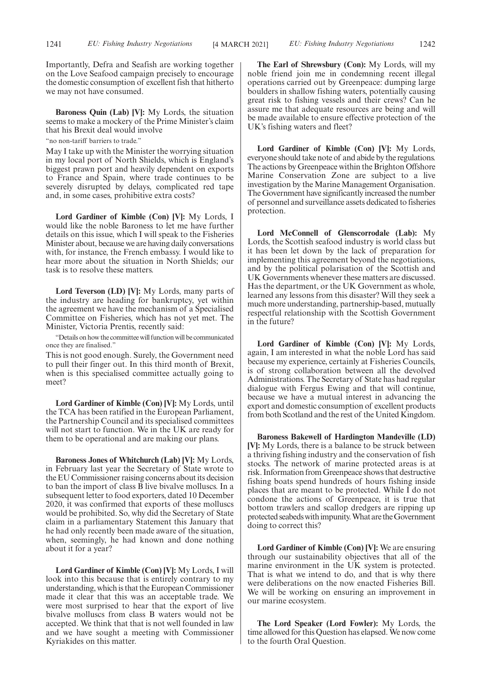Importantly, Defra and Seafish are working together on the Love Seafood campaign precisely to encourage the domestic consumption of excellent fish that hitherto we may not have consumed.

**Baroness Quin (Lab) [V]:** My Lords, the situation seems to make a mockery of the Prime Minister's claim that his Brexit deal would involve

"no non-tariff barriers to trade.

May I take up with the Minister the worrying situation in my local port of North Shields, which is England's biggest prawn port and heavily dependent on exports to France and Spain, where trade continues to be severely disrupted by delays, complicated red tape and, in some cases, prohibitive extra costs?

**Lord Gardiner of Kimble (Con) [V]:** My Lords, I would like the noble Baroness to let me have further details on this issue, which I will speak to the Fisheries Minister about, because we are having daily conversations with, for instance, the French embassy. I would like to hear more about the situation in North Shields; our task is to resolve these matters.

**Lord Teverson (LD) [V]:** My Lords, many parts of the industry are heading for bankruptcy, yet within the agreement we have the mechanism of a Specialised Committee on Fisheries, which has not yet met. The Minister, Victoria Prentis, recently said:

"Details on how the committee will function will be communicated once they are finalised."

This is not good enough. Surely, the Government need to pull their finger out. In this third month of Brexit, when is this specialised committee actually going to meet?

**Lord Gardiner of Kimble (Con) [V]:** My Lords, until the TCA has been ratified in the European Parliament, the Partnership Council and its specialised committees will not start to function. We in the UK are ready for them to be operational and are making our plans.

**Baroness Jones of Whitchurch (Lab) [V]:** My Lords, in February last year the Secretary of State wrote to the EU Commissioner raising concerns about its decision to ban the import of class B live bivalve molluscs. In a subsequent letter to food exporters, dated 10 December 2020, it was confirmed that exports of these molluscs would be prohibited. So, why did the Secretary of State claim in a parliamentary Statement this January that he had only recently been made aware of the situation, when, seemingly, he had known and done nothing about it for a year?

**Lord Gardiner of Kimble (Con) [V]:** My Lords, I will look into this because that is entirely contrary to my understanding, which is that the European Commissioner made it clear that this was an acceptable trade. We were most surprised to hear that the export of live bivalve molluscs from class B waters would not be accepted. We think that that is not well founded in law and we have sought a meeting with Commissioner Kyriakides on this matter.

**The Earl of Shrewsbury (Con):** My Lords, will my noble friend join me in condemning recent illegal operations carried out by Greenpeace: dumping large boulders in shallow fishing waters, potentially causing great risk to fishing vessels and their crews? Can he assure me that adequate resources are being and will be made available to ensure effective protection of the UK's fishing waters and fleet?

**Lord Gardiner of Kimble (Con) [V]:** My Lords, everyone should take note of and abide by the regulations. The actions by Greenpeace within the Brighton Offshore Marine Conservation Zone are subject to a live investigation by the Marine Management Organisation. The Government have significantly increased the number of personnel and surveillance assets dedicated to fisheries protection.

**Lord McConnell of Glenscorrodale (Lab):** My Lords, the Scottish seafood industry is world class but it has been let down by the lack of preparation for implementing this agreement beyond the negotiations, and by the political polarisation of the Scottish and UK Governments whenever these matters are discussed. Has the department, or the UK Government as whole, learned any lessons from this disaster? Will they seek a much more understanding, partnership-based, mutually respectful relationship with the Scottish Government in the future?

**Lord Gardiner of Kimble (Con) [V]:** My Lords, again, I am interested in what the noble Lord has said because my experience, certainly at Fisheries Councils, is of strong collaboration between all the devolved Administrations. The Secretary of State has had regular dialogue with Fergus Ewing and that will continue, because we have a mutual interest in advancing the export and domestic consumption of excellent products from both Scotland and the rest of the United Kingdom.

**Baroness Bakewell of Hardington Mandeville (LD) [V]:** My Lords, there is a balance to be struck between a thriving fishing industry and the conservation of fish stocks. The network of marine protected areas is at risk. Information from Greenpeace shows that destructive fishing boats spend hundreds of hours fishing inside places that are meant to be protected. While I do not condone the actions of Greenpeace, it is true that bottom trawlers and scallop dredgers are ripping up protected seabeds with impunity. What are the Government doing to correct this?

**Lord Gardiner of Kimble (Con) [V]:** We are ensuring through our sustainability objectives that all of the marine environment in the UK system is protected. That is what we intend to do, and that is why there were deliberations on the now enacted Fisheries Bill. We will be working on ensuring an improvement in our marine ecosystem.

**The Lord Speaker (Lord Fowler):** My Lords, the time allowed for this Question has elapsed. We now come to the fourth Oral Question.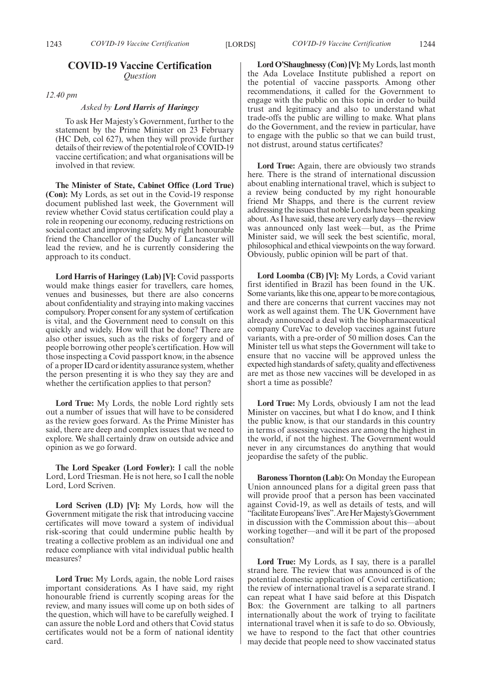### **COVID-19 Vaccine Certification** *Question*

*12.40 pm*

#### *Asked by Lord Harris of Haringey*

To ask Her Majesty's Government, further to the statement by the Prime Minister on 23 February (HC Deb, col 627), when they will provide further details of their review of the potential role of COVID-19 vaccine certification; and what organisations will be involved in that review.

**The Minister of State, Cabinet Office (Lord True) (Con):** My Lords, as set out in the Covid-19 response document published last week, the Government will review whether Covid status certification could play a role in reopening our economy, reducing restrictions on social contact and improving safety. My right honourable friend the Chancellor of the Duchy of Lancaster will lead the review, and he is currently considering the approach to its conduct.

**Lord Harris of Haringey (Lab) [V]:** Covid passports would make things easier for travellers, care homes, venues and businesses, but there are also concerns about confidentiality and straying into making vaccines compulsory. Proper consent for any system of certification is vital, and the Government need to consult on this quickly and widely. How will that be done? There are also other issues, such as the risks of forgery and of people borrowing other people's certification. How will those inspecting a Covid passport know, in the absence of a proper ID card or identity assurance system, whether the person presenting it is who they say they are and whether the certification applies to that person?

**Lord True:** My Lords, the noble Lord rightly sets out a number of issues that will have to be considered as the review goes forward. As the Prime Minister has said, there are deep and complex issues that we need to explore. We shall certainly draw on outside advice and opinion as we go forward.

**The Lord Speaker (Lord Fowler):** I call the noble Lord, Lord Triesman. He is not here, so I call the noble Lord, Lord Scriven.

**Lord Scriven (LD) [V]:** My Lords, how will the Government mitigate the risk that introducing vaccine certificates will move toward a system of individual risk-scoring that could undermine public health by treating a collective problem as an individual one and reduce compliance with vital individual public health measures?

**Lord True:** My Lords, again, the noble Lord raises important considerations. As I have said, my right honourable friend is currently scoping areas for the review, and many issues will come up on both sides of the question, which will have to be carefully weighed. I can assure the noble Lord and others that Covid status certificates would not be a form of national identity card.

**Lord O'Shaughnessy (Con) [V]:** My Lords, last month the Ada Lovelace Institute published a report on the potential of vaccine passports. Among other recommendations, it called for the Government to engage with the public on this topic in order to build trust and legitimacy and also to understand what trade-offs the public are willing to make. What plans do the Government, and the review in particular, have to engage with the public so that we can build trust, not distrust, around status certificates?

**Lord True:** Again, there are obviously two strands here. There is the strand of international discussion about enabling international travel, which is subject to a review being conducted by my right honourable friend Mr Shapps, and there is the current review addressing the issues that noble Lords have been speaking about. As I have said, these are very early days—the review was announced only last week—but, as the Prime Minister said, we will seek the best scientific, moral, philosophical and ethical viewpoints on the way forward. Obviously, public opinion will be part of that.

**Lord Loomba (CB) [V]:** My Lords, a Covid variant first identified in Brazil has been found in the UK. Some variants, like this one, appear to be more contagious, and there are concerns that current vaccines may not work as well against them. The UK Government have already announced a deal with the biopharmaceutical company CureVac to develop vaccines against future variants, with a pre-order of 50 million doses. Can the Minister tell us what steps the Government will take to ensure that no vaccine will be approved unless the expected high standards of safety, quality and effectiveness are met as those new vaccines will be developed in as short a time as possible?

**Lord True:** My Lords, obviously I am not the lead Minister on vaccines, but what I do know, and I think the public know, is that our standards in this country in terms of assessing vaccines are among the highest in the world, if not the highest. The Government would never in any circumstances do anything that would jeopardise the safety of the public.

**Baroness Thornton (Lab):** On Monday the European Union announced plans for a digital green pass that will provide proof that a person has been vaccinated against Covid-19, as well as details of tests, and will "facilitate Europeans' lives". Are Her Majesty's Government in discussion with the Commission about this—about working together—and will it be part of the proposed consultation?

**Lord True:** My Lords, as I say, there is a parallel strand here. The review that was announced is of the potential domestic application of Covid certification; the review of international travel is a separate strand. I can repeat what I have said before at this Dispatch Box: the Government are talking to all partners internationally about the work of trying to facilitate international travel when it is safe to do so. Obviously, we have to respond to the fact that other countries may decide that people need to show vaccinated status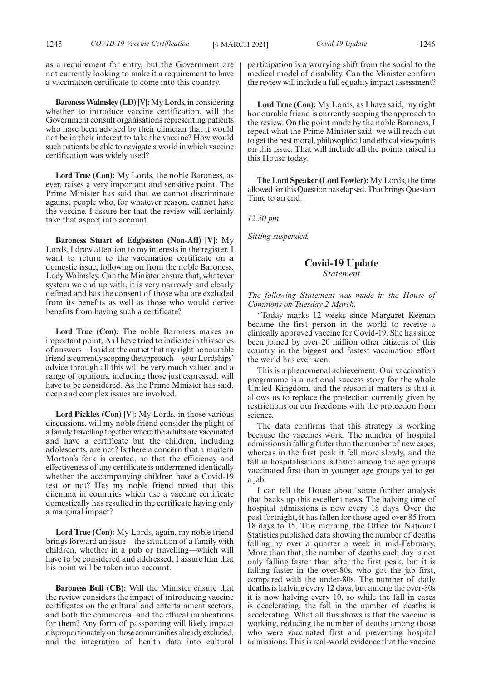as a requirement for entry, but the Government are not currently looking to make it a requirement to have a vaccination certificate to come into this country.

**Baroness Walmsley (LD) [V]:**My Lords, in considering whether to introduce vaccine certification, will the Government consult organisations representing patients who have been advised by their clinician that it would not be in their interest to take the vaccine? How would such patients be able to navigate a world in which vaccine certification was widely used?

**Lord True (Con):** My Lords, the noble Baroness, as ever, raises a very important and sensitive point. The Prime Minister has said that we cannot discriminate against people who, for whatever reason, cannot have the vaccine. I assure her that the review will certainly take that aspect into account.

**Baroness Stuart of Edgbaston (Non-Afl) [V]:** My Lords, I draw attention to my interests in the register. I want to return to the vaccination certificate on a domestic issue, following on from the noble Baroness, Lady Walmsley. Can the Minister ensure that, whatever system we end up with, it is very narrowly and clearly defined and has the consent of those who are excluded from its benefits as well as those who would derive benefits from having such a certificate?

**Lord True (Con):** The noble Baroness makes an important point. As I have tried to indicate in this series of answers—I said at the outset that my right honourable friend is currently scoping the approach—your Lordships' advice through all this will be very much valued and a range of opinions, including those just expressed, will have to be considered. As the Prime Minister has said, deep and complex issues are involved.

**Lord Pickles (Con) [V]:** My Lords, in those various discussions, will my noble friend consider the plight of a family travelling together where the adults are vaccinated and have a certificate but the children, including adolescents, are not? Is there a concern that a modern Morton's fork is created, so that the efficiency and effectiveness of any certificate is undermined identically whether the accompanying children have a Covid-19 test or not? Has my noble friend noted that this dilemma in countries which use a vaccine certificate domestically has resulted in the certificate having only a marginal impact?

Lord True (Con): My Lords, again, my noble friend brings forward an issue—the situation of a family with children, whether in a pub or travelling—which will have to be considered and addressed. I assure him that his point will be taken into account.

**Baroness Bull (CB):** Will the Minister ensure that the review considers the impact of introducing vaccine certificates on the cultural and entertainment sectors, and both the commercial and the ethical implications for them? Any form of passporting will likely impact disproportionately on those communities already excluded, and the integration of health data into cultural participation is a worrying shift from the social to the

medical model of disability. Can the Minister confirm the review will include a full equality impact assessment?

**Lord True (Con):** My Lords, as I have said, my right honourable friend is currently scoping the approach to the review. On the point made by the noble Baroness, I repeat what the Prime Minister said: we will reach out to get the best moral, philosophical and ethical viewpoints on this issue. That will include all the points raised in this House today.

**The Lord Speaker (Lord Fowler):** My Lords, the time allowed for this Question has elapsed. That brings Question Time to an end.

*12.50 pm*

*Sitting suspended.*

#### **Covid-19 Update** *Statement*

#### *The following Statement was made in the House of Commons on Tuesday 2 March.*

"Today marks 12 weeks since Margaret Keenan became the first person in the world to receive a clinically approved vaccine for Covid-19. She has since been joined by over 20 million other citizens of this country in the biggest and fastest vaccination effort the world has ever seen.

This is a phenomenal achievement. Our vaccination programme is a national success story for the whole United Kingdom, and the reason it matters is that it allows us to replace the protection currently given by restrictions on our freedoms with the protection from science.

The data confirms that this strategy is working because the vaccines work. The number of hospital admissions is falling faster than the number of new cases, whereas in the first peak it fell more slowly, and the fall in hospitalisations is faster among the age groups vaccinated first than in younger age groups yet to get a jab.

I can tell the House about some further analysis that backs up this excellent news. The halving time of hospital admissions is now every 18 days. Over the past fortnight, it has fallen for those aged over 85 from 18 days to 15. This morning, the Office for National Statistics published data showing the number of deaths falling by over a quarter a week in mid-February. More than that, the number of deaths each day is not only falling faster than after the first peak, but it is falling faster in the over-80s, who got the jab first, compared with the under-80s. The number of daily deaths is halving every 12 days, but among the over-80s it is now halving every 10, so while the fall in cases is decelerating, the fall in the number of deaths is accelerating. What all this shows is that the vaccine is working, reducing the number of deaths among those who were vaccinated first and preventing hospital admissions. This is real-world evidence that the vaccine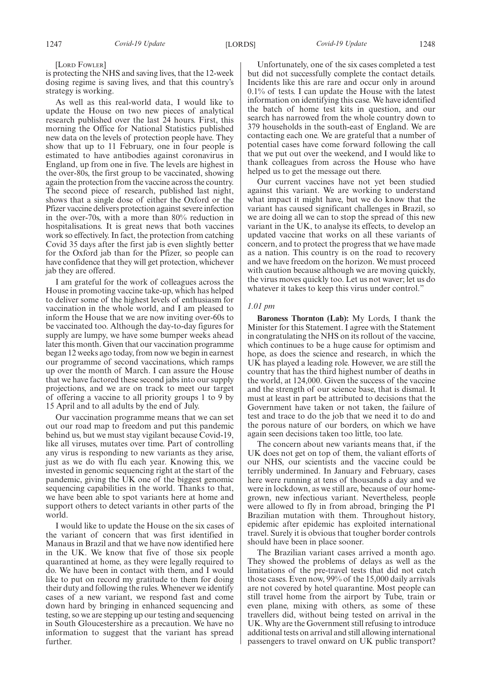[LORD FOWLER]

is protecting the NHS and saving lives, that the 12-week dosing regime is saving lives, and that this country's strategy is working.

As well as this real-world data, I would like to update the House on two new pieces of analytical research published over the last 24 hours. First, this morning the Office for National Statistics published new data on the levels of protection people have. They show that up to 11 February, one in four people is estimated to have antibodies against coronavirus in England, up from one in five. The levels are highest in the over-80s, the first group to be vaccinated, showing again the protection from the vaccine across the country. The second piece of research, published last night, shows that a single dose of either the Oxford or the Pfizer vaccine delivers protection against severe infection in the over-70s, with a more than 80% reduction in hospitalisations. It is great news that both vaccines work so effectively. In fact, the protection from catching Covid 35 days after the first jab is even slightly better for the Oxford jab than for the Pfizer, so people can have confidence that they will get protection, whichever jab they are offered.

I am grateful for the work of colleagues across the House in promoting vaccine take-up, which has helped to deliver some of the highest levels of enthusiasm for vaccination in the whole world, and I am pleased to inform the House that we are now inviting over-60s to be vaccinated too. Although the day-to-day figures for supply are lumpy, we have some bumper weeks ahead later this month. Given that our vaccination programme began 12 weeks ago today, from now we begin in earnest our programme of second vaccinations, which ramps up over the month of March. I can assure the House that we have factored these second jabs into our supply projections, and we are on track to meet our target of offering a vaccine to all priority groups 1 to 9 by 15 April and to all adults by the end of July.

Our vaccination programme means that we can set out our road map to freedom and put this pandemic behind us, but we must stay vigilant because Covid-19, like all viruses, mutates over time. Part of controlling any virus is responding to new variants as they arise, just as we do with flu each year. Knowing this, we invested in genomic sequencing right at the start of the pandemic, giving the UK one of the biggest genomic sequencing capabilities in the world. Thanks to that, we have been able to spot variants here at home and support others to detect variants in other parts of the world.

I would like to update the House on the six cases of the variant of concern that was first identified in Manaus in Brazil and that we have now identified here in the UK. We know that five of those six people quarantined at home, as they were legally required to do. We have been in contact with them, and I would like to put on record my gratitude to them for doing their duty and following the rules. Whenever we identify cases of a new variant, we respond fast and come down hard by bringing in enhanced sequencing and testing, so we are stepping up our testing and sequencing in South Gloucestershire as a precaution. We have no information to suggest that the variant has spread further.

Unfortunately, one of the six cases completed a test but did not successfully complete the contact details. Incidents like this are rare and occur only in around 0.1% of tests. I can update the House with the latest information on identifying this case. We have identified the batch of home test kits in question, and our search has narrowed from the whole country down to 379 households in the south-east of England. We are contacting each one. We are grateful that a number of potential cases have come forward following the call that we put out over the weekend, and I would like to thank colleagues from across the House who have helped us to get the message out there.

Our current vaccines have not yet been studied against this variant. We are working to understand what impact it might have, but we do know that the variant has caused significant challenges in Brazil, so we are doing all we can to stop the spread of this new variant in the UK, to analyse its effects, to develop an updated vaccine that works on all these variants of concern, and to protect the progress that we have made as a nation. This country is on the road to recovery and we have freedom on the horizon. We must proceed with caution because although we are moving quickly, the virus moves quickly too. Let us not waver; let us do whatever it takes to keep this virus under control."

#### *1.01 pm*

**Baroness Thornton (Lab):** My Lords, I thank the Minister for this Statement. I agree with the Statement in congratulating the NHS on its rollout of the vaccine, which continues to be a huge cause for optimism and hope, as does the science and research, in which the UK has played a leading role. However, we are still the country that has the third highest number of deaths in the world, at 124,000. Given the success of the vaccine and the strength of our science base, that is dismal. It must at least in part be attributed to decisions that the Government have taken or not taken, the failure of test and trace to do the job that we need it to do and the porous nature of our borders, on which we have again seen decisions taken too little, too late.

The concern about new variants means that, if the UK does not get on top of them, the valiant efforts of our NHS, our scientists and the vaccine could be terribly undermined. In January and February, cases here were running at tens of thousands a day and we were in lockdown, as we still are, because of our homegrown, new infectious variant. Nevertheless, people were allowed to fly in from abroad, bringing the P1 Brazilian mutation with them. Throughout history, epidemic after epidemic has exploited international travel. Surely it is obvious that tougher border controls should have been in place sooner.

The Brazilian variant cases arrived a month ago. They showed the problems of delays as well as the limitations of the pre-travel tests that did not catch those cases. Even now, 99% of the 15,000 daily arrivals are not covered by hotel quarantine. Most people can still travel home from the airport by Tube, train or even plane, mixing with others, as some of these travellers did, without being tested on arrival in the UK. Why are the Government still refusing to introduce additional tests on arrival and still allowing international passengers to travel onward on UK public transport?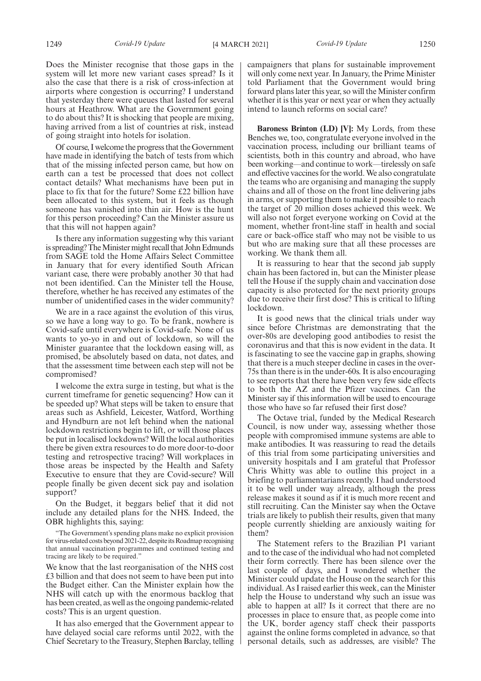Does the Minister recognise that those gaps in the system will let more new variant cases spread? Is it also the case that there is a risk of cross-infection at airports where congestion is occurring? I understand that yesterday there were queues that lasted for several hours at Heathrow. What are the Government going to do about this? It is shocking that people are mixing, having arrived from a list of countries at risk, instead of going straight into hotels for isolation.

Of course, I welcome the progress that the Government have made in identifying the batch of tests from which that of the missing infected person came, but how on earth can a test be processed that does not collect contact details? What mechanisms have been put in place to fix that for the future? Some £22 billion have been allocated to this system, but it feels as though someone has vanished into thin air. How is the hunt for this person proceeding? Can the Minister assure us that this will not happen again?

Is there any information suggesting why this variant is spreading? The Minister might recall that John Edmunds from SAGE told the Home Affairs Select Committee in January that for every identified South African variant case, there were probably another 30 that had not been identified. Can the Minister tell the House, therefore, whether he has received any estimates of the number of unidentified cases in the wider community?

We are in a race against the evolution of this virus, so we have a long way to go. To be frank, nowhere is Covid-safe until everywhere is Covid-safe. None of us wants to yo-yo in and out of lockdown, so will the Minister guarantee that the lockdown easing will, as promised, be absolutely based on data, not dates, and that the assessment time between each step will not be compromised?

I welcome the extra surge in testing, but what is the current timeframe for genetic sequencing? How can it be speeded up? What steps will be taken to ensure that areas such as Ashfield, Leicester, Watford, Worthing and Hyndburn are not left behind when the national lockdown restrictions begin to lift, or will those places be put in localised lockdowns? Will the local authorities there be given extra resources to do more door-to-door testing and retrospective tracing? Will workplaces in those areas be inspected by the Health and Safety Executive to ensure that they are Covid-secure? Will people finally be given decent sick pay and isolation support?

On the Budget, it beggars belief that it did not include any detailed plans for the NHS. Indeed, the OBR highlights this, saying:

"The Government's spending plans make no explicit provision for virus-related costs beyond 2021-22, despite its Roadmap recognising that annual vaccination programmes and continued testing and tracing are likely to be required."

We know that the last reorganisation of the NHS cost £3 billion and that does not seem to have been put into the Budget either. Can the Minister explain how the NHS will catch up with the enormous backlog that has been created, as well as the ongoing pandemic-related costs? This is an urgent question.

It has also emerged that the Government appear to have delayed social care reforms until 2022, with the Chief Secretary to the Treasury, Stephen Barclay, telling campaigners that plans for sustainable improvement will only come next year. In January, the Prime Minister told Parliament that the Government would bring forward plans later this year, so will the Minister confirm whether it is this year or next year or when they actually intend to launch reforms on social care?

**Baroness Brinton (LD) [V]:** My Lords, from these Benches we, too, congratulate everyone involved in the vaccination process, including our brilliant teams of scientists, both in this country and abroad, who have been working—and continue to work—tirelessly on safe and effective vaccines for the world. We also congratulate the teams who are organising and managing the supply chains and all of those on the front line delivering jabs in arms, or supporting them to make it possible to reach the target of 20 million doses achieved this week. We will also not forget everyone working on Covid at the moment, whether front-line staff in health and social care or back-office staff who may not be visible to us but who are making sure that all these processes are working. We thank them all.

It is reassuring to hear that the second jab supply chain has been factored in, but can the Minister please tell the House if the supply chain and vaccination dose capacity is also protected for the next priority groups due to receive their first dose? This is critical to lifting lockdown.

It is good news that the clinical trials under way since before Christmas are demonstrating that the over-80s are developing good antibodies to resist the coronavirus and that this is now evident in the data. It is fascinating to see the vaccine gap in graphs, showing that there is a much steeper decline in cases in the over-75s than there is in the under-60s. It is also encouraging to see reports that there have been very few side effects to both the AZ and the Pfizer vaccines. Can the Minister say if this information will be used to encourage those who have so far refused their first dose?

The Octave trial, funded by the Medical Research Council, is now under way, assessing whether those people with compromised immune systems are able to make antibodies. It was reassuring to read the details of this trial from some participating universities and university hospitals and I am grateful that Professor Chris Whitty was able to outline this project in a briefing to parliamentarians recently. I had understood it to be well under way already, although the press release makes it sound as if it is much more recent and still recruiting. Can the Minister say when the Octave trials are likely to publish their results, given that many people currently shielding are anxiously waiting for them?

The Statement refers to the Brazilian P1 variant and to the case of the individual who had not completed their form correctly. There has been silence over the last couple of days, and I wondered whether the Minister could update the House on the search for this individual. As I raised earlier this week, can the Minister help the House to understand why such an issue was able to happen at all? Is it correct that there are no processes in place to ensure that, as people come into the UK, border agency staff check their passports against the online forms completed in advance, so that personal details, such as addresses, are visible? The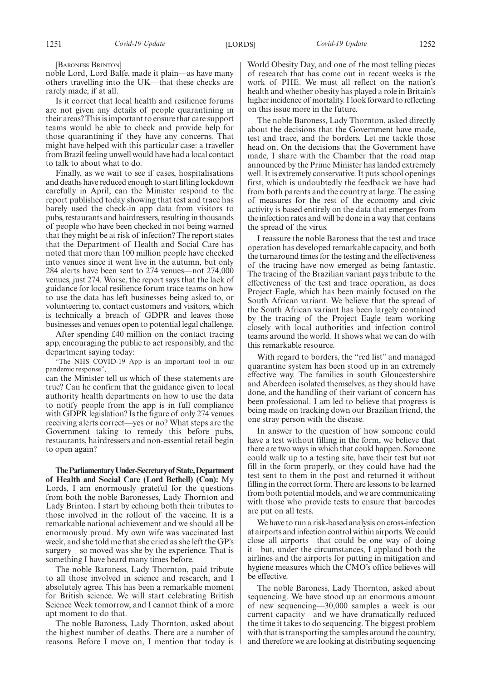[BARONESS BRINTON]

noble Lord, Lord Balfe, made it plain—as have many others travelling into the UK—that these checks are rarely made, if at all.

Is it correct that local health and resilience forums are not given any details of people quarantining in their areas? This is important to ensure that care support teams would be able to check and provide help for those quarantining if they have any concerns. That might have helped with this particular case: a traveller from Brazil feeling unwell would have had a local contact to talk to about what to do.

Finally, as we wait to see if cases, hospitalisations and deaths have reduced enough to start lifting lockdown carefully in April, can the Minister respond to the report published today showing that test and trace has barely used the check-in app data from visitors to pubs, restaurants and hairdressers, resulting in thousands of people who have been checked in not being warned that they might be at risk of infection? The report states that the Department of Health and Social Care has noted that more than 100 million people have checked into venues since it went live in the autumn, but only 284 alerts have been sent to 274 venues—not 274,000 venues, just 274. Worse, the report says that the lack of guidance for local resilience forum trace teams on how to use the data has left businesses being asked to, or volunteering to, contact customers and visitors, which is technically a breach of GDPR and leaves those businesses and venues open to potential legal challenge.

After spending £40 million on the contact tracing app, encouraging the public to act responsibly, and the department saying today:

"The NHS COVID-19 App is an important tool in our pandemic response",

can the Minister tell us which of these statements are true? Can he confirm that the guidance given to local authority health departments on how to use the data to notify people from the app is in full compliance with GDPR legislation? Is the figure of only 274 venues receiving alerts correct—yes or no? What steps are the Government taking to remedy this before pubs, restaurants, hairdressers and non-essential retail begin to open again?

**TheParliamentaryUnder-Secretaryof State,Department of Health and Social Care (Lord Bethell) (Con):** My Lords, I am enormously grateful for the questions from both the noble Baronesses, Lady Thornton and Lady Brinton. I start by echoing both their tributes to those involved in the rollout of the vaccine. It is a remarkable national achievement and we should all be enormously proud. My own wife was vaccinated last week, and she told me that she cried as she left the GP's surgery—so moved was she by the experience. That is something I have heard many times before.

The noble Baroness, Lady Thornton, paid tribute to all those involved in science and research, and I absolutely agree. This has been a remarkable moment for British science. We will start celebrating British Science Week tomorrow, and I cannot think of a more apt moment to do that.

The noble Baroness, Lady Thornton, asked about the highest number of deaths. There are a number of reasons. Before I move on, I mention that today is

World Obesity Day, and one of the most telling pieces of research that has come out in recent weeks is the work of PHE. We must all reflect on the nation's health and whether obesity has played a role in Britain's higher incidence of mortality. I look forward to reflecting on this issue more in the future.

The noble Baroness, Lady Thornton, asked directly about the decisions that the Government have made, test and trace, and the borders. Let me tackle those head on. On the decisions that the Government have made, I share with the Chamber that the road map announced by the Prime Minister has landed extremely well. It is extremely conservative. It puts school openings first, which is undoubtedly the feedback we have had from both parents and the country at large. The easing of measures for the rest of the economy and civic activity is based entirely on the data that emerges from the infection rates and will be done in a way that contains the spread of the virus.

I reassure the noble Baroness that the test and trace operation has developed remarkable capacity, and both the turnaround times for the testing and the effectiveness of the tracing have now emerged as being fantastic. The tracing of the Brazilian variant pays tribute to the effectiveness of the test and trace operation, as does Project Eagle, which has been mainly focused on the South African variant. We believe that the spread of the South African variant has been largely contained by the tracing of the Project Eagle team working closely with local authorities and infection control teams around the world. It shows what we can do with this remarkable resource.

With regard to borders, the "red list" and managed quarantine system has been stood up in an extremely effective way. The families in south Gloucestershire and Aberdeen isolated themselves, as they should have done, and the handling of their variant of concern has been professional. I am led to believe that progress is being made on tracking down our Brazilian friend, the one stray person with the disease.

In answer to the question of how someone could have a test without filling in the form, we believe that there are two ways in which that could happen. Someone could walk up to a testing site, have their test but not fill in the form properly, or they could have had the test sent to them in the post and returned it without filling in the correct form. There are lessons to be learned from both potential models, and we are communicating with those who provide tests to ensure that barcodes are put on all tests.

We have to run a risk-based analysis on cross-infection at airports and infection control within airports. We could close all airports—that could be one way of doing it—but, under the circumstances, I applaud both the airlines and the airports for putting in mitigation and hygiene measures which the CMO's office believes will be effective.

The noble Baroness, Lady Thornton, asked about sequencing. We have stood up an enormous amount of new sequencing—30,000 samples a week is our current capacity—and we have dramatically reduced the time it takes to do sequencing. The biggest problem with that is transporting the samples around the country, and therefore we are looking at distributing sequencing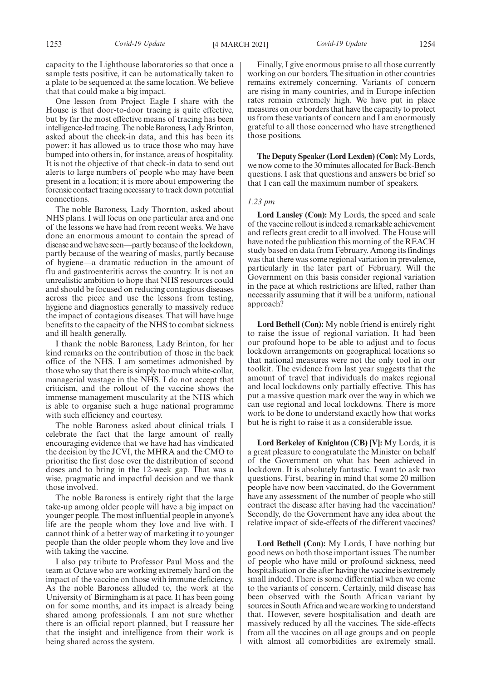capacity to the Lighthouse laboratories so that once a sample tests positive, it can be automatically taken to a plate to be sequenced at the same location. We believe that that could make a big impact.

One lesson from Project Eagle I share with the House is that door-to-door tracing is quite effective, but by far the most effective means of tracing has been intelligence-led tracing. The noble Baroness, Lady Brinton, asked about the check-in data, and this has been its power: it has allowed us to trace those who may have bumped into others in, for instance, areas of hospitality. It is not the objective of that check-in data to send out alerts to large numbers of people who may have been present in a location; it is more about empowering the forensic contact tracing necessary to track down potential connections.

The noble Baroness, Lady Thornton, asked about NHS plans. I will focus on one particular area and one of the lessons we have had from recent weeks. We have done an enormous amount to contain the spread of disease and we have seen—partly because of the lockdown, partly because of the wearing of masks, partly because of hygiene—a dramatic reduction in the amount of flu and gastroenteritis across the country. It is not an unrealistic ambition to hope that NHS resources could and should be focused on reducing contagious diseases across the piece and use the lessons from testing, hygiene and diagnostics generally to massively reduce the impact of contagious diseases. That will have huge benefits to the capacity of the NHS to combat sickness and ill health generally.

I thank the noble Baroness, Lady Brinton, for her kind remarks on the contribution of those in the back office of the NHS. I am sometimes admonished by those who say that there is simply too much white-collar, managerial wastage in the NHS. I do not accept that criticism, and the rollout of the vaccine shows the immense management muscularity at the NHS which is able to organise such a huge national programme with such efficiency and courtesy.

The noble Baroness asked about clinical trials. I celebrate the fact that the large amount of really encouraging evidence that we have had has vindicated the decision by the JCVI, the MHRA and the CMO to prioritise the first dose over the distribution of second doses and to bring in the 12-week gap. That was a wise, pragmatic and impactful decision and we thank those involved.

The noble Baroness is entirely right that the large take-up among older people will have a big impact on younger people. The most influential people in anyone's life are the people whom they love and live with. I cannot think of a better way of marketing it to younger people than the older people whom they love and live with taking the vaccine.

I also pay tribute to Professor Paul Moss and the team at Octave who are working extremely hard on the impact of the vaccine on those with immune deficiency. As the noble Baroness alluded to, the work at the University of Birmingham is at pace. It has been going on for some months, and its impact is already being shared among professionals. I am not sure whether there is an official report planned, but I reassure her that the insight and intelligence from their work is being shared across the system.

Finally, I give enormous praise to all those currently working on our borders. The situation in other countries remains extremely concerning. Variants of concern are rising in many countries, and in Europe infection rates remain extremely high. We have put in place measures on our borders that have the capacity to protect us from these variants of concern and I am enormously grateful to all those concerned who have strengthened those positions.

**The Deputy Speaker (Lord Lexden) (Con):** My Lords, we now come to the 30 minutes allocated for Back-Bench questions. I ask that questions and answers be brief so that I can call the maximum number of speakers.

#### *1.23 pm*

**Lord Lansley (Con):** My Lords, the speed and scale of the vaccine rollout is indeed a remarkable achievement and reflects great credit to all involved. The House will have noted the publication this morning of the REACH study based on data from February. Among its findings was that there was some regional variation in prevalence, particularly in the later part of February. Will the Government on this basis consider regional variation in the pace at which restrictions are lifted, rather than necessarily assuming that it will be a uniform, national approach?

**Lord Bethell (Con):** My noble friend is entirely right to raise the issue of regional variation. It had been our profound hope to be able to adjust and to focus lockdown arrangements on geographical locations so that national measures were not the only tool in our toolkit. The evidence from last year suggests that the amount of travel that individuals do makes regional and local lockdowns only partially effective. This has put a massive question mark over the way in which we can use regional and local lockdowns. There is more work to be done to understand exactly how that works but he is right to raise it as a considerable issue.

**Lord Berkeley of Knighton (CB) [V]:** My Lords, it is a great pleasure to congratulate the Minister on behalf of the Government on what has been achieved in lockdown. It is absolutely fantastic. I want to ask two questions. First, bearing in mind that some 20 million people have now been vaccinated, do the Government have any assessment of the number of people who still contract the disease after having had the vaccination? Secondly, do the Government have any idea about the relative impact of side-effects of the different vaccines?

**Lord Bethell (Con):** My Lords, I have nothing but good news on both those important issues. The number of people who have mild or profound sickness, need hospitalisation or die after having the vaccine is extremely small indeed. There is some differential when we come to the variants of concern. Certainly, mild disease has been observed with the South African variant by sources in South Africa and we are working to understand that. However, severe hospitalisation and death are massively reduced by all the vaccines. The side-effects from all the vaccines on all age groups and on people with almost all comorbidities are extremely small.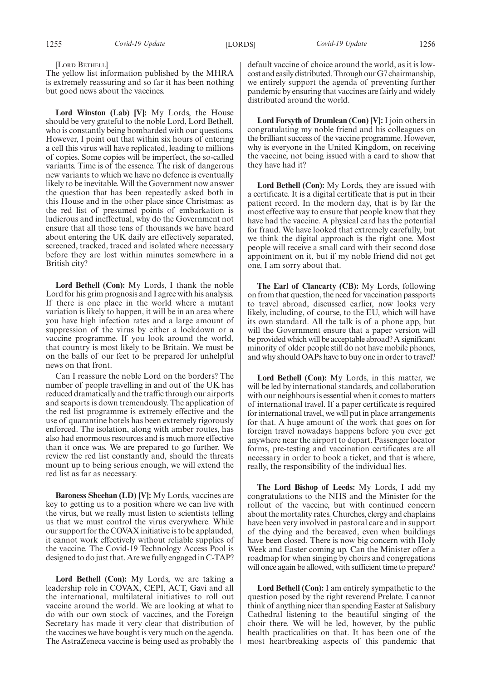[LORD BETHELL]

The yellow list information published by the MHRA is extremely reassuring and so far it has been nothing but good news about the vaccines.

**Lord Winston (Lab) [V]:** My Lords, the House should be very grateful to the noble Lord, Lord Bethell, who is constantly being bombarded with our questions. However, I point out that within six hours of entering a cell this virus will have replicated, leading to millions of copies. Some copies will be imperfect, the so-called variants. Time is of the essence. The risk of dangerous new variants to which we have no defence is eventually likely to be inevitable. Will the Government now answer the question that has been repeatedly asked both in this House and in the other place since Christmas: as the red list of presumed points of embarkation is ludicrous and ineffectual, why do the Government not ensure that all those tens of thousands we have heard about entering the UK daily are effectively separated, screened, tracked, traced and isolated where necessary before they are lost within minutes somewhere in a British city?

**Lord Bethell (Con):** My Lords, I thank the noble Lord for his grim prognosis and I agree with his analysis. If there is one place in the world where a mutant variation is likely to happen, it will be in an area where you have high infection rates and a large amount of suppression of the virus by either a lockdown or a vaccine programme. If you look around the world, that country is most likely to be Britain. We must be on the balls of our feet to be prepared for unhelpful news on that front.

Can I reassure the noble Lord on the borders? The number of people travelling in and out of the UK has reduced dramatically and the traffic through our airports and seaports is down tremendously. The application of the red list programme is extremely effective and the use of quarantine hotels has been extremely rigorously enforced. The isolation, along with amber routes, has also had enormous resources and is much more effective than it once was. We are prepared to go further. We review the red list constantly and, should the threats mount up to being serious enough, we will extend the red list as far as necessary.

**Baroness Sheehan (LD) [V]:** My Lords, vaccines are key to getting us to a position where we can live with the virus, but we really must listen to scientists telling us that we must control the virus everywhere. While our support for the COVAX initiative is to be applauded, it cannot work effectively without reliable supplies of the vaccine. The Covid-19 Technology Access Pool is designed to do just that. Are we fully engaged in C-TAP?

**Lord Bethell (Con):** My Lords, we are taking a leadership role in COVAX, CEPI, ACT, Gavi and all the international, multilateral initiatives to roll out vaccine around the world. We are looking at what to do with our own stock of vaccines, and the Foreign Secretary has made it very clear that distribution of the vaccines we have bought is very much on the agenda. The AstraZeneca vaccine is being used as probably the

default vaccine of choice around the world, as it is lowcost and easily distributed. Through our G7 chairmanship, we entirely support the agenda of preventing further pandemic by ensuring that vaccines are fairly and widely distributed around the world.

**Lord Forsyth of Drumlean (Con) [V]:** I join others in congratulating my noble friend and his colleagues on the brilliant success of the vaccine programme. However, why is everyone in the United Kingdom, on receiving the vaccine, not being issued with a card to show that they have had it?

**Lord Bethell (Con):** My Lords, they are issued with a certificate. It is a digital certificate that is put in their patient record. In the modern day, that is by far the most effective way to ensure that people know that they have had the vaccine. A physical card has the potential for fraud. We have looked that extremely carefully, but we think the digital approach is the right one. Most people will receive a small card with their second dose appointment on it, but if my noble friend did not get one, I am sorry about that.

**The Earl of Clancarty (CB):** My Lords, following on from that question, the need for vaccination passports to travel abroad, discussed earlier, now looks very likely, including, of course, to the EU, which will have its own standard. All the talk is of a phone app, but will the Government ensure that a paper version will be provided which will be acceptable abroad? A significant minority of older people still do not have mobile phones, and why should OAPs have to buy one in order to travel?

**Lord Bethell (Con):** My Lords, in this matter, we will be led by international standards, and collaboration with our neighbours is essential when it comes to matters of international travel. If a paper certificate is required for international travel, we will put in place arrangements for that. A huge amount of the work that goes on for foreign travel nowadays happens before you ever get anywhere near the airport to depart. Passenger locator forms, pre-testing and vaccination certificates are all necessary in order to book a ticket, and that is where, really, the responsibility of the individual lies.

**The Lord Bishop of Leeds:** My Lords, I add my congratulations to the NHS and the Minister for the rollout of the vaccine, but with continued concern about the mortality rates. Churches, clergy and chaplains have been very involved in pastoral care and in support of the dying and the bereaved, even when buildings have been closed. There is now big concern with Holy Week and Easter coming up. Can the Minister offer a roadmap for when singing by choirs and congregations will once again be allowed, with sufficient time to prepare?

**Lord Bethell (Con):** I am entirely sympathetic to the question posed by the right reverend Prelate. I cannot think of anything nicer than spending Easter at Salisbury Cathedral listening to the beautiful singing of the choir there. We will be led, however, by the public health practicalities on that. It has been one of the most heartbreaking aspects of this pandemic that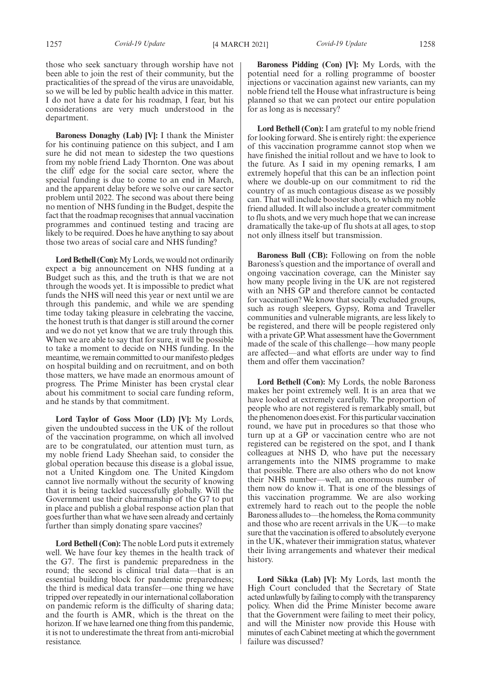those who seek sanctuary through worship have not been able to join the rest of their community, but the practicalities of the spread of the virus are unavoidable, so we will be led by public health advice in this matter. I do not have a date for his roadmap, I fear, but his considerations are very much understood in the department.

**Baroness Donaghy (Lab) [V]:** I thank the Minister for his continuing patience on this subject, and I am sure he did not mean to sidestep the two questions from my noble friend Lady Thornton. One was about the cliff edge for the social care sector, where the special funding is due to come to an end in March, and the apparent delay before we solve our care sector problem until 2022. The second was about there being no mention of NHS funding in the Budget, despite the fact that the roadmap recognises that annual vaccination programmes and continued testing and tracing are likely to be required. Does he have anything to say about those two areas of social care and NHS funding?

**Lord Bethell (Con):**My Lords, we would not ordinarily expect a big announcement on NHS funding at a Budget such as this, and the truth is that we are not through the woods yet. It is impossible to predict what funds the NHS will need this year or next until we are through this pandemic, and while we are spending time today taking pleasure in celebrating the vaccine, the honest truth is that danger is still around the corner and we do not yet know that we are truly through this. When we are able to say that for sure, it will be possible to take a moment to decide on NHS funding. In the meantime, we remain committed to our manifesto pledges on hospital building and on recruitment, and on both those matters, we have made an enormous amount of progress. The Prime Minister has been crystal clear about his commitment to social care funding reform, and he stands by that commitment.

**Lord Taylor of Goss Moor (LD) [V]:** My Lords, given the undoubted success in the UK of the rollout of the vaccination programme, on which all involved are to be congratulated, our attention must turn, as my noble friend Lady Sheehan said, to consider the global operation because this disease is a global issue, not a United Kingdom one. The United Kingdom cannot live normally without the security of knowing that it is being tackled successfully globally. Will the Government use their chairmanship of the G7 to put in place and publish a global response action plan that goes further than what we have seen already and certainly further than simply donating spare vaccines?

**Lord Bethell (Con):** The noble Lord puts it extremely well. We have four key themes in the health track of the G7. The first is pandemic preparedness in the round; the second is clinical trial data—that is an essential building block for pandemic preparedness; the third is medical data transfer—one thing we have tripped over repeatedly in our international collaboration on pandemic reform is the difficulty of sharing data; and the fourth is AMR, which is the threat on the horizon. If we have learned one thing from this pandemic, it is not to underestimate the threat from anti-microbial resistance.

**Baroness Pidding (Con) [V]:** My Lords, with the potential need for a rolling programme of booster injections or vaccination against new variants, can my noble friend tell the House what infrastructure is being planned so that we can protect our entire population for as long as is necessary?

**Lord Bethell (Con):** I am grateful to my noble friend for looking forward. She is entirely right: the experience of this vaccination programme cannot stop when we have finished the initial rollout and we have to look to the future. As I said in my opening remarks, I am extremely hopeful that this can be an inflection point where we double-up on our commitment to rid the country of as much contagious disease as we possibly can. That will include booster shots, to which my noble friend alluded. It will also include a greater commitment to flu shots, and we very much hope that we can increase dramatically the take-up of flu shots at all ages, to stop not only illness itself but transmission.

**Baroness Bull (CB):** Following on from the noble Baroness's question and the importance of overall and ongoing vaccination coverage, can the Minister say how many people living in the UK are not registered with an NHS GP and therefore cannot be contacted for vaccination? We know that socially excluded groups, such as rough sleepers, Gypsy, Roma and Traveller communities and vulnerable migrants, are less likely to be registered, and there will be people registered only with a private GP. What assessment have the Government made of the scale of this challenge—how many people are affected—and what efforts are under way to find them and offer them vaccination?

**Lord Bethell (Con):** My Lords, the noble Baroness makes her point extremely well. It is an area that we have looked at extremely carefully. The proportion of people who are not registered is remarkably small, but the phenomenon does exist. For this particular vaccination round, we have put in procedures so that those who turn up at a GP or vaccination centre who are not registered can be registered on the spot, and I thank colleagues at NHS D, who have put the necessary arrangements into the NIMS programme to make that possible. There are also others who do not know their NHS number—well, an enormous number of them now do know it. That is one of the blessings of this vaccination programme. We are also working extremely hard to reach out to the people the noble Baroness alludes to—the homeless, the Roma community and those who are recent arrivals in the UK—to make sure that the vaccination is offered to absolutely everyone in the UK, whatever their immigration status, whatever their living arrangements and whatever their medical history.

**Lord Sikka (Lab) [V]:** My Lords, last month the High Court concluded that the Secretary of State acted unlawfully by failing to comply with the transparency policy. When did the Prime Minister become aware that the Government were failing to meet their policy, and will the Minister now provide this House with minutes of each Cabinet meeting at which the government failure was discussed?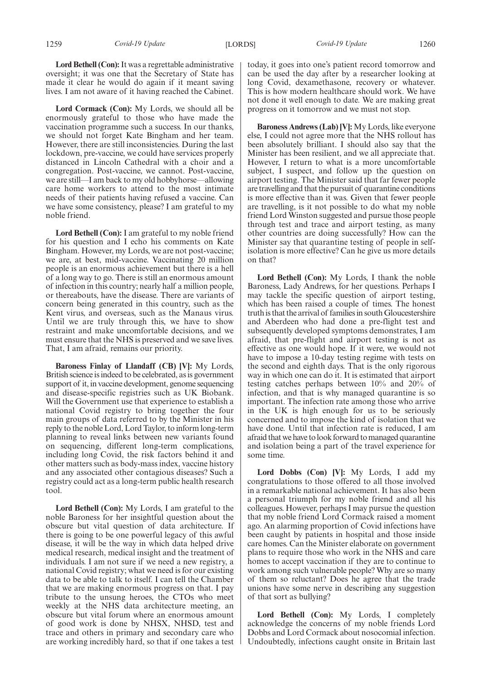**Lord Bethell (Con):**It was a regrettable administrative oversight; it was one that the Secretary of State has made it clear he would do again if it meant saving lives. I am not aware of it having reached the Cabinet.

**Lord Cormack (Con):** My Lords, we should all be enormously grateful to those who have made the vaccination programme such a success. In our thanks, we should not forget Kate Bingham and her team. However, there are still inconsistencies. During the last lockdown, pre-vaccine, we could have services properly distanced in Lincoln Cathedral with a choir and a congregation. Post-vaccine, we cannot. Post-vaccine, we are still—I am back to my old hobbyhorse—allowing care home workers to attend to the most intimate needs of their patients having refused a vaccine. Can we have some consistency, please? I am grateful to my noble friend.

**Lord Bethell (Con):** I am grateful to my noble friend for his question and I echo his comments on Kate Bingham. However, my Lords, we are not post-vaccine; we are, at best, mid-vaccine. Vaccinating 20 million people is an enormous achievement but there is a hell of a long way to go. There is still an enormous amount of infection in this country; nearly half a million people, or thereabouts, have the disease. There are variants of concern being generated in this country, such as the Kent virus, and overseas, such as the Manaus virus. Until we are truly through this, we have to show restraint and make uncomfortable decisions, and we must ensure that the NHS is preserved and we save lives. That, I am afraid, remains our priority.

**Baroness Finlay of Llandaff (CB) [V]:** My Lords, British science is indeed to be celebrated, as is government support of it, in vaccine development, genome sequencing and disease-specific registries such as UK Biobank. Will the Government use that experience to establish a national Covid registry to bring together the four main groups of data referred to by the Minister in his reply to the noble Lord, Lord Taylor, to inform long-term planning to reveal links between new variants found on sequencing, different long-term complications, including long Covid, the risk factors behind it and other matters such as body-mass index, vaccine history and any associated other contagious diseases? Such a registry could act as a long-term public health research tool.

**Lord Bethell (Con):** My Lords, I am grateful to the noble Baroness for her insightful question about the obscure but vital question of data architecture. If there is going to be one powerful legacy of this awful disease, it will be the way in which data helped drive medical research, medical insight and the treatment of individuals. I am not sure if we need a new registry, a national Covid registry; what we need is for our existing data to be able to talk to itself. I can tell the Chamber that we are making enormous progress on that. I pay tribute to the unsung heroes, the CTOs who meet weekly at the NHS data architecture meeting, an obscure but vital forum where an enormous amount of good work is done by NHSX, NHSD, test and trace and others in primary and secondary care who are working incredibly hard, so that if one takes a test

today, it goes into one's patient record tomorrow and can be used the day after by a researcher looking at long Covid, dexamethasone, recovery or whatever. This is how modern healthcare should work. We have not done it well enough to date. We are making great progress on it tomorrow and we must not stop.

**Baroness Andrews (Lab) [V]:** My Lords, like everyone else, I could not agree more that the NHS rollout has been absolutely brilliant. I should also say that the Minister has been resilient, and we all appreciate that. However, I return to what is a more uncomfortable subject, I suspect, and follow up the question on airport testing. The Minister said that far fewer people are travelling and that the pursuit of quarantine conditions is more effective than it was. Given that fewer people are travelling, is it not possible to do what my noble friend Lord Winston suggested and pursue those people through test and trace and airport testing, as many other countries are doing successfully? How can the Minister say that quarantine testing of people in selfisolation is more effective? Can he give us more details on that?

**Lord Bethell (Con):** My Lords, I thank the noble Baroness, Lady Andrews, for her questions. Perhaps I may tackle the specific question of airport testing, which has been raised a couple of times. The honest truth is that the arrival of families in south Gloucestershire and Aberdeen who had done a pre-flight test and subsequently developed symptoms demonstrates, I am afraid, that pre-flight and airport testing is not as effective as one would hope. If it were, we would not have to impose a 10-day testing regime with tests on the second and eighth days. That is the only rigorous way in which one can do it. It is estimated that airport testing catches perhaps between 10% and 20% of infection, and that is why managed quarantine is so important. The infection rate among those who arrive in the UK is high enough for us to be seriously concerned and to impose the kind of isolation that we have done. Until that infection rate is reduced, I am afraid that we have to look forward to managed quarantine and isolation being a part of the travel experience for some time.

**Lord Dobbs (Con) [V]:** My Lords, I add my congratulations to those offered to all those involved in a remarkable national achievement. It has also been a personal triumph for my noble friend and all his colleagues. However, perhaps I may pursue the question that my noble friend Lord Cormack raised a moment ago. An alarming proportion of Covid infections have been caught by patients in hospital and those inside care homes. Can the Minister elaborate on government plans to require those who work in the NHS and care homes to accept vaccination if they are to continue to work among such vulnerable people? Why are so many of them so reluctant? Does he agree that the trade unions have some nerve in describing any suggestion of that sort as bullying?

**Lord Bethell (Con):** My Lords, I completely acknowledge the concerns of my noble friends Lord Dobbs and Lord Cormack about nosocomial infection. Undoubtedly, infections caught onsite in Britain last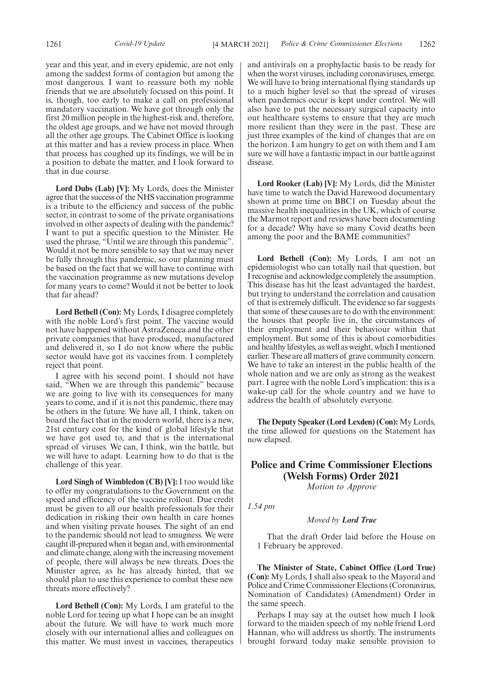year and this year, and in every epidemic, are not only among the saddest forms of contagion but among the most dangerous. I want to reassure both my noble friends that we are absolutely focused on this point. It is, though, too early to make a call on professional mandatory vaccination. We have got through only the first 20 million people in the highest-risk and, therefore, the oldest age groups, and we have not moved through all the other age groups. The Cabinet Office is looking at this matter and has a review process in place. When that process has coughed up its findings, we will be in a position to debate the matter, and I look forward to that in due course.

**Lord Dubs (Lab) [V]:** My Lords, does the Minister agree that the success of the NHS vaccination programme is a tribute to the efficiency and success of the public sector, in contrast to some of the private organisations involved in other aspects of dealing with the pandemic? I want to put a specific question to the Minister. He used the phrase, "Until we are through this pandemic". Would it not be more sensible to say that we may never be fully through this pandemic, so our planning must be based on the fact that we will have to continue with the vaccination programme as new mutations develop for many years to come? Would it not be better to look that far ahead?

**Lord Bethell (Con):** My Lords, I disagree completely with the noble Lord's first point. The vaccine would not have happened without AstraZeneca and the other private companies that have produced, manufactured and delivered it, so I do not know where the public sector would have got its vaccines from. I completely reject that point.

I agree with his second point. I should not have said, "When we are through this pandemic" because we are going to live with its consequences for many years to come, and if it is not this pandemic, there may be others in the future. We have all, I think, taken on board the fact that in the modern world, there is a new, 21st century cost for the kind of global lifestyle that we have got used to, and that is the international spread of viruses. We can, I think, win the battle, but we will have to adapt. Learning how to do that is the challenge of this year.

**Lord Singh of Wimbledon (CB) [V]:** I too would like to offer my congratulations to the Government on the speed and efficiency of the vaccine rollout. Due credit must be given to all our health professionals for their dedication in risking their own health in care homes and when visiting private houses. The sight of an end to the pandemic should not lead to smugness. We were caught ill-prepared when it began and, with environmental and climate change, along with the increasing movement of people, there will always be new threats. Does the Minister agree, as he has already hinted, that we should plan to use this experience to combat these new threats more effectively?

**Lord Bethell (Con):** My Lords, I am grateful to the noble Lord for teeing up what I hope can be an insight about the future. We will have to work much more closely with our international allies and colleagues on this matter. We must invest in vaccines, therapeutics and antivirals on a prophylactic basis to be ready for when the worst viruses, including coronaviruses, emerge. We will have to bring international flying standards up to a much higher level so that the spread of viruses when pandemics occur is kept under control. We will also have to put the necessary surgical capacity into our healthcare systems to ensure that they are much more resilient than they were in the past. These are just three examples of the kind of changes that are on the horizon. I am hungry to get on with them and I am sure we will have a fantastic impact in our battle against disease.

**Lord Rooker (Lab) [V]:** My Lords, did the Minister have time to watch the David Harewood documentary shown at prime time on BBC1 on Tuesday about the massive health inequalities in the UK, which of course the Marmot report and reviews have been documenting for a decade? Why have so many Covid deaths been among the poor and the BAME communities?

**Lord Bethell (Con):** My Lords, I am not an epidemiologist who can totally nail that question, but I recognise and acknowledge completely the assumption. This disease has hit the least advantaged the hardest, but trying to understand the correlation and causation of that is extremely difficult. The evidence so far suggests that some of these causes are to do with the environment: the houses that people live in, the circumstances of their employment and their behaviour within that employment. But some of this is about comorbidities and healthy lifestyles, as well as weight, which I mentioned earlier. These are all matters of grave community concern. We have to take an interest in the public health of the whole nation and we are only as strong as the weakest part. I agree with the noble Lord's implication: this is a wake-up call for the whole country and we have to address the health of absolutely everyone.

**The Deputy Speaker (Lord Lexden) (Con):** My Lords, the time allowed for questions on the Statement has now elapsed.

### **Police and Crime Commissioner Elections (Welsh Forms) Order 2021**

*Motion to Approve*

*1.54 pm*

#### *Moved by Lord True*

That the draft Order laid before the House on 1 February be approved.

**The Minister of State, Cabinet Office (Lord True) (Con):** My Lords, I shall also speak to the Mayoral and Police and Crime Commissioner Elections (Coronavirus, Nomination of Candidates) (Amendment) Order in the same speech.

Perhaps I may say at the outset how much I look forward to the maiden speech of my noble friend Lord Hannan, who will address us shortly. The instruments brought forward today make sensible provision to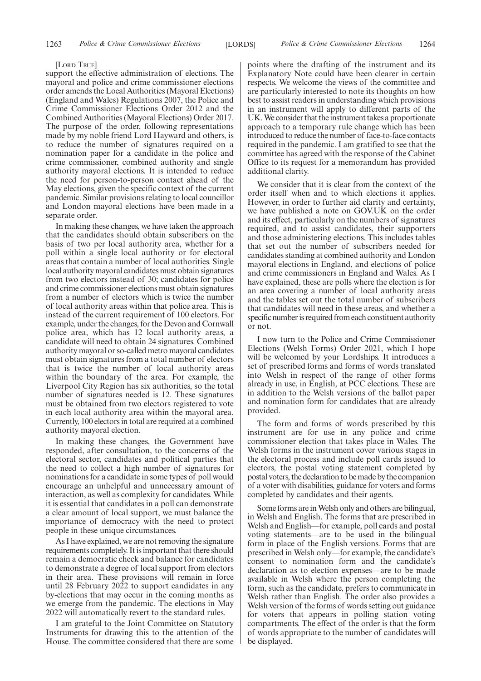#### [LORD TRUE]

support the effective administration of elections. The mayoral and police and crime commissioner elections order amends the Local Authorities (Mayoral Elections) (England and Wales) Regulations 2007, the Police and Crime Commissioner Elections Order 2012 and the Combined Authorities (Mayoral Elections) Order 2017. The purpose of the order, following representations made by my noble friend Lord Hayward and others, is to reduce the number of signatures required on a nomination paper for a candidate in the police and crime commissioner, combined authority and single authority mayoral elections. It is intended to reduce the need for person-to-person contact ahead of the May elections, given the specific context of the current pandemic. Similar provisions relating to local councillor and London mayoral elections have been made in a separate order.

In making these changes, we have taken the approach that the candidates should obtain subscribers on the basis of two per local authority area, whether for a poll within a single local authority or for electoral areas that contain a number of local authorities. Single local authority mayoral candidates must obtain signatures from two electors instead of 30; candidates for police and crime commissioner elections must obtain signatures from a number of electors which is twice the number of local authority areas within that police area. This is instead of the current requirement of 100 electors. For example, under the changes, for the Devon and Cornwall police area, which has 12 local authority areas, a candidate will need to obtain 24 signatures. Combined authority mayoral or so-called metro mayoral candidates must obtain signatures from a total number of electors that is twice the number of local authority areas within the boundary of the area. For example, the Liverpool City Region has six authorities, so the total number of signatures needed is 12. These signatures must be obtained from two electors registered to vote in each local authority area within the mayoral area. Currently, 100 electors in total are required at a combined authority mayoral election.

In making these changes, the Government have responded, after consultation, to the concerns of the electoral sector, candidates and political parties that the need to collect a high number of signatures for nominations for a candidate in some types of poll would encourage an unhelpful and unnecessary amount of interaction, as well as complexity for candidates. While it is essential that candidates in a poll can demonstrate a clear amount of local support, we must balance the importance of democracy with the need to protect people in these unique circumstances.

As I have explained, we are not removing the signature requirements completely. It is important that there should remain a democratic check and balance for candidates to demonstrate a degree of local support from electors in their area. These provisions will remain in force until 28 February 2022 to support candidates in any by-elections that may occur in the coming months as we emerge from the pandemic. The elections in May 2022 will automatically revert to the standard rules.

I am grateful to the Joint Committee on Statutory Instruments for drawing this to the attention of the House. The committee considered that there are some points where the drafting of the instrument and its Explanatory Note could have been clearer in certain respects. We welcome the views of the committee and are particularly interested to note its thoughts on how best to assist readers in understanding which provisions in an instrument will apply to different parts of the UK. We consider that the instrument takes a proportionate approach to a temporary rule change which has been introduced to reduce the number of face-to-face contacts required in the pandemic. I am gratified to see that the committee has agreed with the response of the Cabinet Office to its request for a memorandum has provided additional clarity.

We consider that it is clear from the context of the order itself when and to which elections it applies. However, in order to further aid clarity and certainty, we have published a note on GOV.UK on the order and its effect, particularly on the numbers of signatures required, and to assist candidates, their supporters and those administering elections. This includes tables that set out the number of subscribers needed for candidates standing at combined authority and London mayoral elections in England, and elections of police and crime commissioners in England and Wales. As I have explained, these are polls where the election is for an area covering a number of local authority areas and the tables set out the total number of subscribers that candidates will need in these areas, and whether a specific number is required from each constituent authority or not.

I now turn to the Police and Crime Commissioner Elections (Welsh Forms) Order 2021, which I hope will be welcomed by your Lordships. It introduces a set of prescribed forms and forms of words translated into Welsh in respect of the range of other forms already in use, in English, at PCC elections. These are in addition to the Welsh versions of the ballot paper and nomination form for candidates that are already provided.

The form and forms of words prescribed by this instrument are for use in any police and crime commissioner election that takes place in Wales. The Welsh forms in the instrument cover various stages in the electoral process and include poll cards issued to electors, the postal voting statement completed by postal voters, the declaration to be made by the companion of a voter with disabilities, guidance for voters and forms completed by candidates and their agents.

Some forms are in Welsh only and others are bilingual, in Welsh and English. The forms that are prescribed in Welsh and English—for example, poll cards and postal voting statements—are to be used in the bilingual form in place of the English versions. Forms that are prescribed in Welsh only—for example, the candidate's consent to nomination form and the candidate's declaration as to election expenses—are to be made available in Welsh where the person completing the form, such as the candidate, prefers to communicate in Welsh rather than English. The order also provides a Welsh version of the forms of words setting out guidance for voters that appears in polling station voting compartments. The effect of the order is that the form of words appropriate to the number of candidates will be displayed.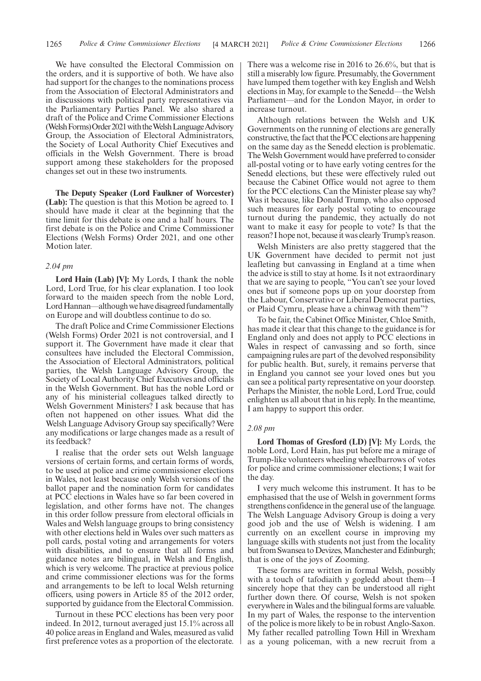We have consulted the Electoral Commission on the orders, and it is supportive of both. We have also had support for the changes to the nominations process from the Association of Electoral Administrators and in discussions with political party representatives via the Parliamentary Parties Panel. We also shared a draft of the Police and Crime Commissioner Elections (Welsh Forms) Order 2021 with the Welsh Language Advisory Group, the Association of Electoral Administrators, the Society of Local Authority Chief Executives and officials in the Welsh Government. There is broad support among these stakeholders for the proposed changes set out in these two instruments.

**The Deputy Speaker (Lord Faulkner of Worcester) (Lab):** The question is that this Motion be agreed to. I should have made it clear at the beginning that the time limit for this debate is one and a half hours. The first debate is on the Police and Crime Commissioner Elections (Welsh Forms) Order 2021, and one other Motion later.

#### *2.04 pm*

**Lord Hain (Lab) [V]:** My Lords, I thank the noble Lord, Lord True, for his clear explanation. I too look forward to the maiden speech from the noble Lord, Lord Hannan—although we have disagreed fundamentally on Europe and will doubtless continue to do so.

The draft Police and Crime Commissioner Elections (Welsh Forms) Order 2021 is not controversial, and I support it. The Government have made it clear that consultees have included the Electoral Commission, the Association of Electoral Administrators, political parties, the Welsh Language Advisory Group, the Society of Local Authority Chief Executives and officials in the Welsh Government. But has the noble Lord or any of his ministerial colleagues talked directly to Welsh Government Ministers? I ask because that has often not happened on other issues. What did the Welsh Language Advisory Group say specifically? Were any modifications or large changes made as a result of its feedback?

I realise that the order sets out Welsh language versions of certain forms, and certain forms of words, to be used at police and crime commissioner elections in Wales, not least because only Welsh versions of the ballot paper and the nomination form for candidates at PCC elections in Wales have so far been covered in legislation, and other forms have not. The changes in this order follow pressure from electoral officials in Wales and Welsh language groups to bring consistency with other elections held in Wales over such matters as poll cards, postal voting and arrangements for voters with disabilities, and to ensure that all forms and guidance notes are bilingual, in Welsh and English, which is very welcome. The practice at previous police and crime commissioner elections was for the forms and arrangements to be left to local Welsh returning officers, using powers in Article 85 of the 2012 order, supported by guidance from the Electoral Commission.

Turnout in these PCC elections has been very poor indeed. In 2012, turnout averaged just 15.1% across all 40 police areas in England and Wales, measured as valid first preference votes as a proportion of the electorate. There was a welcome rise in 2016 to 26.6%, but that is still a miserably low figure. Presumably, the Government have lumped them together with key English and Welsh elections in May, for example to the Senedd—the Welsh Parliament—and for the London Mayor, in order to increase turnout.

Although relations between the Welsh and UK Governments on the running of elections are generally constructive, the fact that the PCC elections are happening on the same day as the Senedd election is problematic. The Welsh Government would have preferred to consider all-postal voting or to have early voting centres for the Senedd elections, but these were effectively ruled out because the Cabinet Office would not agree to them for the PCC elections. Can the Minister please say why? Was it because, like Donald Trump, who also opposed such measures for early postal voting to encourage turnout during the pandemic, they actually do not want to make it easy for people to vote? Is that the reason? I hope not, because it was clearly Trump's reason.

Welsh Ministers are also pretty staggered that the UK Government have decided to permit not just leafleting but canvassing in England at a time when the advice is still to stay at home. Is it not extraordinary that we are saying to people, "You can't see your loved ones but if someone pops up on your doorstep from the Labour, Conservative or Liberal Democrat parties, or Plaid Cymru, please have a chinwag with them"?

To be fair, the Cabinet Office Minister, Chloe Smith, has made it clear that this change to the guidance is for England only and does not apply to PCC elections in Wales in respect of canvassing and so forth, since campaigning rules are part of the devolved responsibility for public health. But, surely, it remains perverse that in England you cannot see your loved ones but you can see a political party representative on your doorstep. Perhaps the Minister, the noble Lord, Lord True, could enlighten us all about that in his reply. In the meantime, I am happy to support this order.

#### *2.08 pm*

**Lord Thomas of Gresford (LD) [V]:** My Lords, the noble Lord, Lord Hain, has put before me a mirage of Trump-like volunteers wheeling wheelbarrows of votes for police and crime commissioner elections; I wait for the day.

I very much welcome this instrument. It has to be emphasised that the use of Welsh in government forms strengthens confidence in the general use of the language. The Welsh Language Advisory Group is doing a very good job and the use of Welsh is widening. I am currently on an excellent course in improving my language skills with students not just from the locality but from Swansea to Devizes, Manchester and Edinburgh; that is one of the joys of Zooming.

These forms are written in formal Welsh, possibly with a touch of tafodiaith y gogledd about them—I sincerely hope that they can be understood all right further down there. Of course, Welsh is not spoken everywhere in Wales and the bilingual forms are valuable. In my part of Wales, the response to the intervention of the police is more likely to be in robust Anglo-Saxon. My father recalled patrolling Town Hill in Wrexham as a young policeman, with a new recruit from a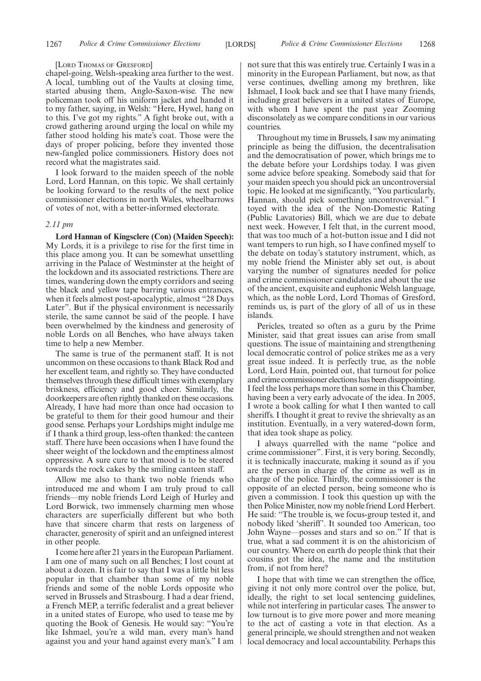#### [LORD THOMAS OF GRESFORD]

chapel-going, Welsh-speaking area further to the west. A local, tumbling out of the Vaults at closing time, started abusing them, Anglo-Saxon-wise. The new policeman took off his uniform jacket and handed it to my father, saying, in Welsh: "Here, Hywel, hang on to this. I've got my rights." A fight broke out, with a crowd gathering around urging the local on while my father stood holding his mate's coat. Those were the days of proper policing, before they invented those new-fangled police commissioners. History does not record what the magistrates said.

I look forward to the maiden speech of the noble Lord, Lord Hannan, on this topic. We shall certainly be looking forward to the results of the next police commissioner elections in north Wales, wheelbarrows of votes of not, with a better-informed electorate.

#### *2.11 pm*

**Lord Hannan of Kingsclere (Con) (Maiden Speech):** My Lords, it is a privilege to rise for the first time in this place among you. It can be somewhat unsettling arriving in the Palace of Westminster at the height of the lockdown and its associated restrictions. There are times, wandering down the empty corridors and seeing the black and yellow tape barring various entrances, when it feels almost post-apocalyptic, almost "28 Days Later". But if the physical environment is necessarily sterile, the same cannot be said of the people. I have been overwhelmed by the kindness and generosity of noble Lords on all Benches, who have always taken time to help a new Member.

The same is true of the permanent staff. It is not uncommon on these occasions to thank Black Rod and her excellent team, and rightly so. They have conducted themselves through these difficult times with exemplary briskness, efficiency and good cheer. Similarly, the doorkeepers are often rightly thanked on these occasions. Already, I have had more than once had occasion to be grateful to them for their good humour and their good sense. Perhaps your Lordships might indulge me if I thank a third group, less-often thanked: the canteen staff. There have been occasions when I have found the sheer weight of the lockdown and the emptiness almost oppressive. A sure cure to that mood is to be steered towards the rock cakes by the smiling canteen staff.

Allow me also to thank two noble friends who introduced me and whom I am truly proud to call friends—my noble friends Lord Leigh of Hurley and Lord Borwick, two immensely charming men whose characters are superficially different but who both have that sincere charm that rests on largeness of character, generosity of spirit and an unfeigned interest in other people.

I come here after 21 years in the European Parliament. I am one of many such on all Benches; I lost count at about a dozen. It is fair to say that I was a little bit less popular in that chamber than some of my noble friends and some of the noble Lords opposite who served in Brussels and Strasbourg. I had a dear friend, a French MEP, a terrific federalist and a great believer in a united states of Europe, who used to tease me by quoting the Book of Genesis. He would say: "You're like Ishmael, you're a wild man, every man's hand against you and your hand against every man's." I am not sure that this was entirely true. Certainly I was in a minority in the European Parliament, but now, as that verse continues, dwelling among my brethren, like Ishmael, I look back and see that I have many friends, including great believers in a united states of Europe, with whom I have spent the past year Zooming disconsolately as we compare conditions in our various countries.

Throughout my time in Brussels, I saw my animating principle as being the diffusion, the decentralisation and the democratisation of power, which brings me to the debate before your Lordships today. I was given some advice before speaking. Somebody said that for your maiden speech you should pick an uncontroversial topic. He looked at me significantly, "You particularly, Hannan, should pick something uncontroversial." I toyed with the idea of the Non-Domestic Rating (Public Lavatories) Bill, which we are due to debate next week. However, I felt that, in the current mood, that was too much of a hot-button issue and I did not want tempers to run high, so I have confined myself to the debate on today's statutory instrument, which, as my noble friend the Minister ably set out, is about varying the number of signatures needed for police and crime commissioner candidates and about the use of the ancient, exquisite and euphonic Welsh language, which, as the noble Lord, Lord Thomas of Gresford, reminds us, is part of the glory of all of us in these islands.

Pericles, treated so often as a guru by the Prime Minister, said that great issues can arise from small questions. The issue of maintaining and strengthening local democratic control of police strikes me as a very great issue indeed. It is perfectly true, as the noble Lord, Lord Hain, pointed out, that turnout for police and crime commissioner elections has been disappointing. I feel the loss perhaps more than some in this Chamber, having been a very early advocate of the idea. In 2005, I wrote a book calling for what I then wanted to call sheriffs. I thought it great to revive the shrievalty as an institution. Eventually, in a very watered-down form, that idea took shape as policy.

I always quarrelled with the name "police and crime commissioner". First, it is very boring. Secondly, it is technically inaccurate, making it sound as if you are the person in charge of the crime as well as in charge of the police. Thirdly, the commissioner is the opposite of an elected person, being someone who is given a commission. I took this question up with the then Police Minister, now my noble friend Lord Herbert. He said: "The trouble is, we focus-group tested it, and nobody liked 'sheriff'. It sounded too American, too John Wayne—posses and stars and so on." If that is true, what a sad comment it is on the ahistoricism of our country. Where on earth do people think that their cousins got the idea, the name and the institution from, if not from here?

I hope that with time we can strengthen the office, giving it not only more control over the police, but, ideally, the right to set local sentencing guidelines, while not interfering in particular cases. The answer to low turnout is to give more power and more meaning to the act of casting a vote in that election. As a general principle, we should strengthen and not weaken local democracy and local accountability. Perhaps this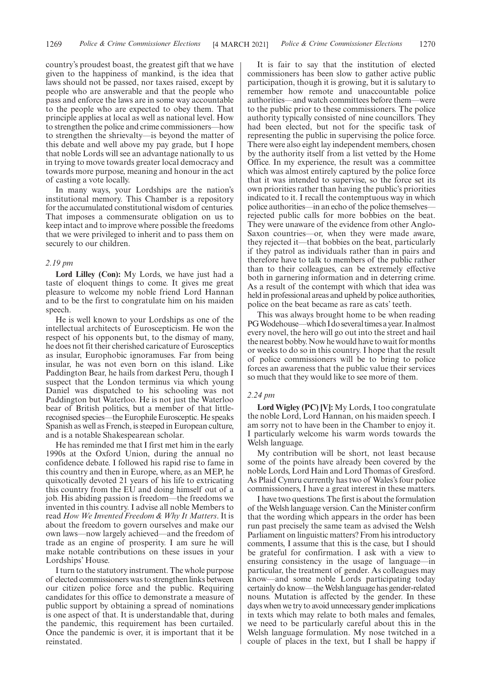country's proudest boast, the greatest gift that we have given to the happiness of mankind, is the idea that laws should not be passed, nor taxes raised, except by people who are answerable and that the people who pass and enforce the laws are in some way accountable to the people who are expected to obey them. That principle applies at local as well as national level. How to strengthen the police and crime commissioners—how to strengthen the shrievalty—is beyond the matter of this debate and well above my pay grade, but I hope that noble Lords will see an advantage nationally to us in trying to move towards greater local democracy and towards more purpose, meaning and honour in the act of casting a vote locally.

In many ways, your Lordships are the nation's institutional memory. This Chamber is a repository for the accumulated constitutional wisdom of centuries. That imposes a commensurate obligation on us to keep intact and to improve where possible the freedoms that we were privileged to inherit and to pass them on securely to our children.

#### *2.19 pm*

**Lord Lilley (Con):** My Lords, we have just had a taste of eloquent things to come. It gives me great pleasure to welcome my noble friend Lord Hannan and to be the first to congratulate him on his maiden speech.

He is well known to your Lordships as one of the intellectual architects of Euroscepticism. He won the respect of his opponents but, to the dismay of many, he does not fit their cherished caricature of Eurosceptics as insular, Europhobic ignoramuses. Far from being insular, he was not even born on this island. Like Paddington Bear, he hails from darkest Peru, though I suspect that the London terminus via which young Daniel was dispatched to his schooling was not Paddington but Waterloo. He is not just the Waterloo bear of British politics, but a member of that littlerecognised species—the Europhile Eurosceptic. He speaks Spanish as well as French, is steeped in European culture, and is a notable Shakespearean scholar.

He has reminded me that I first met him in the early 1990s at the Oxford Union, during the annual no confidence debate. I followed his rapid rise to fame in this country and then in Europe, where, as an MEP, he quixotically devoted 21 years of his life to extricating this country from the EU and doing himself out of a job. His abiding passion is freedom—the freedoms we invented in this country. I advise all noble Members to read *How We Invented Freedom & Why It Matters*. It is about the freedom to govern ourselves and make our own laws—now largely achieved—and the freedom of trade as an engine of prosperity. I am sure he will make notable contributions on these issues in your Lordships' House.

I turn to the statutory instrument. The whole purpose of elected commissioners was to strengthen links between our citizen police force and the public. Requiring candidates for this office to demonstrate a measure of public support by obtaining a spread of nominations is one aspect of that. It is understandable that, during the pandemic, this requirement has been curtailed. Once the pandemic is over, it is important that it be reinstated.

It is fair to say that the institution of elected commissioners has been slow to gather active public participation, though it is growing, but it is salutary to remember how remote and unaccountable police authorities—and watch committees before them—were to the public prior to these commissioners. The police authority typically consisted of nine councillors. They had been elected, but not for the specific task of representing the public in supervising the police force. There were also eight lay independent members, chosen by the authority itself from a list vetted by the Home Office. In my experience, the result was a committee which was almost entirely captured by the police force that it was intended to supervise, so the force set its own priorities rather than having the public's priorities indicated to it. I recall the contemptuous way in which police authorities—in an echo of the police themselves rejected public calls for more bobbies on the beat. They were unaware of the evidence from other Anglo-Saxon countries—or, when they were made aware, they rejected it—that bobbies on the beat, particularly if they patrol as individuals rather than in pairs and therefore have to talk to members of the public rather than to their colleagues, can be extremely effective both in garnering information and in deterring crime. As a result of the contempt with which that idea was held in professional areas and upheld by police authorities, police on the beat became as rare as cats' teeth.

This was always brought home to be when reading PG Wodehouse—which I do several times a year. In almost every novel, the hero will go out into the street and hail the nearest bobby. Now he would have to wait for months or weeks to do so in this country. I hope that the result of police commissioners will be to bring to police forces an awareness that the public value their services so much that they would like to see more of them.

#### *2.24 pm*

**Lord Wigley (PC) [V]:** My Lords, I too congratulate the noble Lord, Lord Hannan, on his maiden speech. I am sorry not to have been in the Chamber to enjoy it. I particularly welcome his warm words towards the Welsh language.

My contribution will be short, not least because some of the points have already been covered by the noble Lords, Lord Hain and Lord Thomas of Gresford. As Plaid Cymru currently has two of Wales's four police commissioners, I have a great interest in these matters.

I have two questions. The first is about the formulation of the Welsh language version. Can the Minister confirm that the wording which appears in the order has been run past precisely the same team as advised the Welsh Parliament on linguistic matters? From his introductory comments, I assume that this is the case, but I should be grateful for confirmation. I ask with a view to ensuring consistency in the usage of language—in particular, the treatment of gender. As colleagues may know—and some noble Lords participating today certainly do know—the Welsh language has gender-related nouns. Mutation is affected by the gender. In these days when we try to avoid unnecessary gender implications in texts which may relate to both males and females, we need to be particularly careful about this in the Welsh language formulation. My nose twitched in a couple of places in the text, but I shall be happy if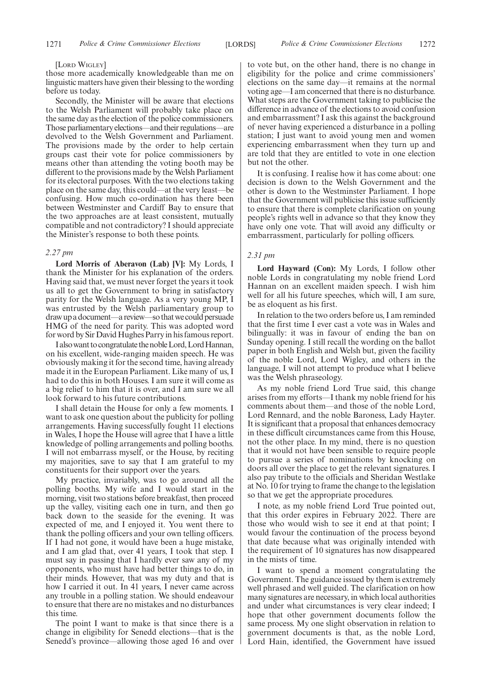#### [LORD WIGLEY]

those more academically knowledgeable than me on linguistic matters have given their blessing to the wording before us today.

Secondly, the Minister will be aware that elections to the Welsh Parliament will probably take place on the same day as the election of the police commissioners. Those parliamentary elections—and their regulations—are devolved to the Welsh Government and Parliament. The provisions made by the order to help certain groups cast their vote for police commissioners by means other than attending the voting booth may be different to the provisions made by the Welsh Parliament for its electoral purposes. With the two elections taking place on the same day, this could—at the very least—be confusing. How much co-ordination has there been between Westminster and Cardiff Bay to ensure that the two approaches are at least consistent, mutually compatible and not contradictory? I should appreciate the Minister's response to both these points.

#### *2.27 pm*

**Lord Morris of Aberavon (Lab) [V]:** My Lords, I thank the Minister for his explanation of the orders. Having said that, we must never forget the years it took us all to get the Government to bring in satisfactory parity for the Welsh language. As a very young MP, I was entrusted by the Welsh parliamentary group to draw up a document—a review—so that we could persuade HMG of the need for parity. This was adopted word for word by Sir David Hughes Parry in his famous report.

I also want to congratulate the noble Lord, Lord Hannan, on his excellent, wide-ranging maiden speech. He was obviously making it for the second time, having already made it in the European Parliament. Like many of us, I had to do this in both Houses. I am sure it will come as a big relief to him that it is over, and I am sure we all look forward to his future contributions.

I shall detain the House for only a few moments. I want to ask one question about the publicity for polling arrangements. Having successfully fought 11 elections in Wales, I hope the House will agree that I have a little knowledge of polling arrangements and polling booths. I will not embarrass myself, or the House, by reciting my majorities, save to say that I am grateful to my constituents for their support over the years.

My practice, invariably, was to go around all the polling booths. My wife and I would start in the morning, visit two stations before breakfast, then proceed up the valley, visiting each one in turn, and then go back down to the seaside for the evening. It was expected of me, and I enjoyed it. You went there to thank the polling officers and your own telling officers. If I had not gone, it would have been a huge mistake, and I am glad that, over 41 years, I took that step. I must say in passing that I hardly ever saw any of my opponents, who must have had better things to do, in their minds. However, that was my duty and that is how I carried it out. In 41 years, I never came across any trouble in a polling station. We should endeavour to ensure that there are no mistakes and no disturbances this time.

The point I want to make is that since there is a change in eligibility for Senedd elections—that is the Senedd's province—allowing those aged 16 and over to vote but, on the other hand, there is no change in eligibility for the police and crime commissioners' elections on the same day—it remains at the normal voting age—I am concerned that there is no disturbance. What steps are the Government taking to publicise the difference in advance of the elections to avoid confusion and embarrassment? I ask this against the background of never having experienced a disturbance in a polling station; I just want to avoid young men and women experiencing embarrassment when they turn up and are told that they are entitled to vote in one election but not the other.

It is confusing. I realise how it has come about: one decision is down to the Welsh Government and the other is down to the Westminster Parliament. I hope that the Government will publicise this issue sufficiently to ensure that there is complete clarification on young people's rights well in advance so that they know they have only one vote. That will avoid any difficulty or embarrassment, particularly for polling officers.

#### *2.31 pm*

**Lord Hayward (Con):** My Lords, I follow other noble Lords in congratulating my noble friend Lord Hannan on an excellent maiden speech. I wish him well for all his future speeches, which will, I am sure, be as eloquent as his first.

In relation to the two orders before us, I am reminded that the first time I ever cast a vote was in Wales and bilingually: it was in favour of ending the ban on Sunday opening. I still recall the wording on the ballot paper in both English and Welsh but, given the facility of the noble Lord, Lord Wigley, and others in the language, I will not attempt to produce what I believe was the Welsh phraseology.

As my noble friend Lord True said, this change arises from my efforts—I thank my noble friend for his comments about them—and those of the noble Lord, Lord Rennard, and the noble Baroness, Lady Hayter. It is significant that a proposal that enhances democracy in these difficult circumstances came from this House, not the other place. In my mind, there is no question that it would not have been sensible to require people to pursue a series of nominations by knocking on doors all over the place to get the relevant signatures. I also pay tribute to the officials and Sheridan Westlake at No. 10 for trying to frame the change to the legislation so that we get the appropriate procedures.

I note, as my noble friend Lord True pointed out, that this order expires in February 2022. There are those who would wish to see it end at that point; I would favour the continuation of the process beyond that date because what was originally intended with the requirement of 10 signatures has now disappeared in the mists of time.

I want to spend a moment congratulating the Government. The guidance issued by them is extremely well phrased and well guided. The clarification on how many signatures are necessary, in which local authorities and under what circumstances is very clear indeed; I hope that other government documents follow the same process. My one slight observation in relation to government documents is that, as the noble Lord, Lord Hain, identified, the Government have issued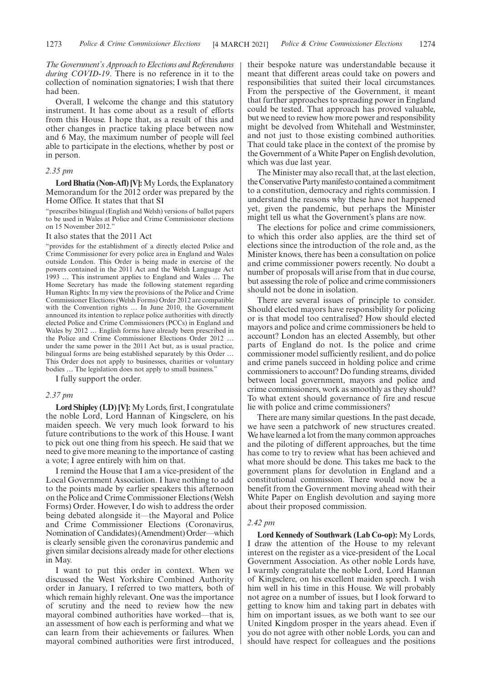*The Government's Approach to Elections and Referendums during COVID-19*. There is no reference in it to the collection of nomination signatories; I wish that there had been.

Overall, I welcome the change and this statutory instrument. It has come about as a result of efforts from this House. I hope that, as a result of this and other changes in practice taking place between now and 6 May, the maximum number of people will feel able to participate in the elections, whether by post or in person.

#### *2.35 pm*

**Lord Bhatia (Non-Afl) [V]:**My Lords, the Explanatory Memorandum for the 2012 order was prepared by the Home Office. It states that that SI

"prescribes bilingual (English and Welsh) versions of ballot papers to be used in Wales at Police and Crime Commissioner elections on 15 November 2012.

#### It also states that the 2011 Act

"provides for the establishment of a directly elected Police and Crime Commissioner for every police area in England and Wales outside London. This Order is being made in exercise of the powers contained in the 2011 Act and the Welsh Language Act 1993 … This instrument applies to England and Wales … The Home Secretary has made the following statement regarding Human Rights: In my view the provisions of the Police and Crime Commissioner Elections (Welsh Forms) Order 2012 are compatible with the Convention rights … In June 2010, the Government announced its intention to replace police authorities with directly elected Police and Crime Commissioners (PCCs) in England and Wales by 2012 … English forms have already been prescribed in the Police and Crime Commissioner Elections Order 2012 … under the same power in the 2011 Act but, as is usual practice, bilingual forms are being established separately by this Order … This Order does not apply to businesses, charities or voluntary bodies … The legislation does not apply to small business."

I fully support the order.

#### *2.37 pm*

**Lord Shipley (LD) [V]:** My Lords, first, I congratulate the noble Lord, Lord Hannan of Kingsclere, on his maiden speech. We very much look forward to his future contributions to the work of this House. I want to pick out one thing from his speech. He said that we need to give more meaning to the importance of casting a vote; I agree entirely with him on that.

I remind the House that I am a vice-president of the Local Government Association. I have nothing to add to the points made by earlier speakers this afternoon on the Police and Crime Commissioner Elections (Welsh Forms) Order. However, I do wish to address the order being debated alongside it—the Mayoral and Police and Crime Commissioner Elections (Coronavirus, Nomination of Candidates) (Amendment) Order—which is clearly sensible given the coronavirus pandemic and given similar decisions already made for other elections in May.

I want to put this order in context. When we discussed the West Yorkshire Combined Authority order in January, I referred to two matters, both of which remain highly relevant. One was the importance of scrutiny and the need to review how the new mayoral combined authorities have worked—that is, an assessment of how each is performing and what we can learn from their achievements or failures. When mayoral combined authorities were first introduced,

their bespoke nature was understandable because it meant that different areas could take on powers and responsibilities that suited their local circumstances. From the perspective of the Government, it meant that further approaches to spreading power in England could be tested. That approach has proved valuable, but we need to review how more power and responsibility might be devolved from Whitehall and Westminster, and not just to those existing combined authorities. That could take place in the context of the promise by the Government of a White Paper on English devolution, which was due last year.

The Minister may also recall that, at the last election, the Conservative Party manifesto contained a commitment to a constitution, democracy and rights commission. I understand the reasons why these have not happened yet, given the pandemic, but perhaps the Minister might tell us what the Government's plans are now.

The elections for police and crime commissioners, to which this order also applies, are the third set of elections since the introduction of the role and, as the Minister knows, there has been a consultation on police and crime commissioner powers recently. No doubt a number of proposals will arise from that in due course, but assessing the role of police and crime commissioners should not be done in isolation.

There are several issues of principle to consider. Should elected mayors have responsibility for policing or is that model too centralised? How should elected mayors and police and crime commissioners be held to account? London has an elected Assembly, but other parts of England do not. Is the police and crime commissioner model sufficiently resilient, and do police and crime panels succeed in holding police and crime commissioners to account? Do funding streams, divided between local government, mayors and police and crime commissioners, work as smoothly as they should? To what extent should governance of fire and rescue lie with police and crime commissioners?

There are many similar questions. In the past decade, we have seen a patchwork of new structures created. We have learned a lot from the many common approaches and the piloting of different approaches, but the time has come to try to review what has been achieved and what more should be done. This takes me back to the government plans for devolution in England and a constitutional commission. There would now be a benefit from the Government moving ahead with their White Paper on English devolution and saying more about their proposed commission.

#### *2.42 pm*

**Lord Kennedy of Southwark (Lab Co-op):** My Lords, I draw the attention of the House to my relevant interest on the register as a vice-president of the Local Government Association. As other noble Lords have, I warmly congratulate the noble Lord, Lord Hannan of Kingsclere, on his excellent maiden speech. I wish him well in his time in this House. We will probably not agree on a number of issues, but I look forward to getting to know him and taking part in debates with him on important issues, as we both want to see our United Kingdom prosper in the years ahead. Even if you do not agree with other noble Lords, you can and should have respect for colleagues and the positions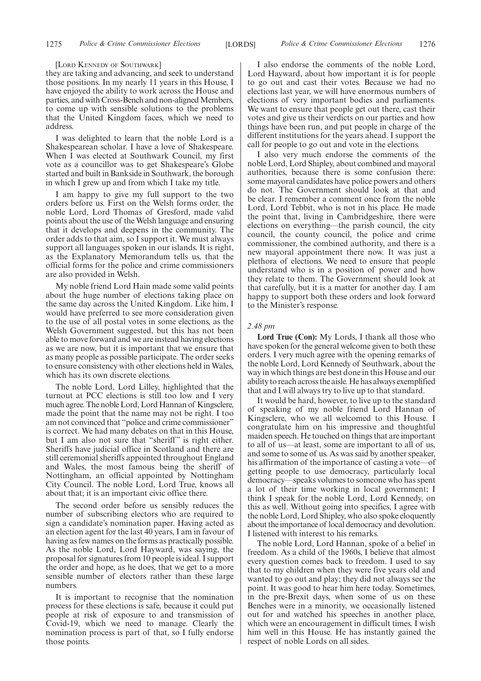#### [LORD KENNEDY OF SOUTHWARK]

they are taking and advancing, and seek to understand those positions. In my nearly 11 years in this House, I have enjoyed the ability to work across the House and parties, and with Cross-Bench and non-aligned Members, to come up with sensible solutions to the problems that the United Kingdom faces, which we need to address.

I was delighted to learn that the noble Lord is a Shakespearean scholar. I have a love of Shakespeare. When I was elected at Southwark Council, my first vote as a councillor was to get Shakespeare's Globe started and built in Bankside in Southwark, the borough in which I grew up and from which I take my title.

I am happy to give my full support to the two orders before us. First on the Welsh forms order, the noble Lord, Lord Thomas of Gresford, made valid points about the use of the Welsh language and ensuring that it develops and deepens in the community. The order adds to that aim, so I support it. We must always support all languages spoken in our islands. It is right, as the Explanatory Memorandum tells us, that the official forms for the police and crime commissioners are also provided in Welsh.

My noble friend Lord Hain made some valid points about the huge number of elections taking place on the same day across the United Kingdom. Like him, I would have preferred to see more consideration given to the use of all postal votes in some elections, as the Welsh Government suggested, but this has not been able to move forward and we are instead having elections as we are now, but it is important that we ensure that as many people as possible participate. The order seeks to ensure consistency with other elections held in Wales, which has its own discrete elections.

The noble Lord, Lord Lilley, highlighted that the turnout at PCC elections is still too low and I very much agree. The noble Lord, Lord Hannan of Kingsclere, made the point that the name may not be right. I too am not convinced that "police and crime commissioner" is correct. We had many debates on that in this House, but I am also not sure that "sheriff" is right either. Sheriffs have judicial office in Scotland and there are still ceremonial sheriffs appointed throughout England and Wales, the most famous being the sheriff of Nottingham, an official appointed by Nottingham City Council. The noble Lord, Lord True, knows all about that; it is an important civic office there.

The second order before us sensibly reduces the number of subscribing electors who are required to sign a candidate's nomination paper. Having acted as an election agent for the last 40 years, I am in favour of having as few names on the forms as practically possible. As the noble Lord, Lord Hayward, was saying, the proposal for signatures from 10 people is ideal. I support the order and hope, as he does, that we get to a more sensible number of electors rather than these large numbers.

It is important to recognise that the nomination process for these elections is safe, because it could put people at risk of exposure to and transmission of Covid-19, which we need to manage. Clearly the nomination process is part of that, so I fully endorse those points.

I also endorse the comments of the noble Lord, Lord Hayward, about how important it is for people to go out and cast their votes. Because we had no elections last year, we will have enormous numbers of elections of very important bodies and parliaments. We want to ensure that people get out there, cast their votes and give us their verdicts on our parties and how things have been run, and put people in charge of the different institutions for the years ahead. I support the call for people to go out and vote in the elections.

I also very much endorse the comments of the noble Lord, Lord Shipley, about combined and mayoral authorities, because there is some confusion there: some mayoral candidates have police powers and others do not. The Government should look at that and be clear. I remember a comment once from the noble Lord, Lord Tebbit, who is not in his place. He made the point that, living in Cambridgeshire, there were elections on everything—the parish council, the city council, the county council, the police and crime commissioner, the combined authority, and there is a new mayoral appointment there now. It was just a plethora of elections. We need to ensure that people understand who is in a position of power and how they relate to them. The Government should look at that carefully, but it is a matter for another day. I am happy to support both these orders and look forward to the Minister's response.

#### *2.48 pm*

**Lord True (Con):** My Lords, I thank all those who have spoken for the general welcome given to both these orders. I very much agree with the opening remarks of the noble Lord, Lord Kennedy of Southwark, about the way in which things are best done in this House and our ability to reach across the aisle. He has always exemplified that and I will always try to live up to that standard.

It would be hard, however, to live up to the standard of speaking of my noble friend Lord Hannan of Kingsclere, who we all welcomed to this House. I congratulate him on his impressive and thoughtful maiden speech. He touched on things that are important to all of us—at least, some are important to all of us, and some to some of us. As was said by another speaker, his affirmation of the importance of casting a vote—of getting people to use democracy, particularly local democracy—speaks volumes to someone who has spent a lot of their time working in local government; I think I speak for the noble Lord, Lord Kennedy, on this as well. Without going into specifics, I agree with the noble Lord, Lord Shipley, who also spoke eloquently about the importance of local democracy and devolution. I listened with interest to his remarks.

The noble Lord, Lord Hannan, spoke of a belief in freedom. As a child of the 1960s, I believe that almost every question comes back to freedom. I used to say that to my children when they were five years old and wanted to go out and play; they did not always see the point. It was good to hear him here today. Sometimes, in the pre-Brexit days, when some of us on these Benches were in a minority, we occasionally listened out for and watched his speeches in another place, which were an encouragement in difficult times. I wish him well in this House. He has instantly gained the respect of noble Lords on all sides.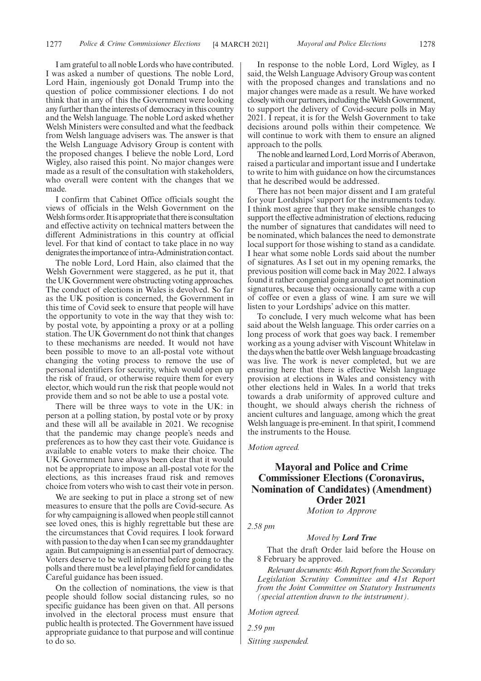I am grateful to all noble Lords who have contributed. I was asked a number of questions. The noble Lord, Lord Hain, ingeniously got Donald Trump into the question of police commissioner elections. I do not think that in any of this the Government were looking any further than the interests of democracy in this country and the Welsh language. The noble Lord asked whether Welsh Ministers were consulted and what the feedback from Welsh language advisers was. The answer is that the Welsh Language Advisory Group is content with the proposed changes. I believe the noble Lord, Lord Wigley, also raised this point. No major changes were made as a result of the consultation with stakeholders, who overall were content with the changes that we made.

I confirm that Cabinet Office officials sought the views of officials in the Welsh Government on the Welsh forms order. It is appropriate that there is consultation and effective activity on technical matters between the different Administrations in this country at official level. For that kind of contact to take place in no way denigrates the importance of intra-Administration contact.

The noble Lord, Lord Hain, also claimed that the Welsh Government were staggered, as he put it, that the UK Government were obstructing voting approaches. The conduct of elections in Wales is devolved. So far as the UK position is concerned, the Government in this time of Covid seek to ensure that people will have the opportunity to vote in the way that they wish to: by postal vote, by appointing a proxy or at a polling station. The UK Government do not think that changes to these mechanisms are needed. It would not have been possible to move to an all-postal vote without changing the voting process to remove the use of personal identifiers for security, which would open up the risk of fraud, or otherwise require them for every elector, which would run the risk that people would not provide them and so not be able to use a postal vote.

There will be three ways to vote in the UK: in person at a polling station, by postal vote or by proxy and these will all be available in 2021. We recognise that the pandemic may change people's needs and preferences as to how they cast their vote. Guidance is available to enable voters to make their choice. The UK Government have always been clear that it would not be appropriate to impose an all-postal vote for the elections, as this increases fraud risk and removes choice from voters who wish to cast their vote in person.

We are seeking to put in place a strong set of new measures to ensure that the polls are Covid-secure. As for why campaigning is allowed when people still cannot see loved ones, this is highly regrettable but these are the circumstances that Covid requires. I look forward with passion to the day when I can see my granddaughter again. But campaigning is an essential part of democracy. Voters deserve to be well informed before going to the polls and there must be a level playing field for candidates. Careful guidance has been issued.

On the collection of nominations, the view is that people should follow social distancing rules, so no specific guidance has been given on that. All persons involved in the electoral process must ensure that public health is protected. The Government have issued appropriate guidance to that purpose and will continue to do so.

In response to the noble Lord, Lord Wigley, as I said, the Welsh Language Advisory Group was content with the proposed changes and translations and no major changes were made as a result. We have worked closely with our partners, including the Welsh Government, to support the delivery of Covid-secure polls in May 2021. I repeat, it is for the Welsh Government to take decisions around polls within their competence. We will continue to work with them to ensure an aligned approach to the polls.

The noble and learned Lord, Lord Morris of Aberavon, raised a particular and important issue and I undertake to write to him with guidance on how the circumstances that he described would be addressed.

There has not been major dissent and I am grateful for your Lordships' support for the instruments today. I think most agree that they make sensible changes to support the effective administration of elections, reducing the number of signatures that candidates will need to be nominated, which balances the need to demonstrate local support for those wishing to stand as a candidate. I hear what some noble Lords said about the number of signatures. As I set out in my opening remarks, the previous position will come back in May 2022. I always found it rather congenial going around to get nomination signatures, because they occasionally came with a cup of coffee or even a glass of wine. I am sure we will listen to your Lordships' advice on this matter.

To conclude, I very much welcome what has been said about the Welsh language. This order carries on a long process of work that goes way back. I remember working as a young adviser with Viscount Whitelaw in the days when the battle over Welsh language broadcasting was live. The work is never completed, but we are ensuring here that there is effective Welsh language provision at elections in Wales and consistency with other elections held in Wales. In a world that treks towards a drab uniformity of approved culture and thought, we should always cherish the richness of ancient cultures and language, among which the great Welsh language is pre-eminent. In that spirit, I commend the instruments to the House.

*Motion agreed.*

### **Mayoral and Police and Crime Commissioner Elections (Coronavirus, Nomination of Candidates) (Amendment) Order 2021**

*Motion to Approve*

*2.58 pm*

*Moved by Lord True*

That the draft Order laid before the House on 8 February be approved.

*Relevant documents: 46th Report from the Secondary Legislation Scrutiny Committee and 41st Report from the Joint Committee on Statutory Instruments (special attention drawn to the intstrument).*

*Motion agreed.*

*2.59 pm*

*Sitting suspended.*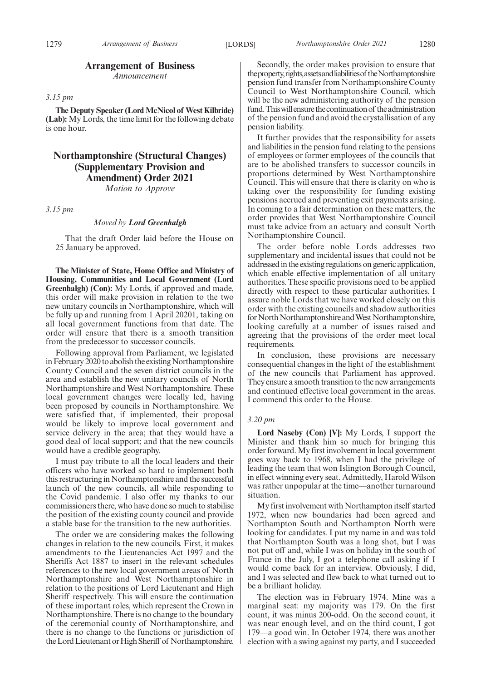#### **Arrangement of Business**

*Announcement*

#### *3.15 pm*

**The Deputy Speaker (Lord McNicol of West Kilbride) (Lab):** My Lords, the time limit for the following debate is one hour.

### **Northamptonshire (Structural Changes) (Supplementary Provision and Amendment) Order 2021**

*Motion to Approve*

*3.15 pm*

#### *Moved by Lord Greenhalgh*

That the draft Order laid before the House on 25 January be approved.

**The Minister of State, Home Office and Ministry of Housing, Communities and Local Government (Lord Greenhalgh) (Con):** My Lords, if approved and made, this order will make provision in relation to the two new unitary councils in Northamptonshire, which will be fully up and running from 1 April 20201, taking on all local government functions from that date. The order will ensure that there is a smooth transition from the predecessor to successor councils.

Following approval from Parliament, we legislated in February 2020 to abolish the existing Northamptonshire County Council and the seven district councils in the area and establish the new unitary councils of North Northamptonshire and West Northamptonshire. These local government changes were locally led, having been proposed by councils in Northamptonshire. We were satisfied that, if implemented, their proposal would be likely to improve local government and service delivery in the area; that they would have a good deal of local support; and that the new councils would have a credible geography.

I must pay tribute to all the local leaders and their officers who have worked so hard to implement both this restructuring in Northamptonshire and the successful launch of the new councils, all while responding to the Covid pandemic. I also offer my thanks to our commissioners there, who have done so much to stabilise the position of the existing county council and provide a stable base for the transition to the new authorities.

The order we are considering makes the following changes in relation to the new councils. First, it makes amendments to the Lieutenancies Act 1997 and the Sheriffs Act 1887 to insert in the relevant schedules references to the new local government areas of North Northamptonshire and West Northamptonshire in relation to the positions of Lord Lieutenant and High Sheriff respectively. This will ensure the continuation of these important roles, which represent the Crown in Northamptonshire. There is no change to the boundary of the ceremonial county of Northamptonshire, and there is no change to the functions or jurisdiction of the Lord Lieutenant or High Sheriff of Northamptonshire.

Secondly, the order makes provision to ensure that the property, rights, assets and liabilities of the Northamptonshire pension fund transfer from Northamptonshire County Council to West Northamptonshire Council, which will be the new administering authority of the pension fund. This will ensure the continuation of the administration of the pension fund and avoid the crystallisation of any pension liability.

It further provides that the responsibility for assets and liabilities in the pension fund relating to the pensions of employees or former employees of the councils that are to be abolished transfers to successor councils in proportions determined by West Northamptonshire Council. This will ensure that there is clarity on who is taking over the responsibility for funding existing pensions accrued and preventing exit payments arising. In coming to a fair determination on these matters, the order provides that West Northamptonshire Council must take advice from an actuary and consult North Northamptonshire Council.

The order before noble Lords addresses two supplementary and incidental issues that could not be addressed in the existing regulations on generic application, which enable effective implementation of all unitary authorities. These specific provisions need to be applied directly with respect to these particular authorities. I assure noble Lords that we have worked closely on this order with the existing councils and shadow authorities for North Northamptonshire and West Northamptonshire, looking carefully at a number of issues raised and agreeing that the provisions of the order meet local requirements.

In conclusion, these provisions are necessary consequential changes in the light of the establishment of the new councils that Parliament has approved. They ensure a smooth transition to the new arrangements and continued effective local government in the areas. I commend this order to the House.

#### *3.20 pm*

**Lord Naseby (Con) [V]:** My Lords, I support the Minister and thank him so much for bringing this order forward. My first involvement in local government goes way back to 1968, when I had the privilege of leading the team that won Islington Borough Council, in effect winning every seat. Admittedly, Harold Wilson was rather unpopular at the time—another turnaround situation.

My first involvement with Northampton itself started 1972, when new boundaries had been agreed and Northampton South and Northampton North were looking for candidates. I put my name in and was told that Northampton South was a long shot, but I was not put off and, while I was on holiday in the south of France in the July, I got a telephone call asking if I would come back for an interview. Obviously, I did, and I was selected and flew back to what turned out to be a brilliant holiday.

The election was in February 1974. Mine was a marginal seat: my majority was 179. On the first count, it was minus 200-odd. On the second count, it was near enough level, and on the third count, I got 179—a good win. In October 1974, there was another election with a swing against my party, and I succeeded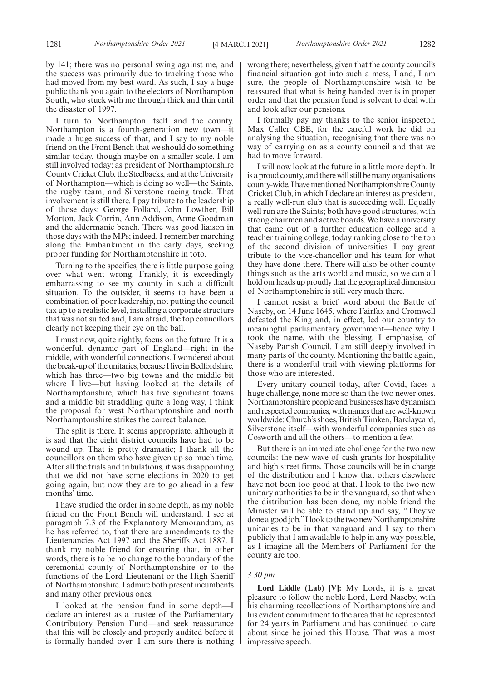by 141; there was no personal swing against me, and the success was primarily due to tracking those who had moved from my best ward. As such, I say a huge public thank you again to the electors of Northampton South, who stuck with me through thick and thin until the disaster of 1997.

I turn to Northampton itself and the county. Northampton is a fourth-generation new town—it made a huge success of that, and I say to my noble friend on the Front Bench that we should do something similar today, though maybe on a smaller scale. I am still involved today: as president of Northamptonshire County Cricket Club, the Steelbacks, and at the University of Northampton—which is doing so well—the Saints, the rugby team, and Silverstone racing track. That involvement is still there. I pay tribute to the leadership of those days: George Pollard, John Lowther, Bill Morton, Jack Corrin, Ann Addison, Anne Goodman and the aldermanic bench. There was good liaison in those days with the MPs; indeed, I remember marching along the Embankment in the early days, seeking proper funding for Northamptonshire in toto.

Turning to the specifics, there is little purpose going over what went wrong. Frankly, it is exceedingly embarrassing to see my county in such a difficult situation. To the outsider, it seems to have been a combination of poor leadership, not putting the council tax up to a realistic level, installing a corporate structure that was not suited and, I am afraid, the top councillors clearly not keeping their eye on the ball.

I must now, quite rightly, focus on the future. It is a wonderful, dynamic part of England—right in the middle, with wonderful connections. I wondered about the break-up of the unitaries, because I live in Bedfordshire, which has three—two big towns and the middle bit where I live—but having looked at the details of Northamptonshire, which has five significant towns and a middle bit straddling quite a long way, I think the proposal for west Northamptonshire and north Northamptonshire strikes the correct balance.

The split is there. It seems appropriate, although it is sad that the eight district councils have had to be wound up. That is pretty dramatic; I thank all the councillors on them who have given up so much time. After all the trials and tribulations, it was disappointing that we did not have some elections in 2020 to get going again, but now they are to go ahead in a few months' time.

I have studied the order in some depth, as my noble friend on the Front Bench will understand. I see at paragraph 7.3 of the Explanatory Memorandum, as he has referred to, that there are amendments to the Lieutenancies Act 1997 and the Sheriffs Act 1887. I thank my noble friend for ensuring that, in other words, there is to be no change to the boundary of the ceremonial county of Northamptonshire or to the functions of the Lord-Lieutenant or the High Sheriff of Northamptonshire. I admire both present incumbents and many other previous ones.

I looked at the pension fund in some depth—I declare an interest as a trustee of the Parliamentary Contributory Pension Fund—and seek reassurance that this will be closely and properly audited before it is formally handed over. I am sure there is nothing wrong there; nevertheless, given that the county council's financial situation got into such a mess, I and, I am sure, the people of Northamptonshire wish to be reassured that what is being handed over is in proper order and that the pension fund is solvent to deal with and look after our pensions.

I formally pay my thanks to the senior inspector, Max Caller CBE, for the careful work he did on analysing the situation, recognising that there was no way of carrying on as a county council and that we had to move forward.

I will now look at the future in a little more depth. It is a proud county, and there will still be many organisations county-wide. I have mentioned Northamptonshire County Cricket Club, in which I declare an interest as president, a really well-run club that is succeeding well. Equally well run are the Saints; both have good structures, with strong chairmen and active boards. We have a university that came out of a further education college and a teacher training college, today ranking close to the top of the second division of universities. I pay great tribute to the vice-chancellor and his team for what they have done there. There will also be other county things such as the arts world and music, so we can all hold our heads up proudly that the geographical dimension of Northamptonshire is still very much there.

I cannot resist a brief word about the Battle of Naseby, on 14 June 1645, where Fairfax and Cromwell defeated the King and, in effect, led our country to meaningful parliamentary government—hence why I took the name, with the blessing, I emphasise, of Naseby Parish Council. I am still deeply involved in many parts of the county. Mentioning the battle again, there is a wonderful trail with viewing platforms for those who are interested.

Every unitary council today, after Covid, faces a huge challenge, none more so than the two newer ones. Northamptonshire people and businesses have dynamism and respected companies, with names that are well-known worldwide: Church's shoes, British Timken, Barclaycard, Silverstone itself—with wonderful companies such as Cosworth and all the others—to mention a few.

But there is an immediate challenge for the two new councils: the new wave of cash grants for hospitality and high street firms. Those councils will be in charge of the distribution and I know that others elsewhere have not been too good at that. I look to the two new unitary authorities to be in the vanguard, so that when the distribution has been done, my noble friend the Minister will be able to stand up and say, "They've done a good job."I look to the two new Northamptonshire unitaries to be in that vanguard and I say to them publicly that I am available to help in any way possible, as I imagine all the Members of Parliament for the county are too.

#### *3.30 pm*

**Lord Liddle (Lab) [V]:** My Lords, it is a great pleasure to follow the noble Lord, Lord Naseby, with his charming recollections of Northamptonshire and his evident commitment to the area that he represented for 24 years in Parliament and has continued to care about since he joined this House. That was a most impressive speech.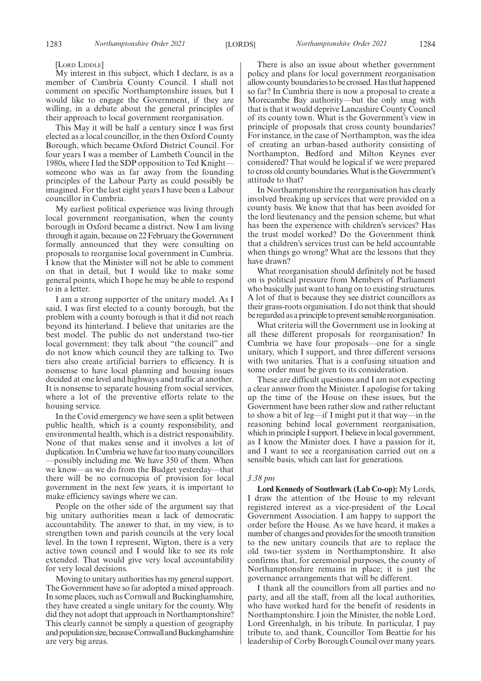[LORD LIDDLE]

My interest in this subject, which I declare, is as a member of Cumbria County Council. I shall not comment on specific Northamptonshire issues, but I would like to engage the Government, if they are willing, in a debate about the general principles of their approach to local government reorganisation.

This May it will be half a century since I was first elected as a local councillor, in the then Oxford County Borough, which became Oxford District Council. For four years I was a member of Lambeth Council in the 1980s, where I led the SDP opposition to Ted Knight someone who was as far away from the founding principles of the Labour Party as could possibly be imagined. For the last eight years I have been a Labour councillor in Cumbria.

My earliest political experience was living through local government reorganisation, when the county borough in Oxford became a district. Now I am living through it again, because on 22 February the Government formally announced that they were consulting on proposals to reorganise local government in Cumbria. I know that the Minister will not be able to comment on that in detail, but I would like to make some general points, which I hope he may be able to respond to in a letter.

I am a strong supporter of the unitary model. As I said, I was first elected to a county borough, but the problem with a county borough is that it did not reach beyond its hinterland. I believe that unitaries are the best model. The public do not understand two-tier local government: they talk about "the council" and do not know which council they are talking to. Two tiers also create artificial barriers to efficiency. It is nonsense to have local planning and housing issues decided at one level and highways and traffic at another. It is nonsense to separate housing from social services, where a lot of the preventive efforts relate to the housing service.

In the Covid emergency we have seen a split between public health, which is a county responsibility, and environmental health, which is a district responsibility. None of that makes sense and it involves a lot of duplication. In Cumbria we have far too many councillors —possibly including me. We have 350 of them. When we know—as we do from the Budget yesterday—that there will be no cornucopia of provision for local government in the next few years, it is important to make efficiency savings where we can.

People on the other side of the argument say that big unitary authorities mean a lack of democratic accountability. The answer to that, in my view, is to strengthen town and parish councils at the very local level. In the town I represent, Wigton, there is a very active town council and I would like to see its role extended. That would give very local accountability for very local decisions.

Moving to unitary authorities has my general support. The Government have so far adopted a mixed approach. In some places, such as Cornwall and Buckinghamshire, they have created a single unitary for the county. Why did they not adopt that approach in Northamptonshire? This clearly cannot be simply a question of geography and population size, because Cornwall and Buckinghamshire are very big areas.

There is also an issue about whether government policy and plans for local government reorganisation allow county boundaries to be crossed. Has that happened so far? In Cumbria there is now a proposal to create a Morecambe Bay authority—but the only snag with that is that it would deprive Lancashire County Council of its county town. What is the Government's view in principle of proposals that cross county boundaries? For instance, in the case of Northampton, was the idea of creating an urban-based authority consisting of Northampton, Bedford and Milton Keynes ever considered? That would be logical if we were prepared to cross old county boundaries. What is the Government's attitude to that?

In Northamptonshire the reorganisation has clearly involved breaking up services that were provided on a county basis. We know that that has been avoided for the lord lieutenancy and the pension scheme, but what has been the experience with children's services? Has the trust model worked? Do the Government think that a children's services trust can be held accountable when things go wrong? What are the lessons that they have drawn?

What reorganisation should definitely not be based on is political pressure from Members of Parliament who basically just want to hang on to existing structures. A lot of that is because they see district councillors as their grass-roots organisation. I do not think that should be regarded as a principle to prevent sensible reorganisation.

What criteria will the Government use in looking at all these different proposals for reorganisation? In Cumbria we have four proposals—one for a single unitary, which I support, and three different versions with two unitaries. That is a confusing situation and some order must be given to its consideration.

These are difficult questions and I am not expecting a clear answer from the Minister. I apologise for taking up the time of the House on these issues, but the Government have been rather slow and rather reluctant to show a bit of leg—if I might put it that way—in the reasoning behind local government reorganisation, which in principle I support. I believe in local government, as I know the Minister does. I have a passion for it, and I want to see a reorganisation carried out on a sensible basis, which can last for generations.

#### *3.38 pm*

**Lord Kennedy of Southwark (Lab Co-op):** My Lords, I draw the attention of the House to my relevant registered interest as a vice-president of the Local Government Association. I am happy to support the order before the House. As we have heard, it makes a number of changes and provides for the smooth transition to the new unitary councils that are to replace the old two-tier system in Northamptonshire. It also confirms that, for ceremonial purposes, the county of Northamptonshire remains in place; it is just the governance arrangements that will be different.

I thank all the councillors from all parties and no party, and all the staff, from all the local authorities, who have worked hard for the benefit of residents in Northamptonshire. I join the Minister, the noble Lord, Lord Greenhalgh, in his tribute. In particular, I pay tribute to, and thank, Councillor Tom Beattie for his leadership of Corby Borough Council over many years.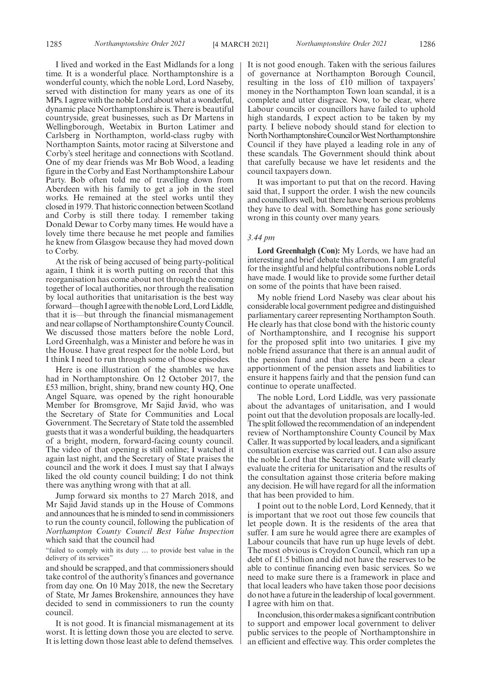I lived and worked in the East Midlands for a long time. It is a wonderful place. Northamptonshire is a wonderful county, which the noble Lord, Lord Naseby, served with distinction for many years as one of its MPs. I agree with the noble Lord about what a wonderful, dynamic place Northamptonshire is. There is beautiful countryside, great businesses, such as Dr Martens in Wellingborough, Weetabix in Burton Latimer and Carlsberg in Northampton, world-class rugby with Northampton Saints, motor racing at Silverstone and Corby's steel heritage and connections with Scotland. One of my dear friends was Mr Bob Wood, a leading figure in the Corby and East Northamptonshire Labour Party. Bob often told me of travelling down from Aberdeen with his family to get a job in the steel works. He remained at the steel works until they closed in 1979. That historic connection between Scotland and Corby is still there today. I remember taking Donald Dewar to Corby many times. He would have a lovely time there because he met people and families he knew from Glasgow because they had moved down to Corby.

At the risk of being accused of being party-political again, I think it is worth putting on record that this reorganisation has come about not through the coming together of local authorities, nor through the realisation by local authorities that unitarisation is the best way forward—though I agree with the noble Lord, Lord Liddle, that it is—but through the financial mismanagement and near collapse of Northamptonshire County Council. We discussed those matters before the noble Lord, Lord Greenhalgh, was a Minister and before he was in the House. I have great respect for the noble Lord, but I think I need to run through some of those episodes.

Here is one illustration of the shambles we have had in Northamptonshire. On 12 October 2017, the £53 million, bright, shiny, brand new county HQ, One Angel Square, was opened by the right honourable Member for Bromsgrove, Mr Sajid Javid, who was the Secretary of State for Communities and Local Government. The Secretary of State told the assembled guests that it was a wonderful building, the headquarters of a bright, modern, forward-facing county council. The video of that opening is still online; I watched it again last night, and the Secretary of State praises the council and the work it does. I must say that I always liked the old county council building; I do not think there was anything wrong with that at all.

Jump forward six months to 27 March 2018, and Mr Sajid Javid stands up in the House of Commons and announces that he is minded to send in commissioners to run the county council, following the publication of *Northampton County Council Best Value Inspection* which said that the council had

"failed to comply with its duty … to provide best value in the delivery of its services'

and should be scrapped, and that commissioners should take control of the authority's finances and governance from day one. On 10 May 2018, the new the Secretary of State, Mr James Brokenshire, announces they have decided to send in commissioners to run the county council.

It is not good. It is financial mismanagement at its worst. It is letting down those you are elected to serve. It is letting down those least able to defend themselves.

It is not good enough. Taken with the serious failures of governance at Northampton Borough Council, resulting in the loss of £10 million of taxpayers' money in the Northampton Town loan scandal, it is a complete and utter disgrace. Now, to be clear, where Labour councils or councillors have failed to uphold high standards, I expect action to be taken by my party. I believe nobody should stand for election to North Northamptonshire Council or West Northamptonshire Council if they have played a leading role in any of these scandals. The Government should think about that carefully because we have let residents and the council taxpayers down.

It was important to put that on the record. Having said that, I support the order. I wish the new councils and councillors well, but there have been serious problems they have to deal with. Something has gone seriously wrong in this county over many years.

#### *3.44 pm*

**Lord Greenhalgh (Con):** My Lords, we have had an interesting and brief debate this afternoon. I am grateful for the insightful and helpful contributions noble Lords have made. I would like to provide some further detail on some of the points that have been raised.

My noble friend Lord Naseby was clear about his considerable local government pedigree and distinguished parliamentary career representing Northampton South. He clearly has that close bond with the historic county of Northamptonshire, and I recognise his support for the proposed split into two unitaries. I give my noble friend assurance that there is an annual audit of the pension fund and that there has been a clear apportionment of the pension assets and liabilities to ensure it happens fairly and that the pension fund can continue to operate unaffected.

The noble Lord, Lord Liddle, was very passionate about the advantages of unitarisation, and I would point out that the devolution proposals are locally-led. The split followed the recommendation of an independent review of Northamptonshire County Council by Max Caller. It was supported by local leaders, and a significant consultation exercise was carried out. I can also assure the noble Lord that the Secretary of State will clearly evaluate the criteria for unitarisation and the results of the consultation against those criteria before making any decision. He will have regard for all the information that has been provided to him.

I point out to the noble Lord, Lord Kennedy, that it is important that we root out those few councils that let people down. It is the residents of the area that suffer. I am sure he would agree there are examples of Labour councils that have run up huge levels of debt. The most obvious is Croydon Council, which ran up a debt of £1.5 billion and did not have the reserves to be able to continue financing even basic services. So we need to make sure there is a framework in place and that local leaders who have taken those poor decisions do not have a future in the leadership of local government. I agree with him on that.

In conclusion, this order makes a significant contribution to support and empower local government to deliver public services to the people of Northamptonshire in an efficient and effective way. This order completes the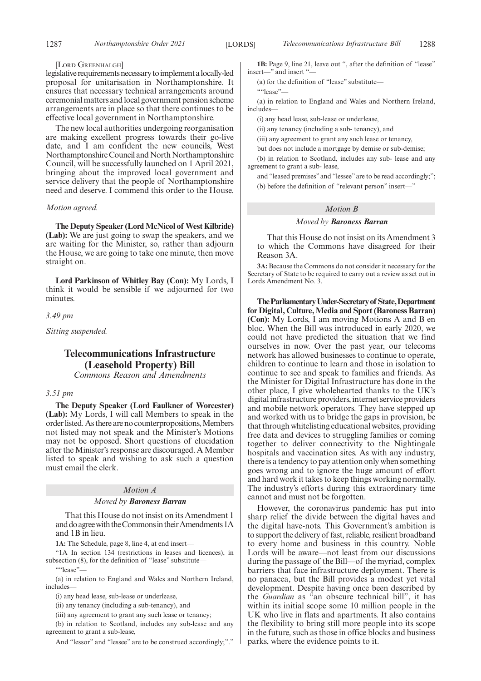#### [LORD GREENHALGH]

legislative requirements necessary to implement a locally-led proposal for unitarisation in Northamptonshire. It ensures that necessary technical arrangements around ceremonial matters and local government pension scheme arrangements are in place so that there continues to be effective local government in Northamptonshire.

The new local authorities undergoing reorganisation are making excellent progress towards their go-live date, and I am confident the new councils, West Northamptonshire Council and North Northamptonshire Council, will be successfully launched on 1 April 2021, bringing about the improved local government and service delivery that the people of Northamptonshire need and deserve. I commend this order to the House.

#### *Motion agreed.*

**The Deputy Speaker (Lord McNicol of West Kilbride) (Lab):** We are just going to swap the speakers, and we are waiting for the Minister, so, rather than adjourn the House, we are going to take one minute, then move straight on.

**Lord Parkinson of Whitley Bay (Con):** My Lords, I think it would be sensible if we adjourned for two minutes.

#### *3.49 pm*

*Sitting suspended.*

### **Telecommunications Infrastructure (Leasehold Property) Bill**

*Commons Reason and Amendments*

#### *3.51 pm*

**The Deputy Speaker (Lord Faulkner of Worcester) (Lab):** My Lords, I will call Members to speak in the order listed. As there are no counterpropositions, Members not listed may not speak and the Minister's Motions may not be opposed. Short questions of elucidation after the Minister's response are discouraged. A Member listed to speak and wishing to ask such a question must email the clerk.

#### *Motion A*

#### *Moved by Baroness Barran*

That this House do not insist on its Amendment 1 and do agree with the Commons in their Amendments 1A and 1B in lieu.

**1A:** The Schedule, page 8, line 4, at end insert—

"1A In section 134 (restrictions in leases and licences), in subsection (8), for the definition of "lease" substitute-

""lease"

(a) in relation to England and Wales and Northern Ireland, includes—

(i) any head lease, sub-lease or underlease,

(ii) any tenancy (including a sub-tenancy), and

(iii) any agreement to grant any such lease or tenancy;

(b) in relation to Scotland, includes any sub-lease and any agreement to grant a sub-lease,

And "lessor" and "lessee" are to be construed accordingly;"."

**1B:** Page 9, line 21, leave out ", after the definition of "lease" insert—" and insert "

(a) for the definition of "lease" substitute—

""lease"—

(a) in relation to England and Wales and Northern Ireland, includes—

(i) any head lease, sub-lease or underlease,

(ii) any tenancy (including a sub- tenancy), and

(iii) any agreement to grant any such lease or tenancy,

but does not include a mortgage by demise or sub-demise;

(b) in relation to Scotland, includes any sub- lease and any agreement to grant a sub- lease,

and "leased premises" and "lessee" are to be read accordingly;"; (b) before the definition of "relevant person" insert—"

#### *Motion B*

#### *Moved by Baroness Barran*

That this House do not insist on its Amendment 3 to which the Commons have disagreed for their Reason 3A.

**3A:** Because the Commons do not consider it necessary for the Secretary of State to be required to carry out a review as set out in Lords Amendment No. 3.

**TheParliamentaryUnder-Secretaryof State,Department for Digital, Culture, Media and Sport (Baroness Barran) (Con):** My Lords, I am moving Motions A and B en bloc. When the Bill was introduced in early 2020, we could not have predicted the situation that we find ourselves in now. Over the past year, our telecoms network has allowed businesses to continue to operate, children to continue to learn and those in isolation to continue to see and speak to families and friends. As the Minister for Digital Infrastructure has done in the other place, I give wholehearted thanks to the UK's digital infrastructure providers, internet service providers and mobile network operators. They have stepped up and worked with us to bridge the gaps in provision, be that through whitelisting educational websites, providing free data and devices to struggling families or coming together to deliver connectivity to the Nightingale hospitals and vaccination sites. As with any industry, there is a tendency to pay attention only when something goes wrong and to ignore the huge amount of effort and hard work it takes to keep things working normally. The industry's efforts during this extraordinary time cannot and must not be forgotten.

However, the coronavirus pandemic has put into sharp relief the divide between the digital haves and the digital have-nots. This Government's ambition is to support the delivery of fast, reliable, resilient broadband to every home and business in this country. Noble Lords will be aware—not least from our discussions during the passage of the Bill—of the myriad, complex barriers that face infrastructure deployment. There is no panacea, but the Bill provides a modest yet vital development. Despite having once been described by the *Guardian* as "an obscure technical bill", it has within its initial scope some 10 million people in the UK who live in flats and apartments. It also contains the flexibility to bring still more people into its scope in the future, such as those in office blocks and business parks, where the evidence points to it.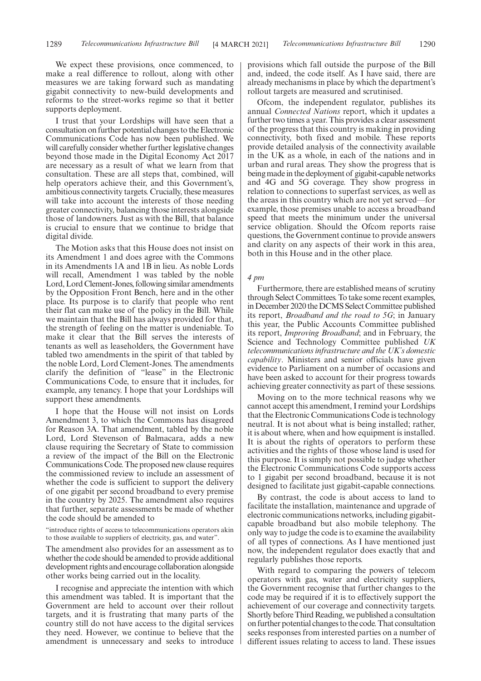We expect these provisions, once commenced, to make a real difference to rollout, along with other measures we are taking forward such as mandating gigabit connectivity to new-build developments and reforms to the street-works regime so that it better supports deployment.

I trust that your Lordships will have seen that a consultation on further potential changes to the Electronic Communications Code has now been published. We will carefully consider whether further legislative changes beyond those made in the Digital Economy Act 2017 are necessary as a result of what we learn from that consultation. These are all steps that, combined, will help operators achieve their, and this Government's, ambitious connectivity targets. Crucially, these measures will take into account the interests of those needing greater connectivity, balancing those interests alongside those of landowners. Just as with the Bill, that balance is crucial to ensure that we continue to bridge that digital divide.

The Motion asks that this House does not insist on its Amendment 1 and does agree with the Commons in its Amendments 1A and 1B in lieu. As noble Lords will recall, Amendment 1 was tabled by the noble Lord, Lord Clement-Jones, following similar amendments by the Opposition Front Bench, here and in the other place. Its purpose is to clarify that people who rent their flat can make use of the policy in the Bill. While we maintain that the Bill has always provided for that, the strength of feeling on the matter is undeniable. To make it clear that the Bill serves the interests of tenants as well as leaseholders, the Government have tabled two amendments in the spirit of that tabled by the noble Lord, Lord Clement-Jones. The amendments clarify the definition of "lease" in the Electronic Communications Code, to ensure that it includes, for example, any tenancy. I hope that your Lordships will support these amendments.

I hope that the House will not insist on Lords Amendment 3, to which the Commons has disagreed for Reason 3A. That amendment, tabled by the noble Lord, Lord Stevenson of Balmacara, adds a new clause requiring the Secretary of State to commission a review of the impact of the Bill on the Electronic Communications Code. The proposed new clause requires the commissioned review to include an assessment of whether the code is sufficient to support the delivery of one gigabit per second broadband to every premise in the country by 2025. The amendment also requires that further, separate assessments be made of whether the code should be amended to

"introduce rights of access to telecommunications operators akin to those available to suppliers of electricity, gas, and water".

The amendment also provides for an assessment as to whether the code should be amended to provide additional development rights and encourage collaboration alongside other works being carried out in the locality.

I recognise and appreciate the intention with which this amendment was tabled. It is important that the Government are held to account over their rollout targets, and it is frustrating that many parts of the country still do not have access to the digital services they need. However, we continue to believe that the amendment is unnecessary and seeks to introduce provisions which fall outside the purpose of the Bill and, indeed, the code itself. As I have said, there are already mechanisms in place by which the department's rollout targets are measured and scrutinised.

Ofcom, the independent regulator, publishes its annual *Connected Nations* report, which it updates a further two times a year. This provides a clear assessment of the progress that this country is making in providing connectivity, both fixed and mobile. These reports provide detailed analysis of the connectivity available in the UK as a whole, in each of the nations and in urban and rural areas. They show the progress that is being made in the deployment of gigabit-capable networks and 4G and 5G coverage. They show progress in relation to connections to superfast services, as well as the areas in this country which are not yet served—for example, those premises unable to access a broadband speed that meets the minimum under the universal service obligation. Should the Ofcom reports raise questions, the Government continue to provide answers and clarity on any aspects of their work in this area, both in this House and in the other place.

#### *4 pm*

Furthermore, there are established means of scrutiny through Select Committees. To take some recent examples, in December 2020 the DCMS Select Committee published its report, *Broadband and the road to 5G*; in January this year, the Public Accounts Committee published its report, *Improving Broadband*; and in February, the Science and Technology Committee published *UK telecommunications infrastructure and the UK's domestic capability*. Ministers and senior officials have given evidence to Parliament on a number of occasions and have been asked to account for their progress towards achieving greater connectivity as part of these sessions.

Moving on to the more technical reasons why we cannot accept this amendment, I remind your Lordships that the Electronic Communications Code is technology neutral. It is not about what is being installed; rather, it is about where, when and how equipment is installed. It is about the rights of operators to perform these activities and the rights of those whose land is used for this purpose. It is simply not possible to judge whether the Electronic Communications Code supports access to 1 gigabit per second broadband, because it is not designed to facilitate just gigabit-capable connections.

By contrast, the code is about access to land to facilitate the installation, maintenance and upgrade of electronic communications networks, including gigabitcapable broadband but also mobile telephony. The only way to judge the code is to examine the availability of all types of connections. As I have mentioned just now, the independent regulator does exactly that and regularly publishes those reports.

With regard to comparing the powers of telecom operators with gas, water and electricity suppliers, the Government recognise that further changes to the code may be required if it is to effectively support the achievement of our coverage and connectivity targets. Shortly before Third Reading, we published a consultation on further potential changes to the code. That consultation seeks responses from interested parties on a number of different issues relating to access to land. These issues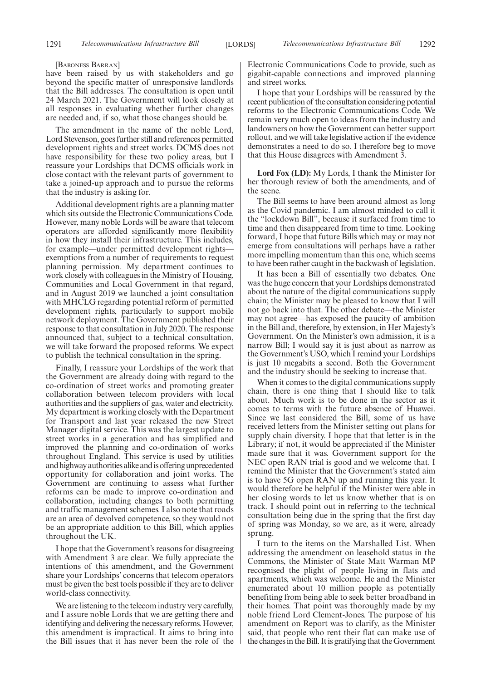#### [BARONESS BARRAN]

have been raised by us with stakeholders and go beyond the specific matter of unresponsive landlords that the Bill addresses. The consultation is open until 24 March 2021. The Government will look closely at all responses in evaluating whether further changes are needed and, if so, what those changes should be.

The amendment in the name of the noble Lord, Lord Stevenson, goes further still and references permitted development rights and street works. DCMS does not have responsibility for these two policy areas, but I reassure your Lordships that DCMS officials work in close contact with the relevant parts of government to take a joined-up approach and to pursue the reforms that the industry is asking for.

Additional development rights are a planning matter which sits outside the Electronic Communications Code. However, many noble Lords will be aware that telecom operators are afforded significantly more flexibility in how they install their infrastructure. This includes, for example—under permitted development rights exemptions from a number of requirements to request planning permission. My department continues to work closely with colleagues in the Ministry of Housing, Communities and Local Government in that regard, and in August 2019 we launched a joint consultation with MHCLG regarding potential reform of permitted development rights, particularly to support mobile network deployment. The Government published their response to that consultation in July 2020. The response announced that, subject to a technical consultation, we will take forward the proposed reforms. We expect to publish the technical consultation in the spring.

Finally, I reassure your Lordships of the work that the Government are already doing with regard to the co-ordination of street works and promoting greater collaboration between telecom providers with local authorities and the suppliers of gas, water and electricity. My department is working closely with the Department for Transport and last year released the new Street Manager digital service. This was the largest update to street works in a generation and has simplified and improved the planning and co-ordination of works throughout England. This service is used by utilities and highway authorities alike and is offering unprecedented opportunity for collaboration and joint works. The Government are continuing to assess what further reforms can be made to improve co-ordination and collaboration, including changes to both permitting and traffic management schemes. I also note that roads are an area of devolved competence, so they would not be an appropriate addition to this Bill, which applies throughout the UK.

I hope that the Government's reasons for disagreeing with Amendment 3 are clear. We fully appreciate the intentions of this amendment, and the Government share your Lordships' concerns that telecom operators must be given the best tools possible if they are to deliver world-class connectivity.

We are listening to the telecom industry very carefully, and I assure noble Lords that we are getting there and identifying and delivering the necessary reforms. However, this amendment is impractical. It aims to bring into the Bill issues that it has never been the role of the Electronic Communications Code to provide, such as gigabit-capable connections and improved planning and street works.

I hope that your Lordships will be reassured by the recent publication of the consultation considering potential reforms to the Electronic Communications Code. We remain very much open to ideas from the industry and landowners on how the Government can better support rollout, and we will take legislative action if the evidence demonstrates a need to do so. I therefore beg to move that this House disagrees with Amendment 3.

**Lord Fox (LD):** My Lords, I thank the Minister for her thorough review of both the amendments, and of the scene.

The Bill seems to have been around almost as long as the Covid pandemic. I am almost minded to call it the "lockdown Bill", because it surfaced from time to time and then disappeared from time to time. Looking forward, I hope that future Bills which may or may not emerge from consultations will perhaps have a rather more impelling momentum than this one, which seems to have been rather caught in the backwash of legislation.

It has been a Bill of essentially two debates. One was the huge concern that your Lordships demonstrated about the nature of the digital communications supply chain; the Minister may be pleased to know that I will not go back into that. The other debate—the Minister may not agree—has exposed the paucity of ambition in the Bill and, therefore, by extension, in Her Majesty's Government. On the Minister's own admission, it is a narrow Bill; I would say it is just about as narrow as the Government's USO, which I remind your Lordships is just 10 megabits a second. Both the Government and the industry should be seeking to increase that.

When it comes to the digital communications supply chain, there is one thing that I should like to talk about. Much work is to be done in the sector as it comes to terms with the future absence of Huawei. Since we last considered the Bill, some of us have received letters from the Minister setting out plans for supply chain diversity. I hope that that letter is in the Library; if not, it would be appreciated if the Minister made sure that it was. Government support for the NEC open RAN trial is good and we welcome that. I remind the Minister that the Government's stated aim is to have 5G open RAN up and running this year. It would therefore be helpful if the Minister were able in her closing words to let us know whether that is on track. I should point out in referring to the technical consultation being due in the spring that the first day of spring was Monday, so we are, as it were, already sprung.

I turn to the items on the Marshalled List. When addressing the amendment on leasehold status in the Commons, the Minister of State Matt Warman MP recognised the plight of people living in flats and apartments, which was welcome. He and the Minister enumerated about 10 million people as potentially benefiting from being able to seek better broadband in their homes. That point was thoroughly made by my noble friend Lord Clement-Jones. The purpose of his amendment on Report was to clarify, as the Minister said, that people who rent their flat can make use of the changes in the Bill. It is gratifying that the Government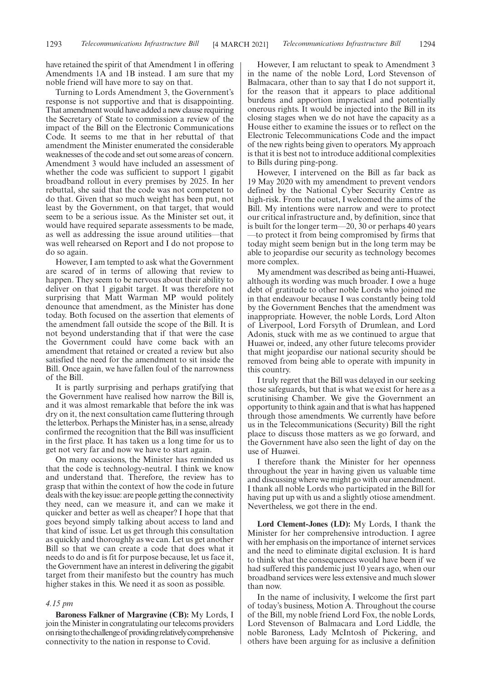have retained the spirit of that Amendment 1 in offering Amendments 1A and 1B instead. I am sure that my noble friend will have more to say on that.

Turning to Lords Amendment 3, the Government's response is not supportive and that is disappointing. That amendment would have added a new clause requiring the Secretary of State to commission a review of the impact of the Bill on the Electronic Communications Code. It seems to me that in her rebuttal of that amendment the Minister enumerated the considerable weaknesses of the code and set out some areas of concern. Amendment 3 would have included an assessment of whether the code was sufficient to support 1 gigabit broadband rollout in every premises by 2025. In her rebuttal, she said that the code was not competent to do that. Given that so much weight has been put, not least by the Government, on that target, that would seem to be a serious issue. As the Minister set out, it would have required separate assessments to be made, as well as addressing the issue around utilities—that was well rehearsed on Report and I do not propose to do so again.

However, I am tempted to ask what the Government are scared of in terms of allowing that review to happen. They seem to be nervous about their ability to deliver on that 1 gigabit target. It was therefore not surprising that Matt Warman MP would politely denounce that amendment, as the Minister has done today. Both focused on the assertion that elements of the amendment fall outside the scope of the Bill. It is not beyond understanding that if that were the case the Government could have come back with an amendment that retained or created a review but also satisfied the need for the amendment to sit inside the Bill. Once again, we have fallen foul of the narrowness of the Bill.

It is partly surprising and perhaps gratifying that the Government have realised how narrow the Bill is, and it was almost remarkable that before the ink was dry on it, the next consultation came fluttering through the letterbox. Perhaps the Minister has, in a sense, already confirmed the recognition that the Bill was insufficient in the first place. It has taken us a long time for us to get not very far and now we have to start again.

On many occasions, the Minister has reminded us that the code is technology-neutral. I think we know and understand that. Therefore, the review has to grasp that within the context of how the code in future deals with the key issue: are people getting the connectivity they need, can we measure it, and can we make it quicker and better as well as cheaper? I hope that that goes beyond simply talking about access to land and that kind of issue. Let us get through this consultation as quickly and thoroughly as we can. Let us get another Bill so that we can create a code that does what it needs to do and is fit for purpose because, let us face it, the Government have an interest in delivering the gigabit target from their manifesto but the country has much higher stakes in this. We need it as soon as possible.

#### *4.15 pm*

**Baroness Falkner of Margravine (CB):** My Lords, I join the Minister in congratulating our telecoms providers onrisingtothechallengeof providingrelativelycomprehensive connectivity to the nation in response to Covid.

However, I am reluctant to speak to Amendment 3 in the name of the noble Lord, Lord Stevenson of Balmacara, other than to say that I do not support it, for the reason that it appears to place additional burdens and apportion impractical and potentially onerous rights. It would be injected into the Bill in its closing stages when we do not have the capacity as a House either to examine the issues or to reflect on the Electronic Telecommunications Code and the impact of the new rights being given to operators. My approach is that it is best not to introduce additional complexities to Bills during ping-pong.

However, I intervened on the Bill as far back as 19 May 2020 with my amendment to prevent vendors defined by the National Cyber Security Centre as high-risk. From the outset, I welcomed the aims of the Bill. My intentions were narrow and were to protect our critical infrastructure and, by definition, since that is built for the longer term—20, 30 or perhaps 40 years —to protect it from being compromised by firms that today might seem benign but in the long term may be able to jeopardise our security as technology becomes more complex.

My amendment was described as being anti-Huawei, although its wording was much broader. I owe a huge debt of gratitude to other noble Lords who joined me in that endeavour because I was constantly being told by the Government Benches that the amendment was inappropriate. However, the noble Lords, Lord Alton of Liverpool, Lord Forsyth of Drumlean, and Lord Adonis, stuck with me as we continued to argue that Huawei or, indeed, any other future telecoms provider that might jeopardise our national security should be removed from being able to operate with impunity in this country.

I truly regret that the Bill was delayed in our seeking those safeguards, but that is what we exist for here as a scrutinising Chamber. We give the Government an opportunity to think again and that is what has happened through those amendments. We currently have before us in the Telecommunications (Security) Bill the right place to discuss those matters as we go forward, and the Government have also seen the light of day on the use of Huawei.

I therefore thank the Minister for her openness throughout the year in having given us valuable time and discussing where we might go with our amendment. I thank all noble Lords who participated in the Bill for having put up with us and a slightly otiose amendment. Nevertheless, we got there in the end.

**Lord Clement-Jones (LD):** My Lords, I thank the Minister for her comprehensive introduction. I agree with her emphasis on the importance of internet services and the need to eliminate digital exclusion. It is hard to think what the consequences would have been if we had suffered this pandemic just 10 years ago, when our broadband services were less extensive and much slower than now.

In the name of inclusivity, I welcome the first part of today's business, Motion A. Throughout the course of the Bill, my noble friend Lord Fox, the noble Lords, Lord Stevenson of Balmacara and Lord Liddle, the noble Baroness, Lady McIntosh of Pickering, and others have been arguing for as inclusive a definition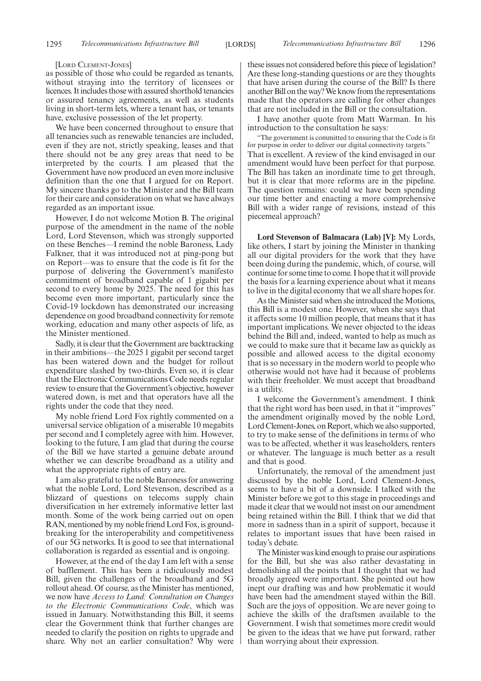#### [LORD CLEMENT-JONES]

as possible of those who could be regarded as tenants, without straying into the territory of licensees or licences. It includes those with assured shorthold tenancies or assured tenancy agreements, as well as students living in short-term lets, where a tenant has, or tenants have, exclusive possession of the let property.

We have been concerned throughout to ensure that all tenancies such as renewable tenancies are included, even if they are not, strictly speaking, leases and that there should not be any grey areas that need to be interpreted by the courts. I am pleased that the Government have now produced an even more inclusive definition than the one that I argued for on Report. My sincere thanks go to the Minister and the Bill team for their care and consideration on what we have always regarded as an important issue.

However, I do not welcome Motion B. The original purpose of the amendment in the name of the noble Lord, Lord Stevenson, which was strongly supported on these Benches—I remind the noble Baroness, Lady Falkner, that it was introduced not at ping-pong but on Report—was to ensure that the code is fit for the purpose of delivering the Government's manifesto commitment of broadband capable of 1 gigabit per second to every home by 2025. The need for this has become even more important, particularly since the Covid-19 lockdown has demonstrated our increasing dependence on good broadband connectivity for remote working, education and many other aspects of life, as the Minister mentioned.

Sadly, it is clear that the Government are backtracking in their ambitions—the 2025 1 gigabit per second target has been watered down and the budget for rollout expenditure slashed by two-thirds. Even so, it is clear that the Electronic Communications Code needs regular review to ensure that the Government's objective, however watered down, is met and that operators have all the rights under the code that they need.

My noble friend Lord Fox rightly commented on a universal service obligation of a miserable 10 megabits per second and I completely agree with him. However, looking to the future, I am glad that during the course of the Bill we have started a genuine debate around whether we can describe broadband as a utility and what the appropriate rights of entry are.

I am also grateful to the noble Baroness for answering what the noble Lord, Lord Stevenson, described as a blizzard of questions on telecoms supply chain diversification in her extremely informative letter last month. Some of the work being carried out on open RAN, mentioned by my noble friend Lord Fox, is groundbreaking for the interoperability and competitiveness of our 5G networks. It is good to see that international collaboration is regarded as essential and is ongoing.

However, at the end of the day I am left with a sense of bafflement. This has been a ridiculously modest Bill, given the challenges of the broadband and 5G rollout ahead. Of course, as the Minister has mentioned, we now have *Access to Land: Consultation on Changes to the Electronic Communications Code*, which was issued in January. Notwithstanding this Bill, it seems clear the Government think that further changes are needed to clarify the position on rights to upgrade and share. Why not an earlier consultation? Why were these issues not considered before this piece of legislation? Are these long-standing questions or are they thoughts that have arisen during the course of the Bill? Is there another Bill on the way? We know from the representations made that the operators are calling for other changes that are not included in the Bill or the consultation.

I have another quote from Matt Warman. In his introduction to the consultation he says:

"The government is committed to ensuring that the Code is fit for purpose in order to deliver our digital connectivity targets." That is excellent. A review of the kind envisaged in our amendment would have been perfect for that purpose. The Bill has taken an inordinate time to get through, but it is clear that more reforms are in the pipeline. The question remains: could we have been spending our time better and enacting a more comprehensive Bill with a wider range of revisions, instead of this piecemeal approach?

**Lord Stevenson of Balmacara (Lab) [V]:** My Lords, like others, I start by joining the Minister in thanking all our digital providers for the work that they have been doing during the pandemic, which, of course, will continue for some time to come. I hope that it will provide the basis for a learning experience about what it means to live in the digital economy that we all share hopes for.

As the Minister said when she introduced the Motions, this Bill is a modest one. However, when she says that it affects some 10 million people, that means that it has important implications. We never objected to the ideas behind the Bill and, indeed, wanted to help as much as we could to make sure that it became law as quickly as possible and allowed access to the digital economy that is so necessary in the modern world to people who otherwise would not have had it because of problems with their freeholder. We must accept that broadband is a utility.

I welcome the Government's amendment. I think that the right word has been used, in that it "improves" the amendment originally moved by the noble Lord, Lord Clement-Jones, on Report, which we also supported, to try to make sense of the definitions in terms of who was to be affected, whether it was leaseholders, renters or whatever. The language is much better as a result and that is good.

Unfortunately, the removal of the amendment just discussed by the noble Lord, Lord Clement-Jones, seems to have a bit of a downside. I talked with the Minister before we got to this stage in proceedings and made it clear that we would not insist on our amendment being retained within the Bill. I think that we did that more in sadness than in a spirit of support, because it relates to important issues that have been raised in today's debate.

The Minister was kind enough to praise our aspirations for the Bill, but she was also rather devastating in demolishing all the points that I thought that we had broadly agreed were important. She pointed out how inept our drafting was and how problematic it would have been had the amendment stayed within the Bill. Such are the joys of opposition. We are never going to achieve the skills of the draftsmen available to the Government. I wish that sometimes more credit would be given to the ideas that we have put forward, rather than worrying about their expression.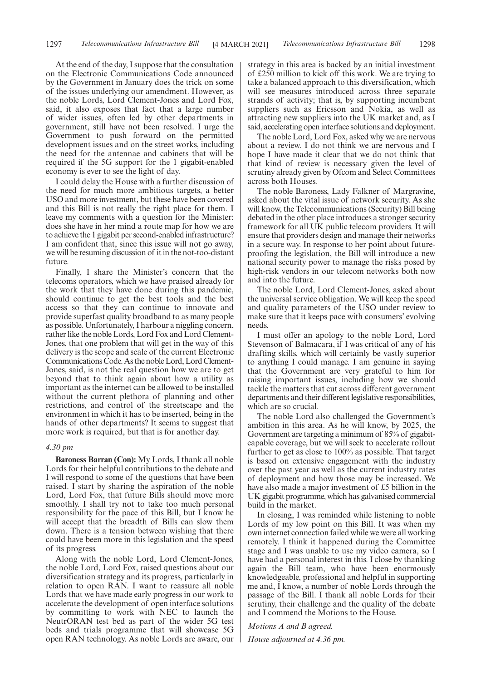At the end of the day, I suppose that the consultation on the Electronic Communications Code announced by the Government in January does the trick on some of the issues underlying our amendment. However, as the noble Lords, Lord Clement-Jones and Lord Fox, said, it also exposes that fact that a large number of wider issues, often led by other departments in government, still have not been resolved. I urge the Government to push forward on the permitted development issues and on the street works, including the need for the antennae and cabinets that will be required if the 5G support for the 1 gigabit-enabled economy is ever to see the light of day.

I could delay the House with a further discussion of the need for much more ambitious targets, a better USO and more investment, but these have been covered and this Bill is not really the right place for them. I leave my comments with a question for the Minister: does she have in her mind a route map for how we are to achieve the 1 gigabit per second-enabled infrastructure? I am confident that, since this issue will not go away, we will be resuming discussion of it in the not-too-distant future.

Finally, I share the Minister's concern that the telecoms operators, which we have praised already for the work that they have done during this pandemic, should continue to get the best tools and the best access so that they can continue to innovate and provide superfast quality broadband to as many people as possible. Unfortunately, I harbour a niggling concern, rather like the noble Lords, Lord Fox and Lord Clement-Jones, that one problem that will get in the way of this delivery is the scope and scale of the current Electronic Communications Code. As the noble Lord, Lord Clement-Jones, said, is not the real question how we are to get beyond that to think again about how a utility as important as the internet can be allowed to be installed without the current plethora of planning and other restrictions, and control of the streetscape and the environment in which it has to be inserted, being in the hands of other departments? It seems to suggest that more work is required, but that is for another day.

#### *4.30 pm*

**Baroness Barran (Con):** My Lords, I thank all noble Lords for their helpful contributions to the debate and I will respond to some of the questions that have been raised. I start by sharing the aspiration of the noble Lord, Lord Fox, that future Bills should move more smoothly. I shall try not to take too much personal responsibility for the pace of this Bill, but I know he will accept that the breadth of Bills can slow them down. There is a tension between wishing that there could have been more in this legislation and the speed of its progress.

Along with the noble Lord, Lord Clement-Jones, the noble Lord, Lord Fox, raised questions about our diversification strategy and its progress, particularly in relation to open RAN. I want to reassure all noble Lords that we have made early progress in our work to accelerate the development of open interface solutions by committing to work with NEC to launch the NeutrORAN test bed as part of the wider 5G test beds and trials programme that will showcase 5G open RAN technology. As noble Lords are aware, our strategy in this area is backed by an initial investment of £250 million to kick off this work. We are trying to take a balanced approach to this diversification, which will see measures introduced across three separate strands of activity; that is, by supporting incumbent suppliers such as Ericsson and Nokia, as well as attracting new suppliers into the UK market and, as I said, accelerating open interface solutions and deployment.

The noble Lord, Lord Fox, asked why we are nervous about a review. I do not think we are nervous and I hope I have made it clear that we do not think that that kind of review is necessary given the level of scrutiny already given by Ofcom and Select Committees across both Houses.

The noble Baroness, Lady Falkner of Margravine, asked about the vital issue of network security. As she will know, the Telecommunications (Security) Bill being debated in the other place introduces a stronger security framework for all UK public telecom providers. It will ensure that providers design and manage their networks in a secure way. In response to her point about futureproofing the legislation, the Bill will introduce a new national security power to manage the risks posed by high-risk vendors in our telecom networks both now and into the future.

The noble Lord, Lord Clement-Jones, asked about the universal service obligation. We will keep the speed and quality parameters of the USO under review to make sure that it keeps pace with consumers' evolving needs.

I must offer an apology to the noble Lord, Lord Stevenson of Balmacara, if I was critical of any of his drafting skills, which will certainly be vastly superior to anything I could manage. I am genuine in saying that the Government are very grateful to him for raising important issues, including how we should tackle the matters that cut across different government departments and their different legislative responsibilities, which are so crucial.

The noble Lord also challenged the Government's ambition in this area. As he will know, by 2025, the Government are targeting a minimum of 85% of gigabitcapable coverage, but we will seek to accelerate rollout further to get as close to 100% as possible. That target is based on extensive engagement with the industry over the past year as well as the current industry rates of deployment and how those may be increased. We have also made a major investment of £5 billion in the UK gigabit programme, which has galvanised commercial build in the market.

In closing, I was reminded while listening to noble Lords of my low point on this Bill. It was when my own internet connection failed while we were all working remotely. I think it happened during the Committee stage and I was unable to use my video camera, so I have had a personal interest in this. I close by thanking again the Bill team, who have been enormously knowledgeable, professional and helpful in supporting me and, I know, a number of noble Lords through the passage of the Bill. I thank all noble Lords for their scrutiny, their challenge and the quality of the debate and I commend the Motions to the House.

*Motions A and B agreed.*

*House adjourned at 4.36 pm.*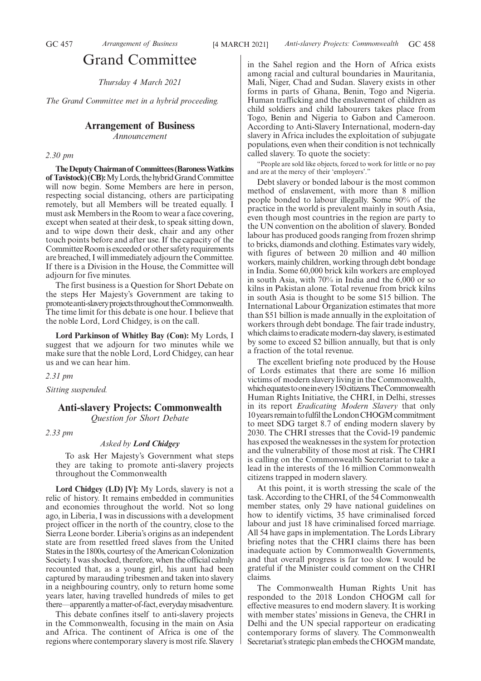### Grand Committee

*Thursday 4 March 2021*

*The Grand Committee met in a hybrid proceeding.*

#### **Arrangement of Business**

*Announcement*

#### *2.30 pm*

**TheDeputyChairmanof Committees(BaronessWatkins of Tavistock) (CB):** My Lords, the hybrid Grand Committee will now begin. Some Members are here in person, respecting social distancing, others are participating remotely, but all Members will be treated equally. I must ask Members in the Room to wear a face covering, except when seated at their desk, to speak sitting down, and to wipe down their desk, chair and any other touch points before and after use. If the capacity of the Committee Room is exceeded or other safety requirements are breached, I will immediately adjourn the Committee. If there is a Division in the House, the Committee will adjourn for five minutes.

The first business is a Question for Short Debate on the steps Her Majesty's Government are taking to promote anti-slavery projects throughout the Commonwealth. The time limit for this debate is one hour. I believe that the noble Lord, Lord Chidgey, is on the call.

**Lord Parkinson of Whitley Bay (Con):** My Lords, I suggest that we adjourn for two minutes while we make sure that the noble Lord, Lord Chidgey, can hear us and we can hear him.

*2.31 pm*

*Sitting suspended.*

#### **Anti-slavery Projects: Commonwealth** *Question for Short Debate*

*2.33 pm*

#### *Asked by Lord Chidgey*

To ask Her Majesty's Government what steps they are taking to promote anti-slavery projects throughout the Commonwealth

**Lord Chidgey (LD) [V]:** My Lords, slavery is not a relic of history. It remains embedded in communities and economies throughout the world. Not so long ago, in Liberia, I was in discussions with a development project officer in the north of the country, close to the Sierra Leone border. Liberia's origins as an independent state are from resettled freed slaves from the United States in the 1800s, courtesy of the American Colonization Society. I was shocked, therefore, when the official calmly recounted that, as a young girl, his aunt had been captured by marauding tribesmen and taken into slavery in a neighbouring country, only to return home some years later, having travelled hundreds of miles to get there—apparently a matter-of-fact, everyday misadventure.

This debate confines itself to anti-slavery projects in the Commonwealth, focusing in the main on Asia and Africa. The continent of Africa is one of the regions where contemporary slavery is most rife. Slavery in the Sahel region and the Horn of Africa exists among racial and cultural boundaries in Mauritania, Mali, Niger, Chad and Sudan. Slavery exists in other forms in parts of Ghana, Benin, Togo and Nigeria. Human trafficking and the enslavement of children as child soldiers and child labourers takes place from Togo, Benin and Nigeria to Gabon and Cameroon. According to Anti-Slavery International, modern-day slavery in Africa includes the exploitation of subjugate populations, even when their condition is not technically called slavery. To quote the society:

"People are sold like objects, forced to work for little or no pay and are at the mercy of their 'employers'."

Debt slavery or bonded labour is the most common method of enslavement, with more than 8 million people bonded to labour illegally. Some 90% of the practice in the world is prevalent mainly in south Asia, even though most countries in the region are party to the UN convention on the abolition of slavery. Bonded labour has produced goods ranging from frozen shrimp to bricks, diamonds and clothing. Estimates vary widely, with figures of between 20 million and 40 million workers, mainly children, working through debt bondage in India. Some 60,000 brick kiln workers are employed in south Asia, with 70% in India and the 6,000 or so kilns in Pakistan alone. Total revenue from brick kilns in south Asia is thought to be some \$15 billion. The International Labour Organization estimates that more than \$51 billion is made annually in the exploitation of workers through debt bondage. The fair trade industry, which claims to eradicate modern-day slavery, is estimated by some to exceed \$2 billion annually, but that is only a fraction of the total revenue.

The excellent briefing note produced by the House of Lords estimates that there are some 16 million victims of modern slavery living in the Commonwealth, whichequatestooneinevery150citizens.TheCommonwealth Human Rights Initiative, the CHRI, in Delhi, stresses in its report *Eradicating Modern Slavery* that only 10 years remain to fulfil the London CHOGM commitment to meet SDG target 8.7 of ending modern slavery by 2030. The CHRI stresses that the Covid-19 pandemic has exposed the weaknesses in the system for protection and the vulnerability of those most at risk. The CHRI is calling on the Commonwealth Secretariat to take a lead in the interests of the 16 million Commonwealth citizens trapped in modern slavery.

At this point, it is worth stressing the scale of the task. According to the CHRI, of the 54 Commonwealth member states, only 29 have national guidelines on how to identify victims, 35 have criminalised forced labour and just 18 have criminalised forced marriage. All 54 have gaps in implementation. The Lords Library briefing notes that the CHRI claims there has been inadequate action by Commonwealth Governments, and that overall progress is far too slow. I would be grateful if the Minister could comment on the CHRI claims.

The Commonwealth Human Rights Unit has responded to the 2018 London CHOGM call for effective measures to end modern slavery. It is working with member states' missions in Geneva, the CHRI in Delhi and the UN special rapporteur on eradicating contemporary forms of slavery. The Commonwealth Secretariat's strategic plan embeds the CHOGM mandate,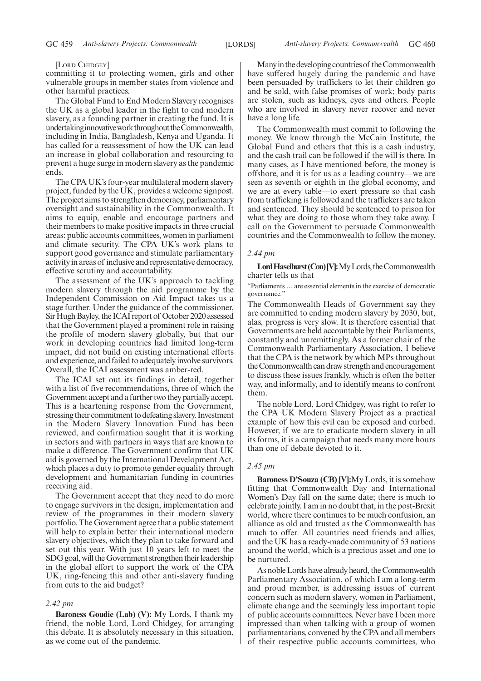#### [LORD CHIDGEY]

committing it to protecting women, girls and other vulnerable groups in member states from violence and other harmful practices.

The Global Fund to End Modern Slavery recognises the UK as a global leader in the fight to end modern slavery, as a founding partner in creating the fund. It is undertaking innovative work throughout the Commonwealth, including in India, Bangladesh, Kenya and Uganda. It has called for a reassessment of how the UK can lead an increase in global collaboration and resourcing to prevent a huge surge in modern slavery as the pandemic ends.

The CPA UK's four-year multilateral modern slavery project, funded by the UK, provides a welcome signpost. The project aims to strengthen democracy, parliamentary oversight and sustainability in the Commonwealth. It aims to equip, enable and encourage partners and their members to make positive impacts in three crucial areas: public accounts committees, women in parliament and climate security. The CPA UK's work plans to support good governance and stimulate parliamentary activity in areas of inclusive and representative democracy, effective scrutiny and accountability.

The assessment of the UK's approach to tackling modern slavery through the aid programme by the Independent Commission on Aid Impact takes us a stage further. Under the guidance of the commissioner, Sir Hugh Bayley, the ICAI report of October 2020 assessed that the Government played a prominent role in raising the profile of modern slavery globally, but that our work in developing countries had limited long-term impact, did not build on existing international efforts and experience, and failed to adequately involve survivors. Overall, the ICAI assessment was amber-red.

The ICAI set out its findings in detail, together with a list of five recommendations, three of which the Government accept and a further two they partially accept. This is a heartening response from the Government, stressing their commitment to defeating slavery. Investment in the Modern Slavery Innovation Fund has been reviewed, and confirmation sought that it is working in sectors and with partners in ways that are known to make a difference. The Government confirm that UK aid is governed by the International Development Act, which places a duty to promote gender equality through development and humanitarian funding in countries receiving aid.

The Government accept that they need to do more to engage survivors in the design, implementation and review of the programmes in their modern slavery portfolio. The Government agree that a public statement will help to explain better their international modern slavery objectives, which they plan to take forward and set out this year. With just 10 years left to meet the SDG goal, will the Government strengthen their leadership in the global effort to support the work of the CPA UK, ring-fencing this and other anti-slavery funding from cuts to the aid budget?

#### *2.42 pm*

**Baroness Goudie (Lab) (V):** My Lords, I thank my friend, the noble Lord, Lord Chidgey, for arranging this debate. It is absolutely necessary in this situation, as we come out of the pandemic.

Many in the developing countries of the Commonwealth have suffered hugely during the pandemic and have been persuaded by traffickers to let their children go and be sold, with false promises of work; body parts are stolen, such as kidneys, eyes and others. People who are involved in slavery never recover and never have a long life.

The Commonwealth must commit to following the money. We know through the McCain Institute, the Global Fund and others that this is a cash industry, and the cash trail can be followed if the will is there. In many cases, as I have mentioned before, the money is offshore, and it is for us as a leading country—we are seen as seventh or eighth in the global economy, and we are at every table—to exert pressure so that cash from trafficking is followed and the traffickers are taken and sentenced. They should be sentenced to prison for what they are doing to those whom they take away. I call on the Government to persuade Commonwealth countries and the Commonwealth to follow the money.

#### *2.44 pm*

Lord Haselhurst (Con) [V]: My Lords, the Commonwealth charter tells us that

"Parliaments … are essential elements in the exercise of democratic governance."

The Commonwealth Heads of Government say they are committed to ending modern slavery by 2030, but, alas, progress is very slow. It is therefore essential that Governments are held accountable by their Parliaments, constantly and unremittingly. As a former chair of the Commonwealth Parliamentary Association, I believe that the CPA is the network by which MPs throughout the Commonwealth can draw strength and encouragement to discuss these issues frankly, which is often the better way, and informally, and to identify means to confront them.

The noble Lord, Lord Chidgey, was right to refer to the CPA UK Modern Slavery Project as a practical example of how this evil can be exposed and curbed. However, if we are to eradicate modern slavery in all its forms, it is a campaign that needs many more hours than one of debate devoted to it.

#### *2.45 pm*

**Baroness D'Souza (CB) [V]:**My Lords, it is somehow fitting that Commonwealth Day and International Women's Day fall on the same date; there is much to celebrate jointly. I am in no doubt that, in the post-Brexit world, where there continues to be much confusion, an alliance as old and trusted as the Commonwealth has much to offer. All countries need friends and allies, and the UK has a ready-made community of 53 nations around the world, which is a precious asset and one to be nurtured.

As noble Lords have already heard, the Commonwealth Parliamentary Association, of which I am a long-term and proud member, is addressing issues of current concern such as modern slavery, women in Parliament, climate change and the seemingly less important topic of public accounts committees. Never have I been more impressed than when talking with a group of women parliamentarians, convened by the CPA and all members of their respective public accounts committees, who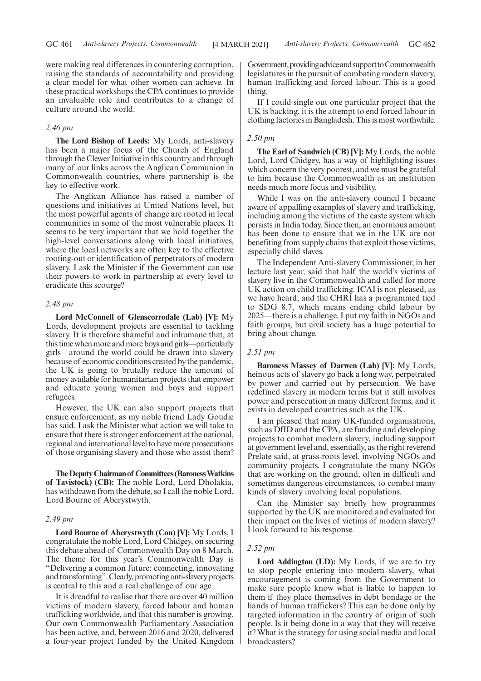were making real differences in countering corruption, raising the standards of accountability and providing a clear model for what other women can achieve. In these practical workshops the CPA continues to provide an invaluable role and contributes to a change of culture around the world.

#### *2.46 pm*

**The Lord Bishop of Leeds:** My Lords, anti-slavery has been a major focus of the Church of England through the Clewer Initiative in this country and through many of our links across the Anglican Communion in Commonwealth countries, where partnership is the key to effective work.

The Anglican Alliance has raised a number of questions and initiatives at United Nations level, but the most powerful agents of change are rooted in local communities in some of the most vulnerable places. It seems to be very important that we hold together the high-level conversations along with local initiatives, where the local networks are often key to the effective rooting-out or identification of perpetrators of modern slavery. I ask the Minister if the Government can use their powers to work in partnership at every level to eradicate this scourge?

#### *2.48 pm*

**Lord McConnell of Glenscorrodale (Lab) [V]:** My Lords, development projects are essential to tackling slavery. It is therefore shameful and inhumane that, at this time when more and more boys and girls—particularly girls—around the world could be drawn into slavery because of economic conditions created by the pandemic, the UK is going to brutally reduce the amount of money available for humanitarian projects that empower and educate young women and boys and support refugees.

However, the UK can also support projects that ensure enforcement, as my noble friend Lady Goudie has said. I ask the Minister what action we will take to ensure that there is stronger enforcement at the national, regional and international level to have more prosecutions of those organising slavery and those who assist them?

**TheDeputyChairmanof Committees(BaronessWatkins of Tavistock) (CB):** The noble Lord, Lord Dholakia, has withdrawn from the debate, so I call the noble Lord, Lord Bourne of Aberystwyth.

#### *2.49 pm*

**Lord Bourne of Aberystwyth (Con) [V]:** My Lords, I congratulate the noble Lord, Lord Chidgey, on securing this debate ahead of Commonwealth Day on 8 March. The theme for this year's Commonwealth Day is "Delivering a common future: connecting, innovating and transforming". Clearly, promoting anti-slavery projects is central to this and a real challenge of our age.

It is dreadful to realise that there are over 40 million victims of modern slavery, forced labour and human trafficking worldwide, and that this number is growing. Our own Commonwealth Parliamentary Association has been active, and, between 2016 and 2020, delivered a four-year project funded by the United Kingdom Government, providing advice and support to Commonwealth legislatures in the pursuit of combating modern slavery, human trafficking and forced labour. This is a good thing.

If I could single out one particular project that the UK is backing, it is the attempt to end forced labour in clothing factories in Bangladesh. This is most worthwhile.

#### *2.50 pm*

**The Earl of Sandwich (CB) [V]:** My Lords, the noble Lord, Lord Chidgey, has a way of highlighting issues which concern the very poorest, and we must be grateful to him because the Commonwealth as an institution needs much more focus and visibility.

While I was on the anti-slavery council I became aware of appalling examples of slavery and trafficking, including among the victims of the caste system which persists in India today. Since then, an enormous amount has been done to ensure that we in the UK are not benefiting from supply chains that exploit those victims, especially child slaves.

The Independent Anti-slavery Commissioner, in her lecture last year, said that half the world's victims of slavery live in the Commonwealth and called for more UK action on child trafficking. ICAI is not pleased, as we have heard, and the CHRI has a programmed tied to SDG 8.7, which means ending child labour by 2025—there is a challenge. I put my faith in NGOs and faith groups, but civil society has a huge potential to bring about change.

#### *2.51 pm*

**Baroness Massey of Darwen (Lab) [V]:** My Lords, heinous acts of slavery go back a long way, perpetrated by power and carried out by persecution. We have redefined slavery in modern terms but it still involves power and persecution in many different forms, and it exists in developed countries such as the UK.

I am pleased that many UK-funded organisations, such as DfID and the CPA, are funding and developing projects to combat modern slavery, including support at government level and, essentially, as the right reverend Prelate said, at grass-roots level, involving NGOs and community projects. I congratulate the many NGOs that are working on the ground, often in difficult and sometimes dangerous circumstances, to combat many kinds of slavery involving local populations.

Can the Minister say briefly how programmes supported by the UK are monitored and evaluated for their impact on the lives of victims of modern slavery? I look forward to his response.

#### *2.52 pm*

**Lord Addington (LD):** My Lords, if we are to try to stop people entering into modern slavery, what encouragement is coming from the Government to make sure people know what is liable to happen to them if they place themselves in debt bondage or the hands of human traffickers? This can be done only by targeted information in the country of origin of such people. Is it being done in a way that they will receive it? What is the strategy for using social media and local broadcasters?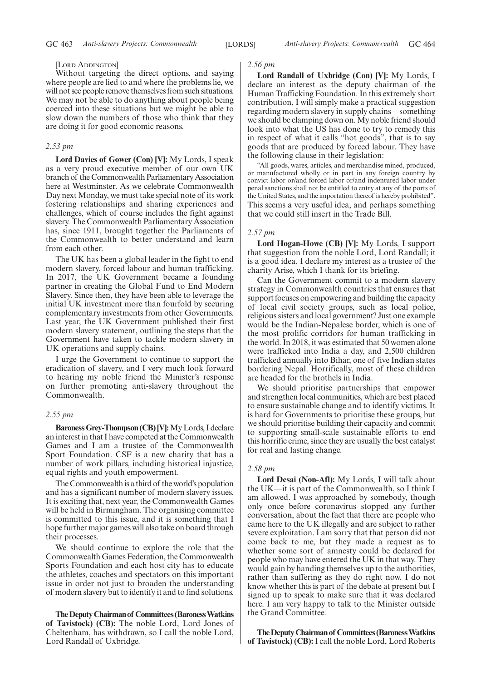#### [LORD ADDINGTON]

Without targeting the direct options, and saying where people are lied to and where the problems lie, we will not see people remove themselves from such situations. We may not be able to do anything about people being coerced into these situations but we might be able to slow down the numbers of those who think that they are doing it for good economic reasons.

#### *2.53 pm*

**Lord Davies of Gower (Con) [V]:** My Lords, I speak as a very proud executive member of our own UK branch of the Commonwealth Parliamentary Association here at Westminster. As we celebrate Commonwealth Day next Monday, we must take special note of its work fostering relationships and sharing experiences and challenges, which of course includes the fight against slavery. The Commonwealth Parliamentary Association has, since 1911, brought together the Parliaments of the Commonwealth to better understand and learn from each other.

The UK has been a global leader in the fight to end modern slavery, forced labour and human trafficking. In 2017, the UK Government became a founding partner in creating the Global Fund to End Modern Slavery. Since then, they have been able to leverage the initial UK investment more than fourfold by securing complementary investments from other Governments. Last year, the UK Government published their first modern slavery statement, outlining the steps that the Government have taken to tackle modern slavery in UK operations and supply chains.

I urge the Government to continue to support the eradication of slavery, and I very much look forward to hearing my noble friend the Minister's response on further promoting anti-slavery throughout the Commonwealth.

#### *2.55 pm*

**Baroness Grey-Thompson (CB) [V]:**My Lords, I declare an interest in that I have competed at the Commonwealth Games and I am a trustee of the Commonwealth Sport Foundation. CSF is a new charity that has a number of work pillars, including historical injustice, equal rights and youth empowerment.

The Commonwealth is a third of the world's population and has a significant number of modern slavery issues. It is exciting that, next year, the Commonwealth Games will be held in Birmingham. The organising committee is committed to this issue, and it is something that I hope further major games will also take on board through their processes.

We should continue to explore the role that the Commonwealth Games Federation, the Commonwealth Sports Foundation and each host city has to educate the athletes, coaches and spectators on this important issue in order not just to broaden the understanding of modern slavery but to identify it and to find solutions.

**TheDeputyChairmanof Committees(BaronessWatkins of Tavistock) (CB):** The noble Lord, Lord Jones of Cheltenham, has withdrawn, so I call the noble Lord, Lord Randall of Uxbridge.

#### *2.56 pm*

**Lord Randall of Uxbridge (Con) [V]:** My Lords, I declare an interest as the deputy chairman of the Human Trafficking Foundation. In this extremely short contribution, I will simply make a practical suggestion regarding modern slavery in supply chains—something we should be clamping down on. My noble friend should look into what the US has done to try to remedy this in respect of what it calls "hot goods", that is to say goods that are produced by forced labour. They have the following clause in their legislation:

"All goods, wares, articles, and merchandise mined, produced, or manufactured wholly or in part in any foreign country by convict labor or/and forced labor or/and indentured labor under penal sanctions shall not be entitled to entry at any of the ports of the United States, and the importation thereof is hereby prohibited". This seems a very useful idea, and perhaps something that we could still insert in the Trade Bill.

#### *2.57 pm*

**Lord Hogan-Howe (CB) [V]:** My Lords, I support that suggestion from the noble Lord, Lord Randall; it is a good idea. I declare my interest as a trustee of the charity Arise, which I thank for its briefing.

Can the Government commit to a modern slavery strategy in Commonwealth countries that ensures that support focuses on empowering and building the capacity of local civil society groups, such as local police, religious sisters and local government? Just one example would be the Indian-Nepalese border, which is one of the most prolific corridors for human trafficking in the world. In 2018, it was estimated that 50 women alone were trafficked into India a day, and 2,500 children trafficked annually into Bihar, one of five Indian states bordering Nepal. Horrifically, most of these children are headed for the brothels in India.

We should prioritise partnerships that empower and strengthen local communities, which are best placed to ensure sustainable change and to identify victims. It is hard for Governments to prioritise these groups, but we should prioritise building their capacity and commit to supporting small-scale sustainable efforts to end this horrific crime, since they are usually the best catalyst for real and lasting change.

#### *2.58 pm*

**Lord Desai (Non-Afl):** My Lords, I will talk about the UK—it is part of the Commonwealth, so I think I am allowed. I was approached by somebody, though only once before coronavirus stopped any further conversation, about the fact that there are people who came here to the UK illegally and are subject to rather severe exploitation. I am sorry that that person did not come back to me, but they made a request as to whether some sort of amnesty could be declared for people who may have entered the UK in that way. They would gain by handing themselves up to the authorities, rather than suffering as they do right now. I do not know whether this is part of the debate at present but I signed up to speak to make sure that it was declared here. I am very happy to talk to the Minister outside the Grand Committee.

**TheDeputyChairmanof Committees(BaronessWatkins of Tavistock) (CB):**I call the noble Lord, Lord Roberts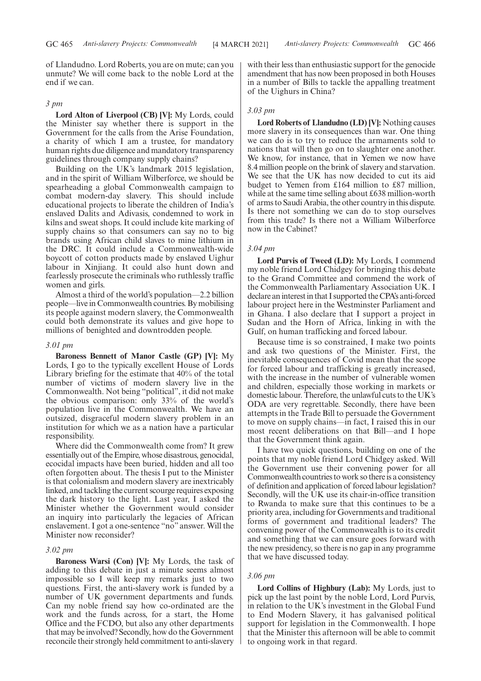of Llandudno. Lord Roberts, you are on mute; can you unmute? We will come back to the noble Lord at the end if we can.

#### *3 pm*

**Lord Alton of Liverpool (CB) [V]:** My Lords, could the Minister say whether there is support in the Government for the calls from the Arise Foundation, a charity of which I am a trustee, for mandatory human rights due diligence and mandatory transparency guidelines through company supply chains?

Building on the UK's landmark 2015 legislation, and in the spirit of William Wilberforce, we should be spearheading a global Commonwealth campaign to combat modern-day slavery. This should include educational projects to liberate the children of India's enslaved Dalits and Adivasis, condemned to work in kilns and sweat shops. It could include kite marking of supply chains so that consumers can say no to big brands using African child slaves to mine lithium in the DRC. It could include a Commonwealth-wide boycott of cotton products made by enslaved Uighur labour in Xinjiang. It could also hunt down and fearlessly prosecute the criminals who ruthlessly traffic women and girls.

Almost a third of the world's population—2.2 billion people—live in Commonwealth countries. By mobilising its people against modern slavery, the Commonwealth could both demonstrate its values and give hope to millions of benighted and downtrodden people.

#### *3.01 pm*

**Baroness Bennett of Manor Castle (GP) [V]:** My Lords, I go to the typically excellent House of Lords Library briefing for the estimate that 40% of the total number of victims of modern slavery live in the Commonwealth. Not being "political", it did not make the obvious comparison: only 33% of the world's population live in the Commonwealth. We have an outsized, disgraceful modern slavery problem in an institution for which we as a nation have a particular responsibility.

Where did the Commonwealth come from? It grew essentially out of the Empire, whose disastrous, genocidal, ecocidal impacts have been buried, hidden and all too often forgotten about. The thesis I put to the Minister is that colonialism and modern slavery are inextricably linked, and tackling the current scourge requires exposing the dark history to the light. Last year, I asked the Minister whether the Government would consider an inquiry into particularly the legacies of African enslavement. I got a one-sentence "no" answer. Will the Minister now reconsider?

#### *3.02 pm*

**Baroness Warsi (Con) [V]:** My Lords, the task of adding to this debate in just a minute seems almost impossible so I will keep my remarks just to two questions. First, the anti-slavery work is funded by a number of UK government departments and funds. Can my noble friend say how co-ordinated are the work and the funds across, for a start, the Home Office and the FCDO, but also any other departments that may be involved? Secondly, how do the Government reconcile their strongly held commitment to anti-slavery with their less than enthusiastic support for the genocide amendment that has now been proposed in both Houses in a number of Bills to tackle the appalling treatment of the Uighurs in China?

#### *3.03 pm*

**Lord Roberts of Llandudno (LD) [V]:** Nothing causes more slavery in its consequences than war. One thing we can do is to try to reduce the armaments sold to nations that will then go on to slaughter one another. We know, for instance, that in Yemen we now have 8.4 million people on the brink of slavery and starvation. We see that the UK has now decided to cut its aid budget to Yemen from £164 million to £87 million, while at the same time selling about £638 million-worth of arms to Saudi Arabia, the other country in this dispute. Is there not something we can do to stop ourselves from this trade? Is there not a William Wilberforce now in the Cabinet?

#### *3.04 pm*

**Lord Purvis of Tweed (LD):** My Lords, I commend my noble friend Lord Chidgey for bringing this debate to the Grand Committee and commend the work of the Commonwealth Parliamentary Association UK. I declare an interest in that I supported the CPA's anti-forced labour project here in the Westminster Parliament and in Ghana. I also declare that I support a project in Sudan and the Horn of Africa, linking in with the Gulf, on human trafficking and forced labour.

Because time is so constrained, I make two points and ask two questions of the Minister. First, the inevitable consequences of Covid mean that the scope for forced labour and trafficking is greatly increased, with the increase in the number of vulnerable women and children, especially those working in markets or domestic labour. Therefore, the unlawful cuts to the UK's ODA are very regrettable. Secondly, there have been attempts in the Trade Bill to persuade the Government to move on supply chains—in fact, I raised this in our most recent deliberations on that Bill—and I hope that the Government think again.

I have two quick questions, building on one of the points that my noble friend Lord Chidgey asked. Will the Government use their convening power for all Commonwealth countries to work so there is a consistency of definition and application of forced labour legislation? Secondly, will the UK use its chair-in-office transition to Rwanda to make sure that this continues to be a priority area, including for Governments and traditional forms of government and traditional leaders? The convening power of the Commonwealth is to its credit and something that we can ensure goes forward with the new presidency, so there is no gap in any programme that we have discussed today.

#### *3.06 pm*

**Lord Collins of Highbury (Lab):** My Lords, just to pick up the last point by the noble Lord, Lord Purvis, in relation to the UK's investment in the Global Fund to End Modern Slavery, it has galvanised political support for legislation in the Commonwealth. I hope that the Minister this afternoon will be able to commit to ongoing work in that regard.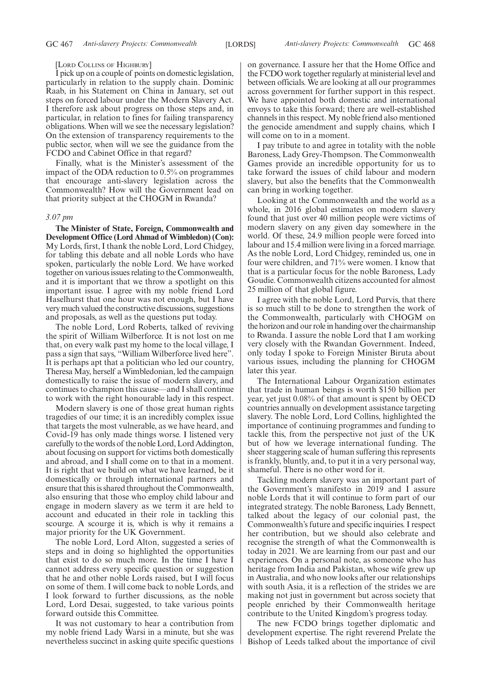#### [LORD COLLINS OF HIGHBURY]

I pick up on a couple of points on domestic legislation, particularly in relation to the supply chain. Dominic Raab, in his Statement on China in January, set out steps on forced labour under the Modern Slavery Act. I therefore ask about progress on those steps and, in particular, in relation to fines for failing transparency obligations. When will we see the necessary legislation? On the extension of transparency requirements to the public sector, when will we see the guidance from the FCDO and Cabinet Office in that regard?

Finally, what is the Minister's assessment of the impact of the ODA reduction to 0.5% on programmes that encourage anti-slavery legislation across the Commonwealth? How will the Government lead on that priority subject at the CHOGM in Rwanda?

#### *3.07 pm*

**The Minister of State, Foreign, Commonwealth and Development Office (Lord Ahmad of Wimbledon) (Con):** My Lords, first, I thank the noble Lord, Lord Chidgey, for tabling this debate and all noble Lords who have spoken, particularly the noble Lord. We have worked together on various issues relating to the Commonwealth, and it is important that we throw a spotlight on this important issue. I agree with my noble friend Lord Haselhurst that one hour was not enough, but I have very much valued the constructive discussions, suggestions and proposals, as well as the questions put today.

The noble Lord, Lord Roberts, talked of reviving the spirit of William Wilberforce. It is not lost on me that, on every walk past my home to the local village, I pass a sign that says, "William Wilberforce lived here". It is perhaps apt that a politician who led our country, Theresa May, herself a Wimbledonian, led the campaign domestically to raise the issue of modern slavery, and continues to champion this cause—and I shall continue to work with the right honourable lady in this respect.

Modern slavery is one of those great human rights tragedies of our time; it is an incredibly complex issue that targets the most vulnerable, as we have heard, and Covid-19 has only made things worse. I listened very carefully to the words of the noble Lord, Lord Addington, about focusing on support for victims both domestically and abroad, and I shall come on to that in a moment. It is right that we build on what we have learned, be it domestically or through international partners and ensure that this is shared throughout the Commonwealth, also ensuring that those who employ child labour and engage in modern slavery as we term it are held to account and educated in their role in tackling this scourge. A scourge it is, which is why it remains a major priority for the UK Government.

The noble Lord, Lord Alton, suggested a series of steps and in doing so highlighted the opportunities that exist to do so much more. In the time I have I cannot address every specific question or suggestion that he and other noble Lords raised, but I will focus on some of them. I will come back to noble Lords, and I look forward to further discussions, as the noble Lord, Lord Desai, suggested, to take various points forward outside this Committee.

It was not customary to hear a contribution from my noble friend Lady Warsi in a minute, but she was nevertheless succinct in asking quite specific questions on governance. I assure her that the Home Office and the FCDO work together regularly at ministerial level and between officials. We are looking at all our programmes across government for further support in this respect. We have appointed both domestic and international envoys to take this forward; there are well-established channels in this respect. My noble friend also mentioned the genocide amendment and supply chains, which I will come on to in a moment.

I pay tribute to and agree in totality with the noble Baroness, Lady Grey-Thompson. The Commonwealth Games provide an incredible opportunity for us to take forward the issues of child labour and modern slavery, but also the benefits that the Commonwealth can bring in working together.

Looking at the Commonwealth and the world as a whole, in 2016 global estimates on modern slavery found that just over 40 million people were victims of modern slavery on any given day somewhere in the world. Of these, 24.9 million people were forced into labour and 15.4 million were living in a forced marriage. As the noble Lord, Lord Chidgey, reminded us, one in four were children, and 71% were women. I know that that is a particular focus for the noble Baroness, Lady Goudie. Commonwealth citizens accounted for almost 25 million of that global figure.

I agree with the noble Lord, Lord Purvis, that there is so much still to be done to strengthen the work of the Commonwealth, particularly with CHOGM on the horizon and our role in handing over the chairmanship to Rwanda. I assure the noble Lord that I am working very closely with the Rwandan Government. Indeed, only today I spoke to Foreign Minister Biruta about various issues, including the planning for CHOGM later this year.

The International Labour Organization estimates that trade in human beings is worth \$150 billion per year, yet just 0.08% of that amount is spent by OECD countries annually on development assistance targeting slavery. The noble Lord, Lord Collins, highlighted the importance of continuing programmes and funding to tackle this, from the perspective not just of the UK but of how we leverage international funding. The sheer staggering scale of human suffering this represents is frankly, bluntly, and, to put it in a very personal way, shameful. There is no other word for it.

Tackling modern slavery was an important part of the Government's manifesto in 2019 and I assure noble Lords that it will continue to form part of our integrated strategy. The noble Baroness, Lady Bennett, talked about the legacy of our colonial past, the Commonwealth's future and specific inquiries. I respect her contribution, but we should also celebrate and recognise the strength of what the Commonwealth is today in 2021. We are learning from our past and our experiences. On a personal note, as someone who has heritage from India and Pakistan, whose wife grew up in Australia, and who now looks after our relationships with south Asia, it is a reflection of the strides we are making not just in government but across society that people enriched by their Commonwealth heritage contribute to the United Kingdom's progress today.

The new FCDO brings together diplomatic and development expertise. The right reverend Prelate the Bishop of Leeds talked about the importance of civil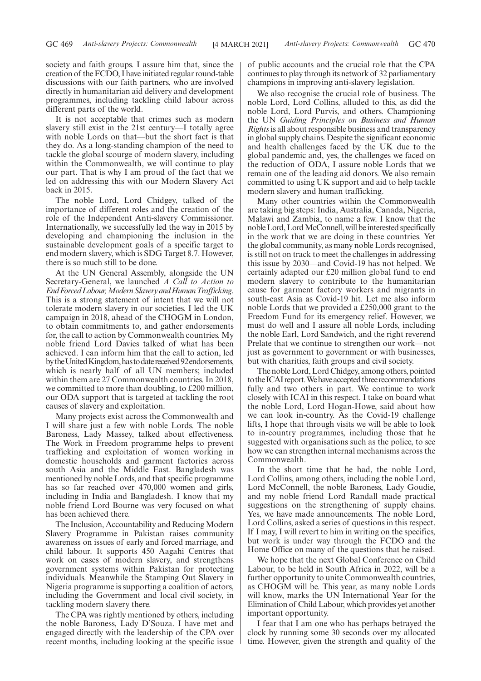society and faith groups. I assure him that, since the creation of the FCDO, I have initiated regular round-table discussions with our faith partners, who are involved directly in humanitarian aid delivery and development programmes, including tackling child labour across different parts of the world.

It is not acceptable that crimes such as modern slavery still exist in the 21st century—I totally agree with noble Lords on that—but the short fact is that they do. As a long-standing champion of the need to tackle the global scourge of modern slavery, including within the Commonwealth, we will continue to play our part. That is why I am proud of the fact that we led on addressing this with our Modern Slavery Act back in 2015.

The noble Lord, Lord Chidgey, talked of the importance of different roles and the creation of the role of the Independent Anti-slavery Commissioner. Internationally, we successfully led the way in 2015 by developing and championing the inclusion in the sustainable development goals of a specific target to end modern slavery, which is SDG Target 8.7. However, there is so much still to be done.

At the UN General Assembly, alongside the UN Secretary-General, we launched *A Call to Action to EndForcedLabour,ModernSlaveryandHumanTrafficking*. This is a strong statement of intent that we will not tolerate modern slavery in our societies. I led the UK campaign in 2018, ahead of the CHOGM in London, to obtain commitments to, and gather endorsements for, the call to action by Commonwealth countries. My noble friend Lord Davies talked of what has been achieved. I can inform him that the call to action, led by the United Kingdom, has to date received 92 endorsements, which is nearly half of all UN members; included within them are 27 Commonwealth countries. In 2018, we committed to more than doubling, to £200 million, our ODA support that is targeted at tackling the root causes of slavery and exploitation.

Many projects exist across the Commonwealth and I will share just a few with noble Lords. The noble Baroness, Lady Massey, talked about effectiveness. The Work in Freedom programme helps to prevent trafficking and exploitation of women working in domestic households and garment factories across south Asia and the Middle East. Bangladesh was mentioned by noble Lords, and that specific programme has so far reached over 470,000 women and girls, including in India and Bangladesh. I know that my noble friend Lord Bourne was very focused on what has been achieved there.

The Inclusion, Accountability and Reducing Modern Slavery Programme in Pakistan raises community awareness on issues of early and forced marriage, and child labour. It supports 450 Aagahi Centres that work on cases of modern slavery, and strengthens government systems within Pakistan for protecting individuals. Meanwhile the Stamping Out Slavery in Nigeria programme is supporting a coalition of actors, including the Government and local civil society, in tackling modern slavery there.

The CPA was rightly mentioned by others, including the noble Baroness, Lady D'Souza. I have met and engaged directly with the leadership of the CPA over recent months, including looking at the specific issue of public accounts and the crucial role that the CPA continues to play through its network of 32 parliamentary champions in improving anti-slavery legislation.

We also recognise the crucial role of business. The noble Lord, Lord Collins, alluded to this, as did the noble Lord, Lord Purvis, and others. Championing the UN *Guiding Principles on Business and Human Rights*is all about responsible business and transparency in global supply chains. Despite the significant economic and health challenges faced by the UK due to the global pandemic and, yes, the challenges we faced on the reduction of ODA, I assure noble Lords that we remain one of the leading aid donors. We also remain committed to using UK support and aid to help tackle modern slavery and human trafficking.

Many other countries within the Commonwealth are taking big steps: India, Australia, Canada, Nigeria, Malawi and Zambia, to name a few. I know that the noble Lord, Lord McConnell, will be interested specifically in the work that we are doing in these countries. Yet the global community, as many noble Lords recognised, is still not on track to meet the challenges in addressing this issue by 2030—and Covid-19 has not helped. We certainly adapted our £20 million global fund to end modern slavery to contribute to the humanitarian cause for garment factory workers and migrants in south-east Asia as Covid-19 hit. Let me also inform noble Lords that we provided a £250,000 grant to the Freedom Fund for its emergency relief. However, we must do well and I assure all noble Lords, including the noble Earl, Lord Sandwich, and the right reverend Prelate that we continue to strengthen our work—not just as government to government or with businesses, but with charities, faith groups and civil society.

The noble Lord, Lord Chidgey, among others, pointed to the ICAI report. We have accepted three recommendations fully and two others in part. We continue to work closely with ICAI in this respect. I take on board what the noble Lord, Lord Hogan-Howe, said about how we can look in-country. As the Covid-19 challenge lifts, I hope that through visits we will be able to look to in-country programmes, including those that he suggested with organisations such as the police, to see how we can strengthen internal mechanisms across the Commonwealth.

In the short time that he had, the noble Lord, Lord Collins, among others, including the noble Lord, Lord McConnell, the noble Baroness, Lady Goudie, and my noble friend Lord Randall made practical suggestions on the strengthening of supply chains. Yes, we have made announcements. The noble Lord, Lord Collins, asked a series of questions in this respect. If I may, I will revert to him in writing on the specifics, but work is under way through the FCDO and the Home Office on many of the questions that he raised.

We hope that the next Global Conference on Child Labour, to be held in South Africa in 2022, will be a further opportunity to unite Commonwealth countries, as CHOGM will be. This year, as many noble Lords will know, marks the UN International Year for the Elimination of Child Labour, which provides yet another important opportunity.

I fear that I am one who has perhaps betrayed the clock by running some 30 seconds over my allocated time. However, given the strength and quality of the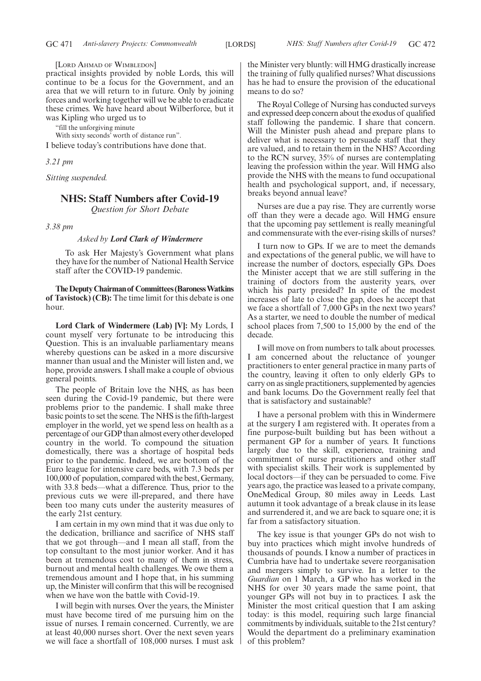[LORD AHMAD OF WIMBLEDON]

practical insights provided by noble Lords, this will continue to be a focus for the Government, and an area that we will return to in future. Only by joining forces and working together will we be able to eradicate these crimes. We have heard about Wilberforce, but it was Kipling who urged us to

"fill the unforgiving minute

With sixty seconds' worth of distance run".

I believe today's contributions have done that.

*3.21 pm*

*Sitting suspended.*

#### **NHS: Staff Numbers after Covid-19**

*Question for Short Debate*

*3.38 pm*

#### *Asked by Lord Clark of Windermere*

To ask Her Majesty's Government what plans they have for the number of National Health Service staff after the COVID-19 pandemic.

**TheDeputyChairmanof Committees(BaronessWatkins of Tavistock) (CB):** The time limit for this debate is one hour.

**Lord Clark of Windermere (Lab) [V]:** My Lords, I count myself very fortunate to be introducing this Question. This is an invaluable parliamentary means whereby questions can be asked in a more discursive manner than usual and the Minister will listen and, we hope, provide answers. I shall make a couple of obvious general points.

The people of Britain love the NHS, as has been seen during the Covid-19 pandemic, but there were problems prior to the pandemic. I shall make three basic points to set the scene. The NHS is the fifth-largest employer in the world, yet we spend less on health as a percentage of our GDP than almost every other developed country in the world. To compound the situation domestically, there was a shortage of hospital beds prior to the pandemic. Indeed, we are bottom of the Euro league for intensive care beds, with 7.3 beds per 100,000 of population, compared with the best, Germany, with 33.8 beds—what a difference. Thus, prior to the previous cuts we were ill-prepared, and there have been too many cuts under the austerity measures of the early 21st century.

I am certain in my own mind that it was due only to the dedication, brilliance and sacrifice of NHS staff that we got through—and I mean all staff, from the top consultant to the most junior worker. And it has been at tremendous cost to many of them in stress, burnout and mental health challenges. We owe them a tremendous amount and I hope that, in his summing up, the Minister will confirm that this will be recognised when we have won the battle with Covid-19.

I will begin with nurses. Over the years, the Minister must have become tired of me pursuing him on the issue of nurses. I remain concerned. Currently, we are at least 40,000 nurses short. Over the next seven years we will face a shortfall of 108,000 nurses. I must ask the Minister very bluntly: will HMG drastically increase the training of fully qualified nurses? What discussions has he had to ensure the provision of the educational means to do so?

The Royal College of Nursing has conducted surveys and expressed deep concern about the exodus of qualified staff following the pandemic. I share that concern. Will the Minister push ahead and prepare plans to deliver what is necessary to persuade staff that they are valued, and to retain them in the NHS? According to the RCN survey, 35% of nurses are contemplating leaving the profession within the year. Will HMG also provide the NHS with the means to fund occupational health and psychological support, and, if necessary, breaks beyond annual leave?

Nurses are due a pay rise. They are currently worse off than they were a decade ago. Will HMG ensure that the upcoming pay settlement is really meaningful and commensurate with the ever-rising skills of nurses?

I turn now to GPs. If we are to meet the demands and expectations of the general public, we will have to increase the number of doctors, especially GPs. Does the Minister accept that we are still suffering in the training of doctors from the austerity years, over which his party presided? In spite of the modest increases of late to close the gap, does he accept that we face a shortfall of 7,000 GPs in the next two years? As a starter, we need to double the number of medical school places from 7,500 to 15,000 by the end of the decade.

I will move on from numbers to talk about processes. I am concerned about the reluctance of younger practitioners to enter general practice in many parts of the country, leaving it often to only elderly GPs to carry on as single practitioners, supplemented by agencies and bank locums. Do the Government really feel that that is satisfactory and sustainable?

I have a personal problem with this in Windermere at the surgery I am registered with. It operates from a fine purpose-built building but has been without a permanent GP for a number of years. It functions largely due to the skill, experience, training and commitment of nurse practitioners and other staff with specialist skills. Their work is supplemented by local doctors—if they can be persuaded to come. Five years ago, the practice was leased to a private company, OneMedical Group, 80 miles away in Leeds. Last autumn it took advantage of a break clause in its lease and surrendered it, and we are back to square one; it is far from a satisfactory situation.

The key issue is that younger GPs do not wish to buy into practices which might involve hundreds of thousands of pounds. I know a number of practices in Cumbria have had to undertake severe reorganisation and mergers simply to survive. In a letter to the *Guardian* on 1 March, a GP who has worked in the NHS for over 30 years made the same point, that younger GPs will not buy in to practices. I ask the Minister the most critical question that I am asking today: is this model, requiring such large financial commitments by individuals, suitable to the 21st century? Would the department do a preliminary examination of this problem?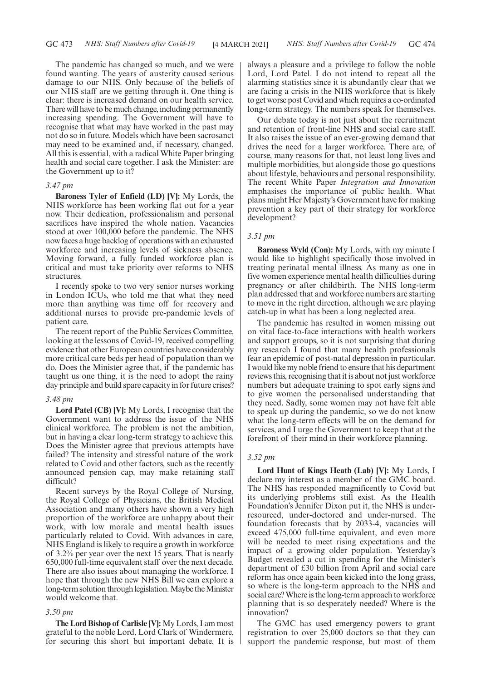The pandemic has changed so much, and we were found wanting. The years of austerity caused serious damage to our NHS. Only because of the beliefs of our NHS staff are we getting through it. One thing is clear: there is increased demand on our health service. There will have to be much change, including permanently increasing spending. The Government will have to recognise that what may have worked in the past may not do so in future. Models which have been sacrosanct may need to be examined and, if necessary, changed. All this is essential, with a radical White Paper bringing health and social care together. I ask the Minister: are the Government up to it?

#### *3.47 pm*

**Baroness Tyler of Enfield (LD) [V]:** My Lords, the NHS workforce has been working flat out for a year now. Their dedication, professionalism and personal sacrifices have inspired the whole nation. Vacancies stood at over 100,000 before the pandemic. The NHS now faces a huge backlog of operations with an exhausted workforce and increasing levels of sickness absence. Moving forward, a fully funded workforce plan is critical and must take priority over reforms to NHS structures.

I recently spoke to two very senior nurses working in London ICUs, who told me that what they need more than anything was time off for recovery and additional nurses to provide pre-pandemic levels of patient care.

The recent report of the Public Services Committee, looking at the lessons of Covid-19, received compelling evidence that other European countries have considerably more critical care beds per head of population than we do. Does the Minister agree that, if the pandemic has taught us one thing, it is the need to adopt the rainy day principle and build spare capacity in for future crises?

#### *3.48 pm*

**Lord Patel (CB) [V]:** My Lords, I recognise that the Government want to address the issue of the NHS clinical workforce. The problem is not the ambition, but in having a clear long-term strategy to achieve this. Does the Minister agree that previous attempts have failed? The intensity and stressful nature of the work related to Covid and other factors, such as the recently announced pension cap, may make retaining staff difficult?

Recent surveys by the Royal College of Nursing, the Royal College of Physicians, the British Medical Association and many others have shown a very high proportion of the workforce are unhappy about their work, with low morale and mental health issues particularly related to Covid. With advances in care, NHS England is likely to require a growth in workforce of 3.2% per year over the next 15 years. That is nearly 650,000 full-time equivalent staff over the next decade. There are also issues about managing the workforce. I hope that through the new NHS Bill we can explore a long-term solution through legislation. Maybe the Minister would welcome that.

#### *3.50 pm*

**The Lord Bishop of Carlisle [V]:** My Lords, I am most grateful to the noble Lord, Lord Clark of Windermere, for securing this short but important debate. It is always a pleasure and a privilege to follow the noble Lord, Lord Patel. I do not intend to repeat all the alarming statistics since it is abundantly clear that we are facing a crisis in the NHS workforce that is likely to get worse post Covid and which requires a co-ordinated long-term strategy. The numbers speak for themselves.

Our debate today is not just about the recruitment and retention of front-line NHS and social care staff. It also raises the issue of an ever-growing demand that drives the need for a larger workforce. There are, of course, many reasons for that, not least long lives and multiple morbidities, but alongside those go questions about lifestyle, behaviours and personal responsibility. The recent White Paper *Integration and Innovation* emphasises the importance of public health. What plans might Her Majesty's Government have for making prevention a key part of their strategy for workforce development?

#### *3.51 pm*

**Baroness Wyld (Con):** My Lords, with my minute I would like to highlight specifically those involved in treating perinatal mental illness. As many as one in five women experience mental health difficulties during pregnancy or after childbirth. The NHS long-term plan addressed that and workforce numbers are starting to move in the right direction, although we are playing catch-up in what has been a long neglected area.

The pandemic has resulted in women missing out on vital face-to-face interactions with health workers and support groups, so it is not surprising that during my research I found that many health professionals fear an epidemic of post-natal depression in particular. I would like my noble friend to ensure that his department reviews this, recognising that it is about not just workforce numbers but adequate training to spot early signs and to give women the personalised understanding that they need. Sadly, some women may not have felt able to speak up during the pandemic, so we do not know what the long-term effects will be on the demand for services, and I urge the Government to keep that at the forefront of their mind in their workforce planning.

#### *3.52 pm*

**Lord Hunt of Kings Heath (Lab) [V]:** My Lords, I declare my interest as a member of the GMC board. The NHS has responded magnificently to Covid but its underlying problems still exist. As the Health Foundation's Jennifer Dixon put it, the NHS is underresourced, under-doctored and under-nursed. The foundation forecasts that by 2033-4, vacancies will exceed 475,000 full-time equivalent, and even more will be needed to meet rising expectations and the impact of a growing older population. Yesterday's Budget revealed a cut in spending for the Minister's department of £30 billion from April and social care reform has once again been kicked into the long grass, so where is the long-term approach to the NHS and social care? Where is the long-term approach to workforce planning that is so desperately needed? Where is the innovation?

The GMC has used emergency powers to grant registration to over 25,000 doctors so that they can support the pandemic response, but most of them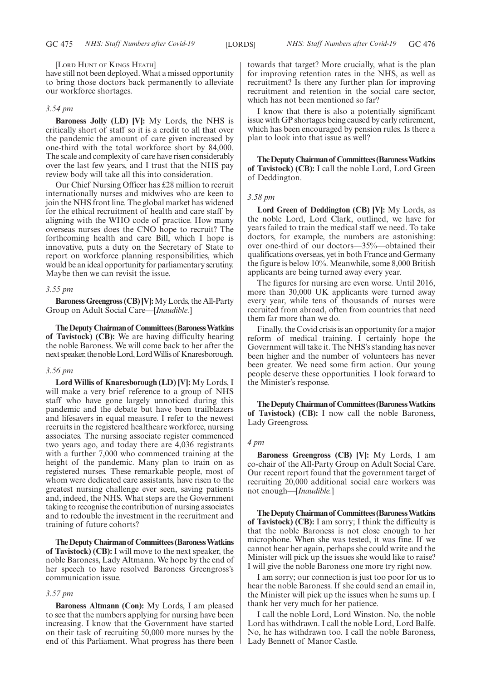#### [LORD HUNT OF KINGS HEATH]

have still not been deployed. What a missed opportunity to bring those doctors back permanently to alleviate our workforce shortages.

#### *3.54 pm*

**Baroness Jolly (LD) [V]:** My Lords, the NHS is critically short of staff so it is a credit to all that over the pandemic the amount of care given increased by one-third with the total workforce short by 84,000. The scale and complexity of care have risen considerably over the last few years, and I trust that the NHS pay review body will take all this into consideration.

Our Chief Nursing Officer has £28 million to recruit internationally nurses and midwives who are keen to join the NHS front line. The global market has widened for the ethical recruitment of health and care staff by aligning with the WHO code of practice. How many overseas nurses does the CNO hope to recruit? The forthcoming health and care Bill, which I hope is innovative, puts a duty on the Secretary of State to report on workforce planning responsibilities, which would be an ideal opportunity for parliamentary scrutiny. Maybe then we can revisit the issue.

#### *3.55 pm*

**Baroness Greengross (CB) [V]:**My Lords, the All-Party Group on Adult Social Care—[*Inaudible.*]

**TheDeputyChairmanof Committees(BaronessWatkins of Tavistock) (CB):** We are having difficulty hearing the noble Baroness. We will come back to her after the next speaker, the noble Lord, Lord Willis of Knaresborough.

#### *3.56 pm*

**Lord Willis of Knaresborough (LD) [V]:** My Lords, I will make a very brief reference to a group of NHS staff who have gone largely unnoticed during this pandemic and the debate but have been trailblazers and lifesavers in equal measure. I refer to the newest recruits in the registered healthcare workforce, nursing associates. The nursing associate register commenced two years ago, and today there are 4,036 registrants with a further 7,000 who commenced training at the height of the pandemic. Many plan to train on as registered nurses. These remarkable people, most of whom were dedicated care assistants, have risen to the greatest nursing challenge ever seen, saving patients and, indeed, the NHS. What steps are the Government taking to recognise the contribution of nursing associates and to redouble the investment in the recruitment and training of future cohorts?

**TheDeputyChairmanof Committees(BaronessWatkins of Tavistock) (CB):** I will move to the next speaker, the noble Baroness, Lady Altmann. We hope by the end of her speech to have resolved Baroness Greengross's communication issue.

#### *3.57 pm*

**Baroness Altmann (Con):** My Lords, I am pleased to see that the numbers applying for nursing have been increasing. I know that the Government have started on their task of recruiting 50,000 more nurses by the end of this Parliament. What progress has there been towards that target? More crucially, what is the plan for improving retention rates in the NHS, as well as recruitment? Is there any further plan for improving recruitment and retention in the social care sector, which has not been mentioned so far?

I know that there is also a potentially significant issue with GP shortages being caused by early retirement, which has been encouraged by pension rules. Is there a plan to look into that issue as well?

**TheDeputyChairmanof Committees(BaronessWatkins of Tavistock) (CB):** I call the noble Lord, Lord Green of Deddington.

#### *3.58 pm*

**Lord Green of Deddington (CB) [V]:** My Lords, as the noble Lord, Lord Clark, outlined, we have for years failed to train the medical staff we need. To take doctors, for example, the numbers are astonishing: over one-third of our doctors—35%—obtained their qualifications overseas, yet in both France and Germany the figure is below 10%. Meanwhile, some 8,000 British applicants are being turned away every year.

The figures for nursing are even worse. Until 2016, more than 30,000 UK applicants were turned away every year, while tens of thousands of nurses were recruited from abroad, often from countries that need them far more than we do.

Finally, the Covid crisis is an opportunity for a major reform of medical training. I certainly hope the Government will take it. The NHS's standing has never been higher and the number of volunteers has never been greater. We need some firm action. Our young people deserve these opportunities. I look forward to the Minister's response.

**TheDeputyChairmanof Committees(BaronessWatkins of Tavistock) (CB):** I now call the noble Baroness, Lady Greengross.

#### *4 pm*

**Baroness Greengross (CB) [V]:** My Lords, I am co-chair of the All-Party Group on Adult Social Care. Our recent report found that the government target of recruiting 20,000 additional social care workers was not enough—[*Inaudible.*]

**TheDeputyChairmanof Committees(BaronessWatkins of Tavistock) (CB):** I am sorry; I think the difficulty is that the noble Baroness is not close enough to her microphone. When she was tested, it was fine. If we cannot hear her again, perhaps she could write and the Minister will pick up the issues she would like to raise? I will give the noble Baroness one more try right now.

I am sorry; our connection is just too poor for us to hear the noble Baroness. If she could send an email in, the Minister will pick up the issues when he sums up. I thank her very much for her patience.

I call the noble Lord, Lord Winston. No, the noble Lord has withdrawn. I call the noble Lord, Lord Balfe. No, he has withdrawn too. I call the noble Baroness, Lady Bennett of Manor Castle.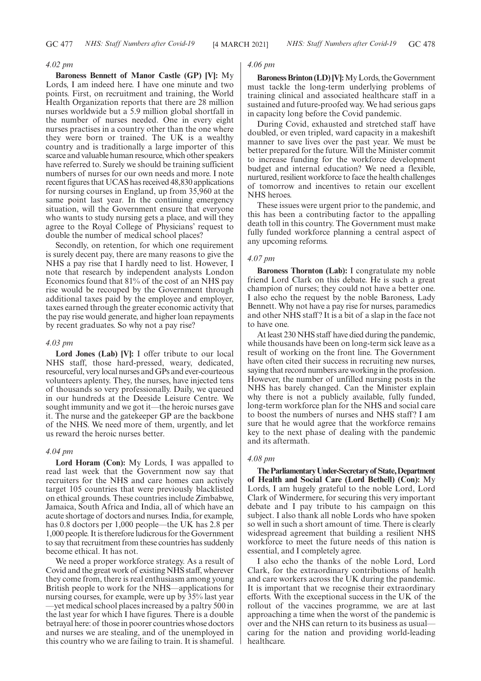#### *4.02 pm*

**Baroness Bennett of Manor Castle (GP) [V]:** My Lords, I am indeed here. I have one minute and two points. First, on recruitment and training, the World Health Organization reports that there are 28 million nurses worldwide but a 5.9 million global shortfall in the number of nurses needed. One in every eight nurses practises in a country other than the one where they were born or trained. The UK is a wealthy country and is traditionally a large importer of this scarce and valuable human resource, which other speakers have referred to. Surely we should be training sufficient numbers of nurses for our own needs and more. I note recent figures that UCAS has received 48,830 applications for nursing courses in England, up from 35,960 at the same point last year. In the continuing emergency situation, will the Government ensure that everyone who wants to study nursing gets a place, and will they agree to the Royal College of Physicians' request to double the number of medical school places?

Secondly, on retention, for which one requirement is surely decent pay, there are many reasons to give the NHS a pay rise that I hardly need to list. However, I note that research by independent analysts London Economics found that 81% of the cost of an NHS pay rise would be recouped by the Government through additional taxes paid by the employee and employer, taxes earned through the greater economic activity that the pay rise would generate, and higher loan repayments by recent graduates. So why not a pay rise?

#### *4.03 pm*

**Lord Jones (Lab) [V]:** I offer tribute to our local NHS staff, those hard-pressed, weary, dedicated, resourceful, very local nurses and GPs and ever-courteous volunteers aplenty. They, the nurses, have injected tens of thousands so very professionally. Daily, we queued in our hundreds at the Deeside Leisure Centre. We sought immunity and we got it—the heroic nurses gave it. The nurse and the gatekeeper GP are the backbone of the NHS. We need more of them, urgently, and let us reward the heroic nurses better.

#### *4.04 pm*

**Lord Horam (Con):** My Lords, I was appalled to read last week that the Government now say that recruiters for the NHS and care homes can actively target 105 countries that were previously blacklisted on ethical grounds. These countries include Zimbabwe, Jamaica, South Africa and India, all of which have an acute shortage of doctors and nurses. India, for example, has 0.8 doctors per 1,000 people—the UK has 2.8 per 1,000 people. It is therefore ludicrous for the Government to say that recruitment from these countries has suddenly become ethical. It has not.

We need a proper workforce strategy. As a result of Covid and the great work of existing NHS staff, wherever they come from, there is real enthusiasm among young British people to work for the NHS—applications for nursing courses, for example, were up by 35% last year —yet medical school places increased by a paltry 500 in the last year for which I have figures. There is a double betrayal here: of those in poorer countries whose doctors and nurses we are stealing, and of the unemployed in this country who we are failing to train. It is shameful.

#### *4.06 pm*

**Baroness Brinton (LD) [V]:**My Lords, the Government must tackle the long-term underlying problems of training clinical and associated healthcare staff in a sustained and future-proofed way. We had serious gaps in capacity long before the Covid pandemic.

During Covid, exhausted and stretched staff have doubled, or even tripled, ward capacity in a makeshift manner to save lives over the past year. We must be better prepared for the future. Will the Minister commit to increase funding for the workforce development budget and internal education? We need a flexible, nurtured, resilient workforce to face the health challenges of tomorrow and incentives to retain our excellent NHS heroes.

These issues were urgent prior to the pandemic, and this has been a contributing factor to the appalling death toll in this country. The Government must make fully funded workforce planning a central aspect of any upcoming reforms.

#### *4.07 pm*

**Baroness Thornton (Lab):** I congratulate my noble friend Lord Clark on this debate. He is such a great champion of nurses; they could not have a better one. I also echo the request by the noble Baroness, Lady Bennett. Why not have a pay rise for nurses, paramedics and other NHS staff? It is a bit of a slap in the face not to have one.

At least 230 NHS staff have died during the pandemic, while thousands have been on long-term sick leave as a result of working on the front line. The Government have often cited their success in recruiting new nurses, saying that record numbers are working in the profession. However, the number of unfilled nursing posts in the NHS has barely changed. Can the Minister explain why there is not a publicly available, fully funded, long-term workforce plan for the NHS and social care to boost the numbers of nurses and NHS staff? I am sure that he would agree that the workforce remains key to the next phase of dealing with the pandemic and its aftermath.

#### *4.08 pm*

**TheParliamentaryUnder-Secretaryof State,Department of Health and Social Care (Lord Bethell) (Con):** My Lords, I am hugely grateful to the noble Lord, Lord Clark of Windermere, for securing this very important debate and I pay tribute to his campaign on this subject. I also thank all noble Lords who have spoken so well in such a short amount of time. There is clearly widespread agreement that building a resilient NHS workforce to meet the future needs of this nation is essential, and I completely agree.

I also echo the thanks of the noble Lord, Lord Clark, for the extraordinary contributions of health and care workers across the UK during the pandemic. It is important that we recognise their extraordinary efforts. With the exceptional success in the UK of the rollout of the vaccines programme, we are at last approaching a time when the worst of the pandemic is over and the NHS can return to its business as usual caring for the nation and providing world-leading healthcare.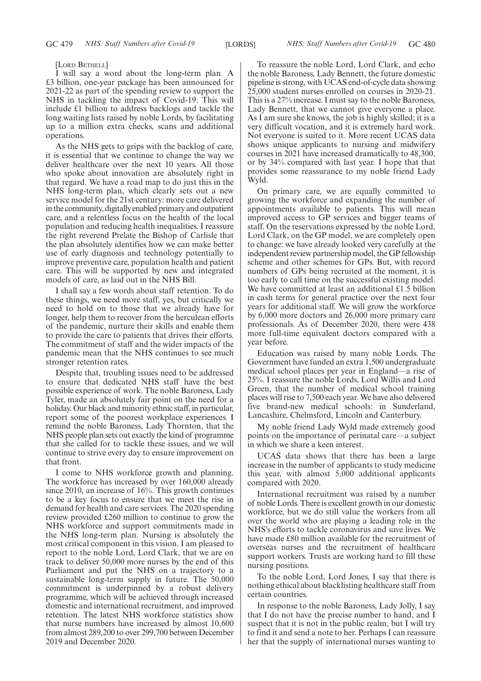[LORD BETHELL]

I will say a word about the long-term plan. A £3 billion, one-year package has been announced for 2021-22 as part of the spending review to support the NHS in tackling the impact of Covid-19. This will include £1 billion to address backlogs and tackle the long waiting lists raised by noble Lords, by facilitating up to a million extra checks, scans and additional operations.

As the NHS gets to grips with the backlog of care, it is essential that we continue to change the way we deliver healthcare over the next 10 years. All those who spoke about innovation are absolutely right in that regard. We have a road map to do just this in the NHS long-term plan, which clearly sets out a new service model for the 21st century: more care delivered in the community, digitally enabled primary and outpatient care, and a relentless focus on the health of the local population and reducing health inequalities. I reassure the right reverend Prelate the Bishop of Carlisle that the plan absolutely identifies how we can make better use of early diagnosis and technology potentially to improve preventive care, population health and patient care. This will be supported by new and integrated models of care, as laid out in the NHS Bill.

I shall say a few words about staff retention. To do these things, we need more staff, yes, but critically we need to hold on to those that we already have for longer, help them to recover from the herculean efforts of the pandemic, nurture their skills and enable them to provide the care to patients that drives their efforts. The commitment of staff and the wider impacts of the pandemic mean that the NHS continues to see much stronger retention rates.

Despite that, troubling issues need to be addressed to ensure that dedicated NHS staff have the best possible experience of work. The noble Baroness, Lady Tyler, made an absolutely fair point on the need for a holiday. Our black and minority ethnic staff, in particular, report some of the poorest workplace experiences. I remind the noble Baroness, Lady Thornton, that the NHS people plan sets out exactly the kind of programme that she called for to tackle these issues, and we will continue to strive every day to ensure improvement on that front.

I come to NHS workforce growth and planning. The workforce has increased by over 160,000 already since 2010, an increase of 16%. This growth continues to be a key focus to ensure that we meet the rise in demand for health and care services. The 2020 spending review provided £260 million to continue to grow the NHS workforce and support commitments made in the NHS long-term plan. Nursing is absolutely the most critical component in this vision. I am pleased to report to the noble Lord, Lord Clark, that we are on track to deliver 50,000 more nurses by the end of this Parliament and put the NHS on a trajectory to a sustainable long-term supply in future. The 50,000 commitment is underpinned by a robust delivery programme, which will be achieved through increased domestic and international recruitment, and improved retention. The latest NHS workforce statistics show that nurse numbers have increased by almost 10,600 from almost 289,200 to over 299,700 between December 2019 and December 2020.

To reassure the noble Lord, Lord Clark, and echo the noble Baroness, Lady Bennett, the future domestic pipeline is strong, with UCAS end-of-cycle data showing 25,000 student nurses enrolled on courses in 2020-21. This is a 27% increase. I must say to the noble Baroness, Lady Bennett, that we cannot give everyone a place. As I am sure she knows, the job is highly skilled; it is a very difficult vocation, and it is extremely hard work. Not everyone is suited to it. More recent UCAS data shows unique applicants to nursing and midwifery courses in 2021 have increased dramatically to 48,300, or by 34% compared with last year. I hope that that provides some reassurance to my noble friend Lady Wyld.

On primary care, we are equally committed to growing the workforce and expanding the number of appointments available to patients. This will mean improved access to GP services and bigger teams of staff. On the reservations expressed by the noble Lord, Lord Clark, on the GP model, we are completely open to change: we have already looked very carefully at the independent review partnership model, the GP fellowship scheme and other schemes for GPs. But, with record numbers of GPs being recruited at the moment, it is too early to call time on the successful existing model. We have committed at least an additional £1.5 billion in cash terms for general practice over the next four years for additional staff. We will grow the workforce by 6,000 more doctors and 26,000 more primary care professionals. As of December 2020, there were 438 more full-time equivalent doctors compared with a year before.

Education was raised by many noble Lords. The Government have funded an extra 1,500 undergraduate medical school places per year in England—a rise of 25%. I reassure the noble Lords, Lord Willis and Lord Green, that the number of medical school training places will rise to 7,500 each year. We have also delivered five brand-new medical schools: in Sunderland, Lancashire, Chelmsford, Lincoln and Canterbury.

My noble friend Lady Wyld made extremely good points on the importance of perinatal care—a subject in which we share a keen interest.

UCAS data shows that there has been a large increase in the number of applicants to study medicine this year, with almost 5,000 additional applicants compared with 2020.

International recruitment was raised by a number of noble Lords. There is excellent growth in our domestic workforce, but we do still value the workers from all over the world who are playing a leading role in the NHS's efforts to tackle coronavirus and save lives. We have made £80 million available for the recruitment of overseas nurses and the recruitment of healthcare support workers. Trusts are working hard to fill these nursing positions.

To the noble Lord, Lord Jones, I say that there is nothing ethical about blacklisting healthcare staff from certain countries.

In response to the noble Baroness, Lady Jolly, I say that I do not have the precise number to hand, and I suspect that it is not in the public realm, but I will try to find it and send a note to her. Perhaps I can reassure her that the supply of international nurses wanting to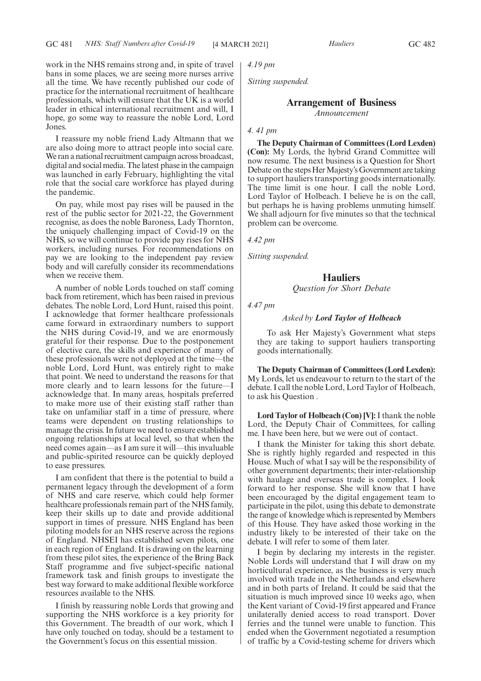work in the NHS remains strong and, in spite of travel bans in some places, we are seeing more nurses arrive all the time. We have recently published our code of practice for the international recruitment of healthcare professionals, which will ensure that the UK is a world leader in ethical international recruitment and will, I hope, go some way to reassure the noble Lord, Lord Jones.

I reassure my noble friend Lady Altmann that we are also doing more to attract people into social care. We ran a national recruitment campaign across broadcast, digital and social media. The latest phase in the campaign was launched in early February, highlighting the vital role that the social care workforce has played during the pandemic.

On pay, while most pay rises will be paused in the rest of the public sector for 2021-22, the Government recognise, as does the noble Baroness, Lady Thornton, the uniquely challenging impact of Covid-19 on the NHS, so we will continue to provide pay rises for NHS workers, including nurses. For recommendations on pay we are looking to the independent pay review body and will carefully consider its recommendations when we receive them.

A number of noble Lords touched on staff coming back from retirement, which has been raised in previous debates. The noble Lord, Lord Hunt, raised this point. I acknowledge that former healthcare professionals came forward in extraordinary numbers to support the NHS during Covid-19, and we are enormously grateful for their response. Due to the postponement of elective care, the skills and experience of many of these professionals were not deployed at the time—the noble Lord, Lord Hunt, was entirely right to make that point. We need to understand the reasons for that more clearly and to learn lessons for the future—I acknowledge that. In many areas, hospitals preferred to make more use of their existing staff rather than take on unfamiliar staff in a time of pressure, where teams were dependent on trusting relationships to manage the crisis. In future we need to ensure established ongoing relationships at local level, so that when the need comes again—as I am sure it will—this invaluable and public-spirited resource can be quickly deployed to ease pressures.

I am confident that there is the potential to build a permanent legacy through the development of a form of NHS and care reserve, which could help former healthcare professionals remain part of the NHS family, keep their skills up to date and provide additional support in times of pressure. NHS England has been piloting models for an NHS reserve across the regions of England. NHSEI has established seven pilots, one in each region of England. It is drawing on the learning from these pilot sites, the experience of the Bring Back Staff programme and five subject-specific national framework task and finish groups to investigate the best way forward to make additional flexible workforce resources available to the NHS.

I finish by reassuring noble Lords that growing and supporting the NHS workforce is a key priority for this Government. The breadth of our work, which I have only touched on today, should be a testament to the Government's focus on this essential mission.

*4.19 pm*

*Sitting suspended.*

#### **Arrangement of Business** *Announcement*

#### *4. 41 pm*

**The Deputy Chairman of Committees (Lord Lexden) (Con):** My Lords, the hybrid Grand Committee will now resume. The next business is a Question for Short Debate on the steps Her Majesty's Government are taking to support hauliers transporting goods internationally. The time limit is one hour. I call the noble Lord, Lord Taylor of Holbeach. I believe he is on the call, but perhaps he is having problems unmuting himself. We shall adjourn for five minutes so that the technical problem can be overcome.

*4.42 pm*

*Sitting suspended.*

#### **Hauliers**

*Question for Short Debate*

*4.47 pm*

#### *Asked by Lord Taylor of Holbeach*

To ask Her Majesty's Government what steps they are taking to support hauliers transporting goods internationally.

**The Deputy Chairman of Committees (Lord Lexden):** My Lords, let us endeavour to return to the start of the debate. I call the noble Lord, Lord Taylor of Holbeach, to ask his Question .

**Lord Taylor of Holbeach (Con) [V]:**I thank the noble Lord, the Deputy Chair of Committees, for calling me. I have been here, but we were out of contact.

I thank the Minister for taking this short debate. She is rightly highly regarded and respected in this House. Much of what I say will be the responsibility of other government departments; their inter-relationship with haulage and overseas trade is complex. I look forward to her response. She will know that I have been encouraged by the digital engagement team to participate in the pilot, using this debate to demonstrate the range of knowledge which is represented by Members of this House. They have asked those working in the industry likely to be interested of their take on the debate. I will refer to some of them later.

I begin by declaring my interests in the register. Noble Lords will understand that I will draw on my horticultural experience, as the business is very much involved with trade in the Netherlands and elsewhere and in both parts of Ireland. It could be said that the situation is much improved since 10 weeks ago, when the Kent variant of Covid-19 first appeared and France unilaterally denied access to road transport. Dover ferries and the tunnel were unable to function. This ended when the Government negotiated a resumption of traffic by a Covid-testing scheme for drivers which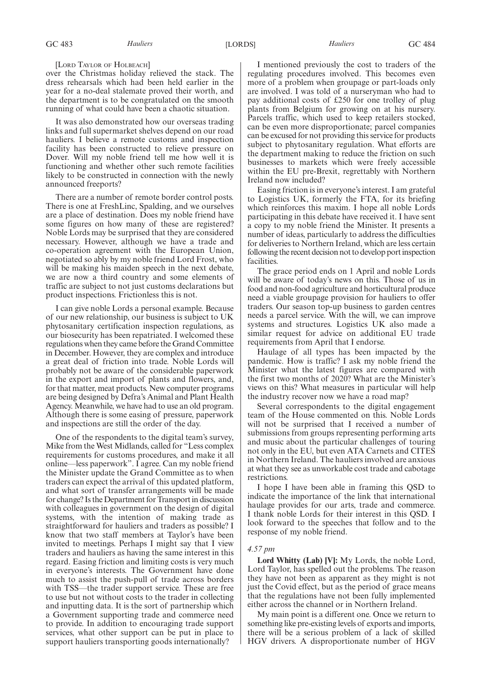#### [LORD TAYLOR OF HOLBEACH]

over the Christmas holiday relieved the stack. The dress rehearsals which had been held earlier in the year for a no-deal stalemate proved their worth, and the department is to be congratulated on the smooth running of what could have been a chaotic situation.

It was also demonstrated how our overseas trading links and full supermarket shelves depend on our road hauliers. I believe a remote customs and inspection facility has been constructed to relieve pressure on Dover. Will my noble friend tell me how well it is functioning and whether other such remote facilities likely to be constructed in connection with the newly announced freeports?

There are a number of remote border control posts. There is one at FreshLinc, Spalding, and we ourselves are a place of destination. Does my noble friend have some figures on how many of these are registered? Noble Lords may be surprised that they are considered necessary. However, although we have a trade and co-operation agreement with the European Union, negotiated so ably by my noble friend Lord Frost, who will be making his maiden speech in the next debate, we are now a third country and some elements of traffic are subject to not just customs declarations but product inspections. Frictionless this is not.

I can give noble Lords a personal example. Because of our new relationship, our business is subject to UK phytosanitary certification inspection regulations, as our biosecurity has been repatriated. I welcomed these regulations when they came before the Grand Committee in December. However, they are complex and introduce a great deal of friction into trade. Noble Lords will probably not be aware of the considerable paperwork in the export and import of plants and flowers, and, for that matter, meat products. New computer programs are being designed by Defra's Animal and Plant Health Agency. Meanwhile, we have had to use an old program. Although there is some easing of pressure, paperwork and inspections are still the order of the day.

One of the respondents to the digital team's survey, Mike from the West Midlands, called for "Less complex requirements for customs procedures, and make it all online—less paperwork". I agree. Can my noble friend the Minister update the Grand Committee as to when traders can expect the arrival of this updated platform, and what sort of transfer arrangements will be made for change? Is the Department for Transport in discussion with colleagues in government on the design of digital systems, with the intention of making trade as straightforward for hauliers and traders as possible? I know that two staff members at Taylor's have been invited to meetings. Perhaps I might say that I view traders and hauliers as having the same interest in this regard. Easing friction and limiting costs is very much in everyone's interests. The Government have done much to assist the push-pull of trade across borders with TSS—the trader support service. These are free to use but not without costs to the trader in collecting and inputting data. It is the sort of partnership which a Government supporting trade and commerce need to provide. In addition to encouraging trade support services, what other support can be put in place to support hauliers transporting goods internationally?

I mentioned previously the cost to traders of the regulating procedures involved. This becomes even more of a problem when groupage or part-loads only are involved. I was told of a nurseryman who had to pay additional costs of £250 for one trolley of plug plants from Belgium for growing on at his nursery. Parcels traffic, which used to keep retailers stocked, can be even more disproportionate; parcel companies can be excused for not providing this service for products subject to phytosanitary regulation. What efforts are the department making to reduce the friction on such businesses to markets which were freely accessible within the EU pre-Brexit, regrettably with Northern Ireland now included?

Easing friction is in everyone's interest. I am grateful to Logistics UK, formerly the FTA, for its briefing which reinforces this maxim. I hope all noble Lords participating in this debate have received it. I have sent a copy to my noble friend the Minister. It presents a number of ideas, particularly to address the difficulties for deliveries to Northern Ireland, which are less certain following the recent decision not to develop port inspection facilities.

The grace period ends on 1 April and noble Lords will be aware of today's news on this. Those of us in food and non-food agriculture and horticultural produce need a viable groupage provision for hauliers to offer traders. Our season top-up business to garden centres needs a parcel service. With the will, we can improve systems and structures. Logistics UK also made a similar request for advice on additional EU trade requirements from April that I endorse.

Haulage of all types has been impacted by the pandemic. How is traffic? I ask my noble friend the Minister what the latest figures are compared with the first two months of 2020? What are the Minister's views on this? What measures in particular will help the industry recover now we have a road map?

Several correspondents to the digital engagement team of the House commented on this. Noble Lords will not be surprised that I received a number of submissions from groups representing performing arts and music about the particular challenges of touring not only in the EU, but even ATA Carnets and CITES in Northern Ireland. The hauliers involved are anxious at what they see as unworkable cost trade and cabotage restrictions.

I hope I have been able in framing this QSD to indicate the importance of the link that international haulage provides for our arts, trade and commerce. I thank noble Lords for their interest in this QSD. I look forward to the speeches that follow and to the response of my noble friend.

#### *4.57 pm*

**Lord Whitty (Lab) [V]:** My Lords, the noble Lord, Lord Taylor, has spelled out the problems. The reason they have not been as apparent as they might is not just the Covid effect, but as the period of grace means that the regulations have not been fully implemented either across the channel or in Northern Ireland.

My main point is a different one. Once we return to something like pre-existing levels of exports and imports, there will be a serious problem of a lack of skilled HGV drivers. A disproportionate number of HGV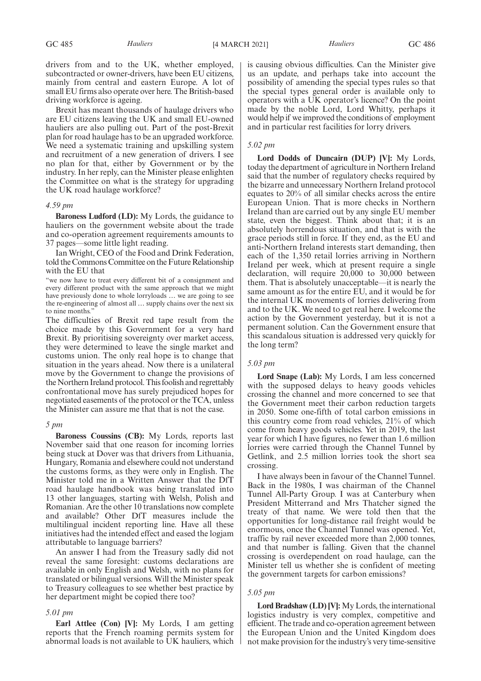GC 485 *Hauliers* [4 MARCH 2021] *Hauliers* GC 486

drivers from and to the UK, whether employed, subcontracted or owner-drivers, have been EU citizens, mainly from central and eastern Europe. A lot of small EU firms also operate over here. The British-based driving workforce is ageing.

Brexit has meant thousands of haulage drivers who are EU citizens leaving the UK and small EU-owned hauliers are also pulling out. Part of the post-Brexit plan for road haulage has to be an upgraded workforce. We need a systematic training and upskilling system and recruitment of a new generation of drivers. I see no plan for that, either by Government or by the industry. In her reply, can the Minister please enlighten the Committee on what is the strategy for upgrading the UK road haulage workforce?

#### *4.59 pm*

**Baroness Ludford (LD):** My Lords, the guidance to hauliers on the government website about the trade and co-operation agreement requirements amounts to 37 pages—some little light reading.

Ian Wright, CEO of the Food and Drink Federation, told the Commons Committee on the Future Relationship with the EU that

"we now have to treat every different bit of a consignment and every different product with the same approach that we might have previously done to whole lorryloads … we are going to see the re-engineering of almost all … supply chains over the next six to nine months."

The difficulties of Brexit red tape result from the choice made by this Government for a very hard Brexit. By prioritising sovereignty over market access, they were determined to leave the single market and customs union. The only real hope is to change that situation in the years ahead. Now there is a unilateral move by the Government to change the provisions of the Northern Ireland protocol. This foolish and regrettably confrontational move has surely prejudiced hopes for negotiated easements of the protocol or the TCA, unless the Minister can assure me that that is not the case.

#### *5 pm*

**Baroness Coussins (CB):** My Lords, reports last November said that one reason for incoming lorries being stuck at Dover was that drivers from Lithuania, Hungary, Romania and elsewhere could not understand the customs forms, as they were only in English. The Minister told me in a Written Answer that the DfT road haulage handbook was being translated into 13 other languages, starting with Welsh, Polish and Romanian. Are the other 10 translations now complete and available? Other DfT measures include the multilingual incident reporting line. Have all these initiatives had the intended effect and eased the logjam attributable to language barriers?

An answer I had from the Treasury sadly did not reveal the same foresight: customs declarations are available in only English and Welsh, with no plans for translated or bilingual versions. Will the Minister speak to Treasury colleagues to see whether best practice by her department might be copied there too?

#### *5.01 pm*

**Earl Attlee (Con) [V]:** My Lords, I am getting reports that the French roaming permits system for abnormal loads is not available to UK hauliers, which is causing obvious difficulties. Can the Minister give us an update, and perhaps take into account the possibility of amending the special types rules so that the special types general order is available only to operators with a UK operator's licence? On the point made by the noble Lord, Lord Whitty, perhaps it would help if we improved the conditions of employment and in particular rest facilities for lorry drivers.

#### *5.02 pm*

**Lord Dodds of Duncairn (DUP) [V]:** My Lords, today the department of agriculture in Northern Ireland said that the number of regulatory checks required by the bizarre and unnecessary Northern Ireland protocol equates to 20% of all similar checks across the entire European Union. That is more checks in Northern Ireland than are carried out by any single EU member state, even the biggest. Think about that; it is an absolutely horrendous situation, and that is with the grace periods still in force. If they end, as the EU and anti-Northern Ireland interests start demanding, then each of the 1,350 retail lorries arriving in Northern Ireland per week, which at present require a single declaration, will require 20,000 to 30,000 between them. That is absolutely unacceptable—it is nearly the same amount as for the entire EU, and it would be for the internal UK movements of lorries delivering from and to the UK. We need to get real here. I welcome the action by the Government yesterday, but it is not a permanent solution. Can the Government ensure that this scandalous situation is addressed very quickly for the long term?

#### *5.03 pm*

**Lord Snape (Lab):** My Lords, I am less concerned with the supposed delays to heavy goods vehicles crossing the channel and more concerned to see that the Government meet their carbon reduction targets in 2050. Some one-fifth of total carbon emissions in this country come from road vehicles, 21% of which come from heavy goods vehicles. Yet in 2019, the last year for which I have figures, no fewer than 1.6 million lorries were carried through the Channel Tunnel by Getlink, and 2.5 million lorries took the short sea crossing.

I have always been in favour of the Channel Tunnel. Back in the 1980s, I was chairman of the Channel Tunnel All-Party Group. I was at Canterbury when President Mitterrand and Mrs Thatcher signed the treaty of that name. We were told then that the opportunities for long-distance rail freight would be enormous, once the Channel Tunnel was opened. Yet, traffic by rail never exceeded more than 2,000 tonnes, and that number is falling. Given that the channel crossing is overdependent on road haulage, can the Minister tell us whether she is confident of meeting the government targets for carbon emissions?

#### *5.05 pm*

**Lord Bradshaw (LD) [V]:** My Lords, the international logistics industry is very complex, competitive and efficient. The trade and co-operation agreement between the European Union and the United Kingdom does not make provision for the industry's very time-sensitive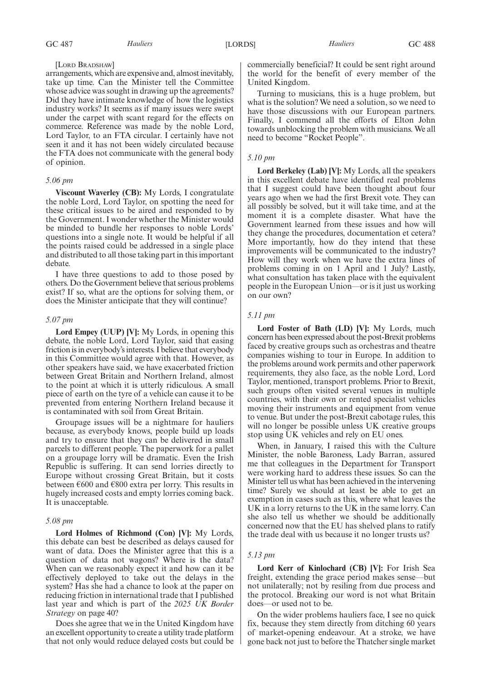#### [LORD BRADSHAW]

arrangements, which are expensive and, almost inevitably, take up time. Can the Minister tell the Committee whose advice was sought in drawing up the agreements? Did they have intimate knowledge of how the logistics industry works? It seems as if many issues were swept under the carpet with scant regard for the effects on commerce. Reference was made by the noble Lord, Lord Taylor, to an FTA circular. I certainly have not seen it and it has not been widely circulated because the FTA does not communicate with the general body of opinion.

#### *5.06 pm*

**Viscount Waverley (CB):** My Lords, I congratulate the noble Lord, Lord Taylor, on spotting the need for these critical issues to be aired and responded to by the Government. I wonder whether the Minister would be minded to bundle her responses to noble Lords' questions into a single note. It would be helpful if all the points raised could be addressed in a single place and distributed to all those taking part in this important debate.

I have three questions to add to those posed by others. Do the Government believe that serious problems exist? If so, what are the options for solving them, or does the Minister anticipate that they will continue?

#### *5.07 pm*

**Lord Empey (UUP) [V]:** My Lords, in opening this debate, the noble Lord, Lord Taylor, said that easing friction is in everybody's interests. I believe that everybody in this Committee would agree with that. However, as other speakers have said, we have exacerbated friction between Great Britain and Northern Ireland, almost to the point at which it is utterly ridiculous. A small piece of earth on the tyre of a vehicle can cause it to be prevented from entering Northern Ireland because it is contaminated with soil from Great Britain.

Groupage issues will be a nightmare for hauliers because, as everybody knows, people build up loads and try to ensure that they can be delivered in small parcels to different people. The paperwork for a pallet on a groupage lorry will be dramatic. Even the Irish Republic is suffering. It can send lorries directly to Europe without crossing Great Britain, but it costs between  $\epsilon$ 600 and  $\epsilon$ 800 extra per lorry. This results in hugely increased costs and empty lorries coming back. It is unacceptable.

#### *5.08 pm*

**Lord Holmes of Richmond (Con) [V]:** My Lords, this debate can best be described as delays caused for want of data. Does the Minister agree that this is a question of data not wagons? Where is the data? When can we reasonably expect it and how can it be effectively deployed to take out the delays in the system? Has she had a chance to look at the paper on reducing friction in international trade that I published last year and which is part of the *2025 UK Border Strategy* on page 40?

Does she agree that we in the United Kingdom have an excellent opportunity to create a utility trade platform that not only would reduce delayed costs but could be commercially beneficial? It could be sent right around the world for the benefit of every member of the United Kingdom.

Turning to musicians, this is a huge problem, but what is the solution? We need a solution, so we need to have those discussions with our European partners. Finally, I commend all the efforts of Elton John towards unblocking the problem with musicians. We all need to become "Rocket People".

#### *5.10 pm*

**Lord Berkeley (Lab) [V]:** My Lords, all the speakers in this excellent debate have identified real problems that I suggest could have been thought about four years ago when we had the first Brexit vote. They can all possibly be solved, but it will take time, and at the moment it is a complete disaster. What have the Government learned from these issues and how will they change the procedures, documentation et cetera? More importantly, how do they intend that these improvements will be communicated to the industry? How will they work when we have the extra lines of problems coming in on 1 April and 1 July? Lastly, what consultation has taken place with the equivalent people in the European Union—or is it just us working on our own?

#### *5.11 pm*

**Lord Foster of Bath (LD) [V]:** My Lords, much concern has been expressed about the post-Brexit problems faced by creative groups such as orchestras and theatre companies wishing to tour in Europe. In addition to the problems around work permits and other paperwork requirements, they also face, as the noble Lord, Lord Taylor, mentioned, transport problems. Prior to Brexit, such groups often visited several venues in multiple countries, with their own or rented specialist vehicles moving their instruments and equipment from venue to venue. But under the post-Brexit cabotage rules, this will no longer be possible unless UK creative groups stop using UK vehicles and rely on EU ones.

When, in January, I raised this with the Culture Minister, the noble Baroness, Lady Barran, assured me that colleagues in the Department for Transport were working hard to address these issues. So can the Minister tell us what has been achieved in the intervening time? Surely we should at least be able to get an exemption in cases such as this, where what leaves the UK in a lorry returns to the UK in the same lorry. Can she also tell us whether we should be additionally concerned now that the EU has shelved plans to ratify the trade deal with us because it no longer trusts us?

#### *5.13 pm*

**Lord Kerr of Kinlochard (CB) [V]:** For Irish Sea freight, extending the grace period makes sense—but not unilaterally; not by resiling from due process and the protocol. Breaking our word is not what Britain does—or used not to be.

On the wider problems hauliers face, I see no quick fix, because they stem directly from ditching 60 years of market-opening endeavour. At a stroke, we have gone back not just to before the Thatcher single market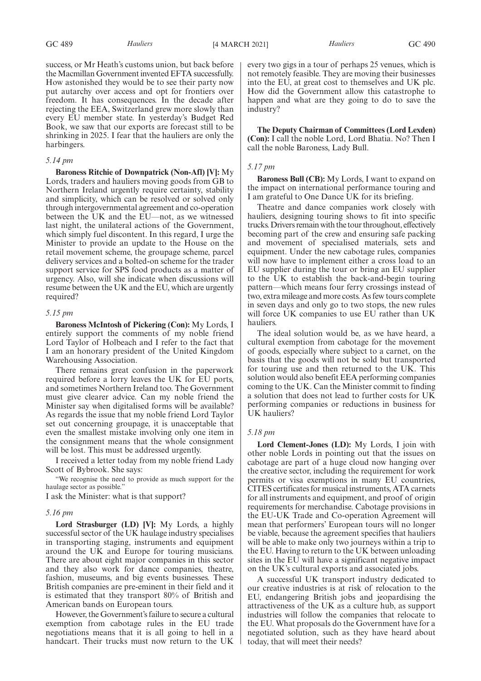success, or Mr Heath's customs union, but back before the Macmillan Government invented EFTA successfully. How astonished they would be to see their party now put autarchy over access and opt for frontiers over freedom. It has consequences. In the decade after rejecting the EEA, Switzerland grew more slowly than every EU member state. In yesterday's Budget Red Book, we saw that our exports are forecast still to be shrinking in 2025. I fear that the hauliers are only the harbingers.

#### *5.14 pm*

**Baroness Ritchie of Downpatrick (Non-Afl) [V]:** My Lords, traders and hauliers moving goods from GB to Northern Ireland urgently require certainty, stability and simplicity, which can be resolved or solved only through intergovernmental agreement and co-operation between the UK and the EU—not, as we witnessed last night, the unilateral actions of the Government, which simply fuel discontent. In this regard, I urge the Minister to provide an update to the House on the retail movement scheme, the groupage scheme, parcel delivery services and a bolted-on scheme for the trader support service for SPS food products as a matter of urgency. Also, will she indicate when discussions will resume between the UK and the EU, which are urgently required?

#### *5.15 pm*

**Baroness McIntosh of Pickering (Con):** My Lords, I entirely support the comments of my noble friend Lord Taylor of Holbeach and I refer to the fact that I am an honorary president of the United Kingdom Warehousing Association.

There remains great confusion in the paperwork required before a lorry leaves the UK for EU ports, and sometimes Northern Ireland too. The Government must give clearer advice. Can my noble friend the Minister say when digitalised forms will be available? As regards the issue that my noble friend Lord Taylor set out concerning groupage, it is unacceptable that even the smallest mistake involving only one item in the consignment means that the whole consignment will be lost. This must be addressed urgently.

I received a letter today from my noble friend Lady Scott of Bybrook. She says:

"We recognise the need to provide as much support for the haulage sector as possible."

I ask the Minister: what is that support?

#### *5.16 pm*

**Lord Strasburger (LD) [V]:** My Lords, a highly successful sector of the UK haulage industry specialises in transporting staging, instruments and equipment around the UK and Europe for touring musicians. There are about eight major companies in this sector and they also work for dance companies, theatre, fashion, museums, and big events businesses. These British companies are pre-eminent in their field and it is estimated that they transport 80% of British and American bands on European tours.

However, the Government's failure to secure a cultural exemption from cabotage rules in the EU trade negotiations means that it is all going to hell in a handcart. Their trucks must now return to the UK every two gigs in a tour of perhaps 25 venues, which is not remotely feasible. They are moving their businesses into the EU, at great cost to themselves and UK plc. How did the Government allow this catastrophe to happen and what are they going to do to save the industry?

**The Deputy Chairman of Committees (Lord Lexden) (Con):** I call the noble Lord, Lord Bhatia. No? Then I call the noble Baroness, Lady Bull.

#### *5.17 pm*

**Baroness Bull (CB):** My Lords, I want to expand on the impact on international performance touring and I am grateful to One Dance UK for its briefing.

Theatre and dance companies work closely with hauliers, designing touring shows to fit into specific trucks. Drivers remain with the tour throughout, effectively becoming part of the crew and ensuring safe packing and movement of specialised materials, sets and equipment. Under the new cabotage rules, companies will now have to implement either a cross load to an EU supplier during the tour or bring an EU supplier to the UK to establish the back-and-begin touring pattern—which means four ferry crossings instead of two, extra mileage and more costs. As few tours complete in seven days and only go to two stops, the new rules will force UK companies to use EU rather than UK hauliers.

The ideal solution would be, as we have heard, a cultural exemption from cabotage for the movement of goods, especially where subject to a carnet, on the basis that the goods will not be sold but transported for touring use and then returned to the UK. This solution would also benefit EEA performing companies coming to the UK. Can the Minister commit to finding a solution that does not lead to further costs for UK performing companies or reductions in business for UK hauliers?

#### *5.18 pm*

**Lord Clement-Jones (LD):** My Lords, I join with other noble Lords in pointing out that the issues on cabotage are part of a huge cloud now hanging over the creative sector, including the requirement for work permits or visa exemptions in many EU countries, CITES certificates for musical instruments, ATA carnets for all instruments and equipment, and proof of origin requirements for merchandise. Cabotage provisions in the EU-UK Trade and Co-operation Agreement will mean that performers' European tours will no longer be viable, because the agreement specifies that hauliers will be able to make only two journeys within a trip to the EU. Having to return to the UK between unloading sites in the EU will have a significant negative impact on the UK's cultural exports and associated jobs.

A successful UK transport industry dedicated to our creative industries is at risk of relocation to the EU, endangering British jobs and jeopardising the attractiveness of the UK as a culture hub, as support industries will follow the companies that relocate to the EU. What proposals do the Government have for a negotiated solution, such as they have heard about today, that will meet their needs?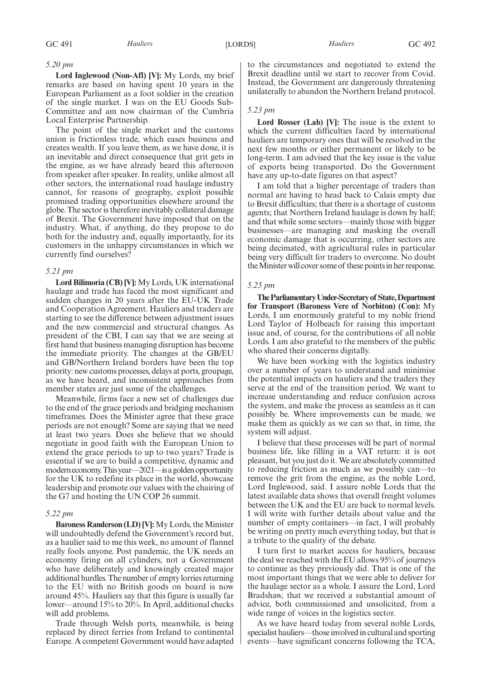#### *5.20 pm*

**Lord Inglewood (Non-Afl) [V]:** My Lords, my brief remarks are based on having spent 10 years in the European Parliament as a foot soldier in the creation of the single market. I was on the EU Goods Sub-Committee and am now chairman of the Cumbria Local Enterprise Partnership.

The point of the single market and the customs union is frictionless trade, which eases business and creates wealth. If you leave them, as we have done, it is an inevitable and direct consequence that grit gets in the engine, as we have already heard this afternoon from speaker after speaker. In reality, unlike almost all other sectors, the international road haulage industry cannot, for reasons of geography, exploit possible promised trading opportunities elsewhere around the globe. The sector is therefore inevitably collateral damage of Brexit. The Government have imposed that on the industry. What, if anything, do they propose to do both for the industry and, equally importantly, for its customers in the unhappy circumstances in which we currently find ourselves?

#### *5.21 pm*

**Lord Bilimoria (CB) [V]:** My Lords, UK international haulage and trade has faced the most significant and sudden changes in 20 years after the EU-UK Trade and Cooperation Agreement. Hauliers and traders are starting to see the difference between adjustment issues and the new commercial and structural changes. As president of the CBI, I can say that we are seeing at first hand that business managing disruption has become the immediate priority. The changes at the GB/EU and GB/Northern Ireland borders have been the top priority: new customs processes, delays at ports, groupage, as we have heard, and inconsistent approaches from member states are just some of the challenges.

Meanwhile, firms face a new set of challenges due to the end of the grace periods and bridging mechanism timeframes. Does the Minister agree that these grace periods are not enough? Some are saying that we need at least two years. Does she believe that we should negotiate in good faith with the European Union to extend the grace periods to up to two years? Trade is essential if we are to build a competitive, dynamic and moderneconomy. This year—2021—is a golden opportunity for the UK to redefine its place in the world, showcase leadership and promote our values with the chairing of the G7 and hosting the UN COP 26 summit.

#### *5.22 pm*

**Baroness Randerson (LD) [V]:** My Lords, the Minister will undoubtedly defend the Government's record but, as a haulier said to me this week, no amount of flannel really fools anyone. Post pandemic, the UK needs an economy firing on all cylinders, not a Government who have deliberately and knowingly created major additional hurdles. The number of empty lorries returning to the EU with no British goods on board is now around 45%. Hauliers say that this figure is usually far lower—around 15% to 20%. In April, additional checks will add problems.

Trade through Welsh ports, meanwhile, is being replaced by direct ferries from Ireland to continental Europe. A competent Government would have adapted to the circumstances and negotiated to extend the Brexit deadline until we start to recover from Covid. Instead, the Government are dangerously threatening unilaterally to abandon the Northern Ireland protocol.

#### *5.23 pm*

**Lord Rosser (Lab) [V]:** The issue is the extent to which the current difficulties faced by international hauliers are temporary ones that will be resolved in the next few months or either permanent or likely to be long-term. I am advised that the key issue is the value of exports being transported. Do the Government have any up-to-date figures on that aspect?

I am told that a higher percentage of traders than normal are having to head back to Calais empty due to Brexit difficulties; that there is a shortage of customs agents; that Northern Ireland haulage is down by half; and that while some sectors—mainly those with bigger businesses—are managing and masking the overall economic damage that is occurring, other sectors are being decimated, with agricultural rules in particular being very difficult for traders to overcome. No doubt the Minister will cover some of these points in her response.

#### *5.25 pm*

**TheParliamentaryUnder-Secretaryof State,Department for Transport (Baroness Vere of Norbiton) (Con):** My Lords, I am enormously grateful to my noble friend Lord Taylor of Holbeach for raising this important issue and, of course, for the contributions of all noble Lords. I am also grateful to the members of the public who shared their concerns digitally.

We have been working with the logistics industry over a number of years to understand and minimise the potential impacts on hauliers and the traders they serve at the end of the transition period. We want to increase understanding and reduce confusion across the system, and make the process as seamless as it can possibly be. Where improvements can be made, we make them as quickly as we can so that, in time, the system will adjust.

I believe that these processes will be part of normal business life, like filling in a VAT return: it is not pleasant, but you just do it. We are absolutely committed to reducing friction as much as we possibly can—to remove the grit from the engine, as the noble Lord, Lord Inglewood, said. I assure noble Lords that the latest available data shows that overall freight volumes between the UK and the EU are back to normal levels. I will write with further details about value and the number of empty containers—in fact, I will probably be writing on pretty much everything today, but that is a tribute to the quality of the debate.

I turn first to market access for hauliers, because the deal we reached with the EU allows 95% of journeys to continue as they previously did. That is one of the most important things that we were able to deliver for the haulage sector as a whole. I assure the Lord, Lord Bradshaw, that we received a substantial amount of advice, both commissioned and unsolicited, from a wide range of voices in the logistics sector.

As we have heard today from several noble Lords, specialist hauliers—those involved in cultural and sporting events—have significant concerns following the TCA,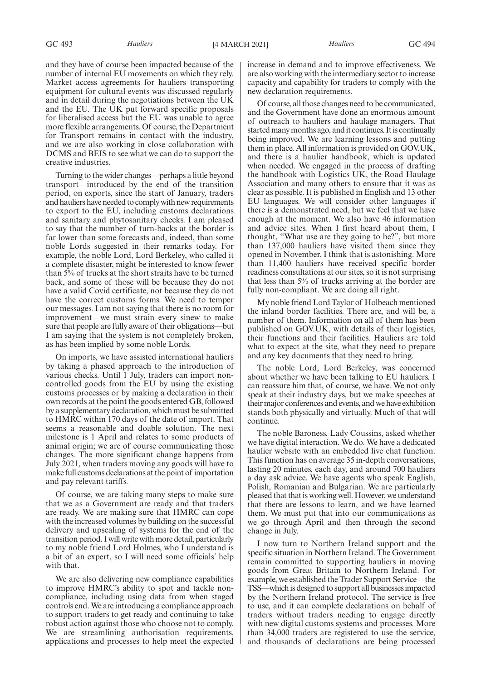and they have of course been impacted because of the number of internal EU movements on which they rely. Market access agreements for hauliers transporting equipment for cultural events was discussed regularly and in detail during the negotiations between the UK and the EU. The UK put forward specific proposals for liberalised access but the EU was unable to agree more flexible arrangements. Of course, the Department for Transport remains in contact with the industry, and we are also working in close collaboration with DCMS and BEIS to see what we can do to support the creative industries.

Turning to the wider changes—perhaps a little beyond transport—introduced by the end of the transition period, on exports, since the start of January, traders and hauliers have needed to comply with new requirements to export to the EU, including customs declarations and sanitary and phytosanitary checks. I am pleased to say that the number of turn-backs at the border is far lower than some forecasts and, indeed, than some noble Lords suggested in their remarks today. For example, the noble Lord, Lord Berkeley, who called it a complete disaster, might be interested to know fewer than 5% of trucks at the short straits have to be turned back, and some of those will be because they do not have a valid Covid certificate, not because they do not have the correct customs forms. We need to temper our messages. I am not saying that there is no room for improvement—we must strain every sinew to make sure that people are fully aware of their obligations—but I am saying that the system is not completely broken, as has been implied by some noble Lords.

On imports, we have assisted international hauliers by taking a phased approach to the introduction of various checks. Until 1 July, traders can import noncontrolled goods from the EU by using the existing customs processes or by making a declaration in their own records at the point the goods entered GB, followed by a supplementary declaration, which must be submitted to HMRC within 170 days of the date of import. That seems a reasonable and doable solution. The next milestone is 1 April and relates to some products of animal origin; we are of course communicating those changes. The more significant change happens from July 2021, when traders moving any goods will have to make full customs declarations at the point of importation and pay relevant tariffs.

Of course, we are taking many steps to make sure that we as a Government are ready and that traders are ready. We are making sure that HMRC can cope with the increased volumes by building on the successful delivery and upscaling of systems for the end of the transition period. I will write with more detail, particularly to my noble friend Lord Holmes, who I understand is a bit of an expert, so I will need some officials' help with that.

We are also delivering new compliance capabilities to improve HMRC's ability to spot and tackle noncompliance, including using data from when staged controls end. We are introducing a compliance approach to support traders to get ready and continuing to take robust action against those who choose not to comply. We are streamlining authorisation requirements, applications and processes to help meet the expected increase in demand and to improve effectiveness. We are also working with the intermediary sector to increase capacity and capability for traders to comply with the new declaration requirements.

Of course, all those changes need to be communicated, and the Government have done an enormous amount of outreach to hauliers and haulage managers. That started many months ago, and it continues. It is continually being improved. We are learning lessons and putting them in place. All information is provided on GOV.UK, and there is a haulier handbook, which is updated when needed. We engaged in the process of drafting the handbook with Logistics UK, the Road Haulage Association and many others to ensure that it was as clear as possible. It is published in English and 13 other EU languages. We will consider other languages if there is a demonstrated need, but we feel that we have enough at the moment. We also have 46 information and advice sites. When I first heard about them, I thought, "What use are they going to be?", but more than 137,000 hauliers have visited them since they opened in November. I think that is astonishing. More than 11,400 hauliers have received specific border readiness consultations at our sites, so it is not surprising that less than 5% of trucks arriving at the border are fully non-compliant. We are doing all right.

My noble friend Lord Taylor of Holbeach mentioned the inland border facilities. There are, and will be, a number of them. Information on all of them has been published on GOV.UK, with details of their logistics, their functions and their facilities. Hauliers are told what to expect at the site, what they need to prepare and any key documents that they need to bring.

The noble Lord, Lord Berkeley, was concerned about whether we have been talking to EU hauliers. I can reassure him that, of course, we have. We not only speak at their industry days, but we make speeches at their major conferences and events, and we have exhibition stands both physically and virtually. Much of that will continue.

The noble Baroness, Lady Coussins, asked whether we have digital interaction. We do. We have a dedicated haulier website with an embedded live chat function. This function has on average 35 in-depth conversations, lasting 20 minutes, each day, and around 700 hauliers a day ask advice. We have agents who speak English, Polish, Romanian and Bulgarian. We are particularly pleased that that is working well. However, we understand that there are lessons to learn, and we have learned them. We must put that into our communications as we go through April and then through the second change in July.

I now turn to Northern Ireland support and the specific situation in Northern Ireland. The Government remain committed to supporting hauliers in moving goods from Great Britain to Northern Ireland. For example, we established the Trader Support Service—the TSS—which is designed to support all businesses impacted by the Northern Ireland protocol. The service is free to use, and it can complete declarations on behalf of traders without traders needing to engage directly with new digital customs systems and processes. More than 34,000 traders are registered to use the service, and thousands of declarations are being processed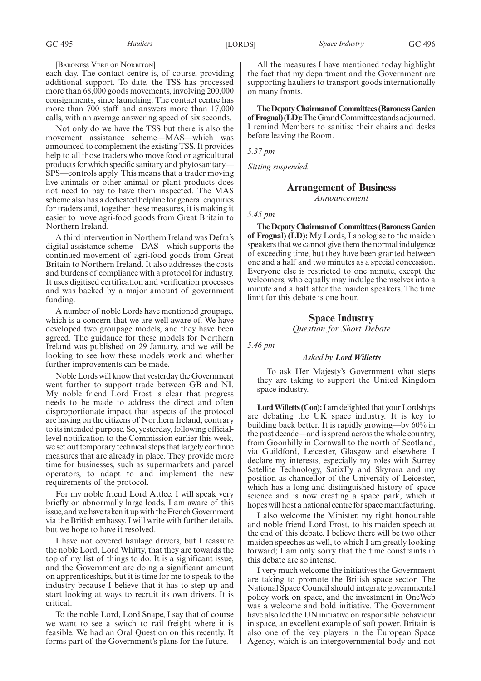[BARONESS VERE OF NORBITON]

each day. The contact centre is, of course, providing additional support. To date, the TSS has processed more than 68,000 goods movements, involving 200,000 consignments, since launching. The contact centre has more than 700 staff and answers more than 17,000 calls, with an average answering speed of six seconds.

Not only do we have the TSS but there is also the movement assistance scheme—MAS—which was announced to complement the existing TSS. It provides help to all those traders who move food or agricultural products for which specific sanitary and phytosanitary— SPS—controls apply. This means that a trader moving live animals or other animal or plant products does not need to pay to have them inspected. The MAS scheme also has a dedicated helpline for general enquiries for traders and, together these measures, it is making it easier to move agri-food goods from Great Britain to Northern Ireland.

A third intervention in Northern Ireland was Defra's digital assistance scheme—DAS—which supports the continued movement of agri-food goods from Great Britain to Northern Ireland. It also addresses the costs and burdens of compliance with a protocol for industry. It uses digitised certification and verification processes and was backed by a major amount of government funding.

A number of noble Lords have mentioned groupage, which is a concern that we are well aware of. We have developed two groupage models, and they have been agreed. The guidance for these models for Northern Ireland was published on 29 January, and we will be looking to see how these models work and whether further improvements can be made.

Noble Lords will know that yesterday the Government went further to support trade between GB and NI. My noble friend Lord Frost is clear that progress needs to be made to address the direct and often disproportionate impact that aspects of the protocol are having on the citizens of Northern Ireland, contrary to its intended purpose. So, yesterday, following officiallevel notification to the Commission earlier this week, we set out temporary technical steps that largely continue measures that are already in place. They provide more time for businesses, such as supermarkets and parcel operators, to adapt to and implement the new requirements of the protocol.

For my noble friend Lord Attlee, I will speak very briefly on abnormally large loads. I am aware of this issue, and we have taken it up with the French Government via the British embassy. I will write with further details, but we hope to have it resolved.

I have not covered haulage drivers, but I reassure the noble Lord, Lord Whitty, that they are towards the top of my list of things to do. It is a significant issue, and the Government are doing a significant amount on apprenticeships, but it is time for me to speak to the industry because I believe that it has to step up and start looking at ways to recruit its own drivers. It is critical.

To the noble Lord, Lord Snape, I say that of course we want to see a switch to rail freight where it is feasible. We had an Oral Question on this recently. It forms part of the Government's plans for the future.

All the measures I have mentioned today highlight the fact that my department and the Government are supporting hauliers to transport goods internationally on many fronts.

**TheDeputyChairmanof Committees(BaronessGarden** of Frognal) (LD): The Grand Committee stands adjourned. I remind Members to sanitise their chairs and desks before leaving the Room.

*5.37 pm*

*Sitting suspended.*

#### **Arrangement of Business**

*Announcement*

*5.45 pm*

**The Deputy Chairman of Committees (Baroness Garden of Frognal) (LD):** My Lords, I apologise to the maiden speakers that we cannot give them the normal indulgence of exceeding time, but they have been granted between one and a half and two minutes as a special concession. Everyone else is restricted to one minute, except the welcomers, who equally may indulge themselves into a minute and a half after the maiden speakers. The time limit for this debate is one hour.

### **Space Industry**

*Question for Short Debate*

*5.46 pm*

#### *Asked by Lord Willetts*

To ask Her Majesty's Government what steps they are taking to support the United Kingdom space industry.

**Lord Willetts (Con):**I am delighted that your Lordships are debating the UK space industry. It is key to building back better. It is rapidly growing—by 60% in the past decade—and is spread across the whole country, from Goonhilly in Cornwall to the north of Scotland, via Guildford, Leicester, Glasgow and elsewhere. I declare my interests, especially my roles with Surrey Satellite Technology, SatixFy and Skyrora and my position as chancellor of the University of Leicester, which has a long and distinguished history of space science and is now creating a space park, which it hopes will host a national centre for space manufacturing.

I also welcome the Minister, my right honourable and noble friend Lord Frost, to his maiden speech at the end of this debate. I believe there will be two other maiden speeches as well, to which I am greatly looking forward; I am only sorry that the time constraints in this debate are so intense.

I very much welcome the initiatives the Government are taking to promote the British space sector. The National Space Council should integrate governmental policy work on space, and the investment in OneWeb was a welcome and bold initiative. The Government have also led the UN initiative on responsible behaviour in space, an excellent example of soft power. Britain is also one of the key players in the European Space Agency, which is an intergovernmental body and not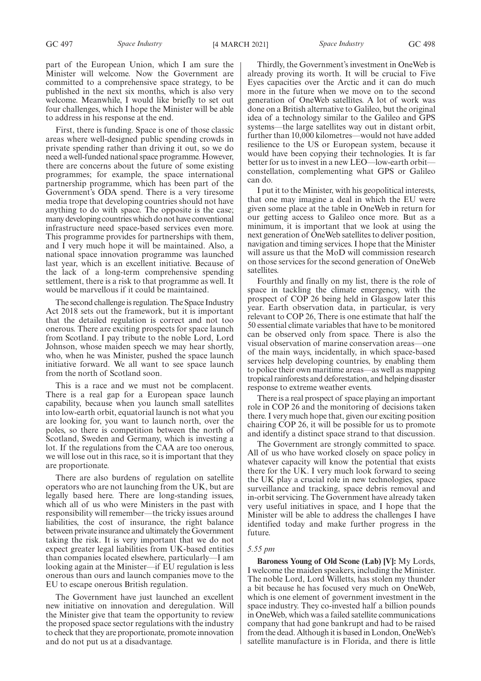GC 497 *Space Industry* [4 MARCH 2021] *Space Industry* GC 498

part of the European Union, which I am sure the Minister will welcome. Now the Government are committed to a comprehensive space strategy, to be published in the next six months, which is also very welcome. Meanwhile, I would like briefly to set out four challenges, which I hope the Minister will be able to address in his response at the end.

First, there is funding. Space is one of those classic areas where well-designed public spending crowds in private spending rather than driving it out, so we do need a well-funded national space programme. However, there are concerns about the future of some existing programmes; for example, the space international partnership programme, which has been part of the Government's ODA spend. There is a very tiresome media trope that developing countries should not have anything to do with space. The opposite is the case; many developing countries which do not have conventional infrastructure need space-based services even more. This programme provides for partnerships with them, and I very much hope it will be maintained. Also, a national space innovation programme was launched last year, which is an excellent initiative. Because of the lack of a long-term comprehensive spending settlement, there is a risk to that programme as well. It would be marvellous if it could be maintained.

The second challenge is regulation. The Space Industry Act 2018 sets out the framework, but it is important that the detailed regulation is correct and not too onerous. There are exciting prospects for space launch from Scotland. I pay tribute to the noble Lord, Lord Johnson, whose maiden speech we may hear shortly, who, when he was Minister, pushed the space launch initiative forward. We all want to see space launch from the north of Scotland soon.

This is a race and we must not be complacent. There is a real gap for a European space launch capability, because when you launch small satellites into low-earth orbit, equatorial launch is not what you are looking for, you want to launch north, over the poles, so there is competition between the north of Scotland, Sweden and Germany, which is investing a lot. If the regulations from the CAA are too onerous, we will lose out in this race, so it is important that they are proportionate.

There are also burdens of regulation on satellite operators who are not launching from the UK, but are legally based here. There are long-standing issues, which all of us who were Ministers in the past with responsibility will remember—the tricky issues around liabilities, the cost of insurance, the right balance between private insurance and ultimately the Government taking the risk. It is very important that we do not expect greater legal liabilities from UK-based entities than companies located elsewhere, particularly—I am looking again at the Minister—if EU regulation is less onerous than ours and launch companies move to the EU to escape onerous British regulation.

The Government have just launched an excellent new initiative on innovation and deregulation. Will the Minister give that team the opportunity to review the proposed space sector regulations with the industry to check that they are proportionate, promote innovation and do not put us at a disadvantage.

Thirdly, the Government's investment in OneWeb is already proving its worth. It will be crucial to Five Eyes capacities over the Arctic and it can do much more in the future when we move on to the second generation of OneWeb satellites. A lot of work was done on a British alternative to Galileo, but the original idea of a technology similar to the Galileo and GPS systems—the large satellites way out in distant orbit, further than 10,000 kilometres—would not have added resilience to the US or European system, because it would have been copying their technologies. It is far better for us to invest in a new LEO—low-earth orbit constellation, complementing what GPS or Galileo can do.

I put it to the Minister, with his geopolitical interests, that one may imagine a deal in which the EU were given some place at the table in OneWeb in return for our getting access to Galileo once more. But as a minimum, it is important that we look at using the next generation of OneWeb satellites to deliver position, navigation and timing services. I hope that the Minister will assure us that the MoD will commission research on those services for the second generation of OneWeb satellites.

Fourthly and finally on my list, there is the role of space in tackling the climate emergency, with the prospect of COP 26 being held in Glasgow later this year. Earth observation data, in particular, is very relevant to COP 26, There is one estimate that half the 50 essential climate variables that have to be monitored can be observed only from space. There is also the visual observation of marine conservation areas—one of the main ways, incidentally, in which space-based services help developing countries, by enabling them to police their own maritime areas—as well as mapping tropical rainforests and deforestation, and helping disaster response to extreme weather events.

There is a real prospect of space playing an important role in COP 26 and the monitoring of decisions taken there. I very much hope that, given our exciting position chairing COP 26, it will be possible for us to promote and identify a distinct space strand to that discussion.

The Government are strongly committed to space. All of us who have worked closely on space policy in whatever capacity will know the potential that exists there for the UK. I very much look forward to seeing the UK play a crucial role in new technologies, space surveillance and tracking, space debris removal and in-orbit servicing. The Government have already taken very useful initiatives in space, and I hope that the Minister will be able to address the challenges I have identified today and make further progress in the future.

#### *5.55 pm*

**Baroness Young of Old Scone (Lab) [V]:** My Lords, I welcome the maiden speakers, including the Minister. The noble Lord, Lord Willetts, has stolen my thunder a bit because he has focused very much on OneWeb, which is one element of government investment in the space industry. They co-invested half a billion pounds in OneWeb, which was a failed satellite communications company that had gone bankrupt and had to be raised from the dead. Although it is based in London, OneWeb's satellite manufacture is in Florida, and there is little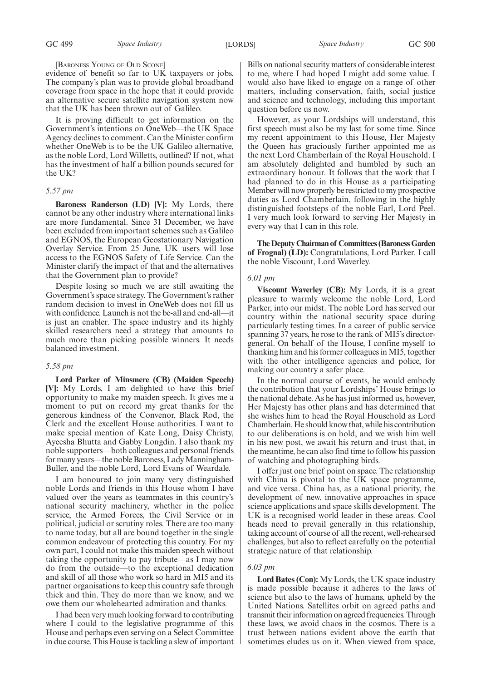[BARONESS YOUNG OF OLD SCONE]

evidence of benefit so far to UK taxpayers or jobs. The company's plan was to provide global broadband coverage from space in the hope that it could provide an alternative secure satellite navigation system now that the UK has been thrown out of Galileo.

It is proving difficult to get information on the Government's intentions on OneWeb—the UK Space Agency declines to comment. Can the Minister confirm whether OneWeb is to be the UK Galileo alternative, as the noble Lord, Lord Willetts, outlined? If not, what has the investment of half a billion pounds secured for the UK?

#### *5.57 pm*

**Baroness Randerson (LD) [V]:** My Lords, there cannot be any other industry where international links are more fundamental. Since 31 December, we have been excluded from important schemes such as Galileo and EGNOS, the European Geostationary Navigation Overlay Service. From 25 June, UK users will lose access to the EGNOS Safety of Life Service. Can the Minister clarify the impact of that and the alternatives that the Government plan to provide?

Despite losing so much we are still awaiting the Government's space strategy. The Government's rather random decision to invest in OneWeb does not fill us with confidence. Launch is not the be-all and end-all—it is just an enabler. The space industry and its highly skilled researchers need a strategy that amounts to much more than picking possible winners. It needs balanced investment.

#### *5.58 pm*

**Lord Parker of Minsmere (CB) (Maiden Speech) [V]:** My Lords, I am delighted to have this brief opportunity to make my maiden speech. It gives me a moment to put on record my great thanks for the generous kindness of the Convenor, Black Rod, the Clerk and the excellent House authorities. I want to make special mention of Kate Long, Daisy Christy, Ayeesha Bhutta and Gabby Longdin. I also thank my noble supporters—both colleagues and personal friends for many years—the noble Baroness, Lady Manningham-Buller, and the noble Lord, Lord Evans of Weardale.

I am honoured to join many very distinguished noble Lords and friends in this House whom I have valued over the years as teammates in this country's national security machinery, whether in the police service, the Armed Forces, the Civil Service or in political, judicial or scrutiny roles. There are too many to name today, but all are bound together in the single common endeavour of protecting this country. For my own part, I could not make this maiden speech without taking the opportunity to pay tribute—as I may now do from the outside—to the exceptional dedication and skill of all those who work so hard in MI5 and its partner organisations to keep this country safe through thick and thin. They do more than we know, and we owe them our wholehearted admiration and thanks.

I had been very much looking forward to contributing where I could to the legislative programme of this House and perhaps even serving on a Select Committee in due course. This House is tackling a slew of important Bills on national security matters of considerable interest to me, where I had hoped I might add some value. I would also have liked to engage on a range of other matters, including conservation, faith, social justice and science and technology, including this important question before us now.

However, as your Lordships will understand, this first speech must also be my last for some time. Since my recent appointment to this House, Her Majesty the Queen has graciously further appointed me as the next Lord Chamberlain of the Royal Household. I am absolutely delighted and humbled by such an extraordinary honour. It follows that the work that I had planned to do in this House as a participating Member will now properly be restricted to my prospective duties as Lord Chamberlain, following in the highly distinguished footsteps of the noble Earl, Lord Peel. I very much look forward to serving Her Majesty in every way that I can in this role.

**The Deputy Chairman of Committees (Baroness Garden of Frognal) (LD):** Congratulations, Lord Parker. I call the noble Viscount, Lord Waverley.

#### *6.01 pm*

**Viscount Waverley (CB):** My Lords, it is a great pleasure to warmly welcome the noble Lord, Lord Parker, into our midst. The noble Lord has served our country within the national security space during particularly testing times. In a career of public service spanning 37 years, he rose to the rank of MI5's directorgeneral. On behalf of the House, I confine myself to thanking him and his former colleagues in MI5, together with the other intelligence agencies and police, for making our country a safer place.

In the normal course of events, he would embody the contribution that your Lordships' House brings to the national debate. As he has just informed us, however, Her Majesty has other plans and has determined that she wishes him to head the Royal Household as Lord Chamberlain. He should know that, while his contribution to our deliberations is on hold, and we wish him well in his new post, we await his return and trust that, in the meantime, he can also find time to follow his passion of watching and photographing birds.

I offer just one brief point on space. The relationship with China is pivotal to the UK space programme, and vice versa. China has, as a national priority, the development of new, innovative approaches in space science applications and space skills development. The UK is a recognised world leader in these areas. Cool heads need to prevail generally in this relationship, taking account of course of all the recent, well-rehearsed challenges, but also to reflect carefully on the potential strategic nature of that relationship.

#### *6.03 pm*

**Lord Bates (Con):** My Lords, the UK space industry is made possible because it adheres to the laws of science but also to the laws of humans, upheld by the United Nations. Satellites orbit on agreed paths and transmit their information on agreed frequencies. Through these laws, we avoid chaos in the cosmos. There is a trust between nations evident above the earth that sometimes eludes us on it. When viewed from space,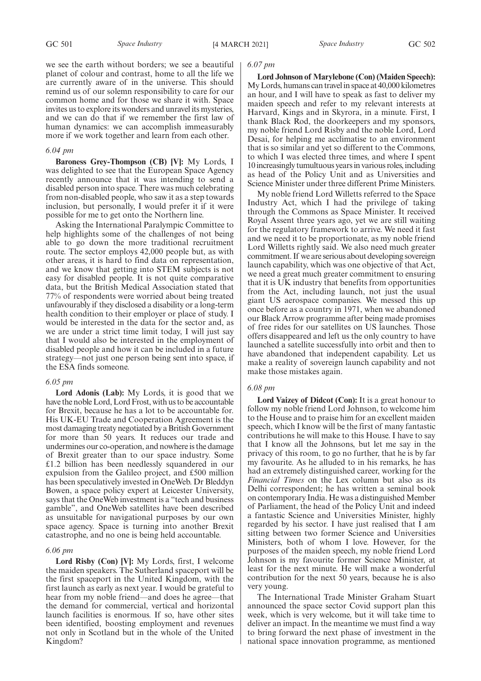we see the earth without borders; we see a beautiful planet of colour and contrast, home to all the life we are currently aware of in the universe. This should remind us of our solemn responsibility to care for our common home and for those we share it with. Space invites us to explore its wonders and unravel its mysteries, and we can do that if we remember the first law of human dynamics: we can accomplish immeasurably more if we work together and learn from each other.

#### *6.04 pm*

**Baroness Grey-Thompson (CB) [V]:** My Lords, I was delighted to see that the European Space Agency recently announce that it was intending to send a disabled person into space. There was much celebrating from non-disabled people, who saw it as a step towards inclusion, but personally, I would prefer it if it were possible for me to get onto the Northern line.

Asking the International Paralympic Committee to help highlights some of the challenges of not being able to go down the more traditional recruitment route. The sector employs 42,000 people but, as with other areas, it is hard to find data on representation, and we know that getting into STEM subjects is not easy for disabled people. It is not quite comparative data, but the British Medical Association stated that 77% of respondents were worried about being treated unfavourably if they disclosed a disability or a long-term health condition to their employer or place of study. I would be interested in the data for the sector and, as we are under a strict time limit today, I will just say that I would also be interested in the employment of disabled people and how it can be included in a future strategy—not just one person being sent into space, if the ESA finds someone.

#### *6.05 pm*

**Lord Adonis (Lab):** My Lords, it is good that we have the noble Lord, Lord Frost, with us to be accountable for Brexit, because he has a lot to be accountable for. His UK-EU Trade and Cooperation Agreement is the most damaging treaty negotiated by a British Government for more than 50 years. It reduces our trade and undermines our co-operation, and nowhere is the damage of Brexit greater than to our space industry. Some £1.2 billion has been needlessly squandered in our expulsion from the Galileo project, and £500 million has been speculatively invested in OneWeb. Dr Bleddyn Bowen, a space policy expert at Leicester University, says that the OneWeb investment is a "tech and business gamble", and OneWeb satellites have been described as unsuitable for navigational purposes by our own space agency. Space is turning into another Brexit catastrophe, and no one is being held accountable.

#### *6.06 pm*

**Lord Risby (Con) [V]:** My Lords, first, I welcome the maiden speakers. The Sutherland spaceport will be the first spaceport in the United Kingdom, with the first launch as early as next year. I would be grateful to hear from my noble friend—and does he agree—that the demand for commercial, vertical and horizontal launch facilities is enormous. If so, have other sites been identified, boosting employment and revenues not only in Scotland but in the whole of the United Kingdom?

#### *6.07 pm*

**Lord Johnson of Marylebone (Con) (Maiden Speech):** My Lords, humans can travel in space at 40,000 kilometres an hour, and I will have to speak as fast to deliver my maiden speech and refer to my relevant interests at Harvard, Kings and in Skyrora, in a minute. First, I thank Black Rod, the doorkeepers and my sponsors, my noble friend Lord Risby and the noble Lord, Lord Desai, for helping me acclimatise to an environment that is so similar and yet so different to the Commons, to which I was elected three times, and where I spent 10 increasingly tumultuous years in various roles, including as head of the Policy Unit and as Universities and Science Minister under three different Prime Ministers.

My noble friend Lord Willetts referred to the Space Industry Act, which I had the privilege of taking through the Commons as Space Minister. It received Royal Assent three years ago, yet we are still waiting for the regulatory framework to arrive. We need it fast and we need it to be proportionate, as my noble friend Lord Willetts rightly said. We also need much greater commitment. If we are serious about developing sovereign launch capability, which was one objective of that Act, we need a great much greater commitment to ensuring that it is UK industry that benefits from opportunities from the Act, including launch, not just the usual giant US aerospace companies. We messed this up once before as a country in 1971, when we abandoned our Black Arrow programme after being made promises of free rides for our satellites on US launches. Those offers disappeared and left us the only country to have launched a satellite successfully into orbit and then to have abandoned that independent capability. Let us make a reality of sovereign launch capability and not make those mistakes again.

#### *6.08 pm*

**Lord Vaizey of Didcot (Con):** It is a great honour to follow my noble friend Lord Johnson, to welcome him to the House and to praise him for an excellent maiden speech, which I know will be the first of many fantastic contributions he will make to this House. I have to say that I know all the Johnsons, but let me say in the privacy of this room, to go no further, that he is by far my favourite. As he alluded to in his remarks, he has had an extremely distinguished career, working for the *Financial Times* on the Lex column but also as its Delhi correspondent; he has written a seminal book on contemporary India. He was a distinguished Member of Parliament, the head of the Policy Unit and indeed a fantastic Science and Universities Minister, highly regarded by his sector. I have just realised that I am sitting between two former Science and Universities Ministers, both of whom I love. However, for the purposes of the maiden speech, my noble friend Lord Johnson is my favourite former Science Minister, at least for the next minute. He will make a wonderful contribution for the next 50 years, because he is also very young.

The International Trade Minister Graham Stuart announced the space sector Covid support plan this week, which is very welcome, but it will take time to deliver an impact. In the meantime we must find a way to bring forward the next phase of investment in the national space innovation programme, as mentioned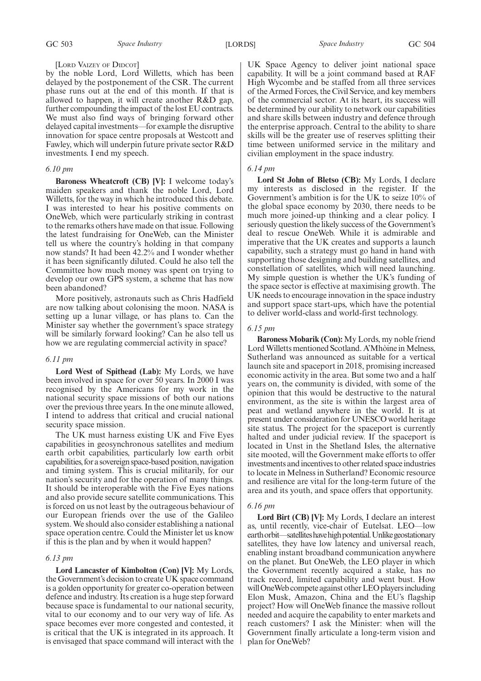GC 503 *Space Industry* [LORDS] *Space Industry* GC 504

#### [LORD VAIZEY OF DIDCOT]

by the noble Lord, Lord Willetts, which has been delayed by the postponement of the CSR. The current phase runs out at the end of this month. If that is allowed to happen, it will create another R&D gap, further compounding the impact of the lost EU contracts. We must also find ways of bringing forward other delayed capital investments—for example the disruptive innovation for space centre proposals at Westcott and Fawley, which will underpin future private sector R&D investments. I end my speech.

#### *6.10 pm*

**Baroness Wheatcroft (CB) [V]:** I welcome today's maiden speakers and thank the noble Lord, Lord Willetts, for the way in which he introduced this debate. I was interested to hear his positive comments on OneWeb, which were particularly striking in contrast to the remarks others have made on that issue. Following the latest fundraising for OneWeb, can the Minister tell us where the country's holding in that company now stands? It had been 42.2% and I wonder whether it has been significantly diluted. Could he also tell the Committee how much money was spent on trying to develop our own GPS system, a scheme that has now been abandoned?

More positively, astronauts such as Chris Hadfield are now talking about colonising the moon. NASA is setting up a lunar village, or has plans to. Can the Minister say whether the government's space strategy will be similarly forward looking? Can he also tell us how we are regulating commercial activity in space?

#### *6.11 pm*

**Lord West of Spithead (Lab):** My Lords, we have been involved in space for over 50 years. In 2000 I was recognised by the Americans for my work in the national security space missions of both our nations over the previous three years. In the one minute allowed, I intend to address that critical and crucial national security space mission.

The UK must harness existing UK and Five Eyes capabilities in geosynchronous satellites and medium earth orbit capabilities, particularly low earth orbit capabilities, for a sovereign space-based position, navigation and timing system. This is crucial militarily, for our nation's security and for the operation of many things. It should be interoperable with the Five Eyes nations and also provide secure satellite communications. This is forced on us not least by the outrageous behaviour of our European friends over the use of the Galileo system. We should also consider establishing a national space operation centre. Could the Minister let us know if this is the plan and by when it would happen?

#### *6.13 pm*

**Lord Lancaster of Kimbolton (Con) [V]:** My Lords, the Government's decision to create UK space command is a golden opportunity for greater co-operation between defence and industry. Its creation is a huge step forward because space is fundamental to our national security, vital to our economy and to our very way of life. As space becomes ever more congested and contested, it is critical that the UK is integrated in its approach. It is envisaged that space command will interact with the

UK Space Agency to deliver joint national space capability. It will be a joint command based at RAF High Wycombe and be staffed from all three services of the Armed Forces, the Civil Service, and key members of the commercial sector. At its heart, its success will be determined by our ability to network our capabilities and share skills between industry and defence through the enterprise approach. Central to the ability to share skills will be the greater use of reserves splitting their time between uniformed service in the military and civilian employment in the space industry.

#### *6.14 pm*

**Lord St John of Bletso (CB):** My Lords, I declare my interests as disclosed in the register. If the Government's ambition is for the UK to seize 10% of the global space economy by 2030, there needs to be much more joined-up thinking and a clear policy. I seriously question the likely success of the Government's deal to rescue OneWeb. While it is admirable and imperative that the UK creates and supports a launch capability, such a strategy must go hand in hand with supporting those designing and building satellites, and constellation of satellites, which will need launching. My simple question is whether the UK's funding of the space sector is effective at maximising growth. The UK needs to encourage innovation in the space industry and support space start-ups, which have the potential to deliver world-class and world-first technology.

#### *6.15 pm*

**Baroness Mobarik (Con):** My Lords, my noble friend Lord Willetts mentioned Scotland. A'Mhòine in Melness, Sutherland was announced as suitable for a vertical launch site and spaceport in 2018, promising increased economic activity in the area. But some two and a half years on, the community is divided, with some of the opinion that this would be destructive to the natural environment, as the site is within the largest area of peat and wetland anywhere in the world. It is at present under consideration for UNESCO world heritage site status. The project for the spaceport is currently halted and under judicial review. If the spaceport is located in Unst in the Shetland Isles, the alternative site mooted, will the Government make efforts to offer investments and incentives to other related space industries to locate in Melness in Sutherland? Economic resource and resilience are vital for the long-term future of the area and its youth, and space offers that opportunity.

#### *6.16 pm*

**Lord Birt (CB) [V]:** My Lords, I declare an interest as, until recently, vice-chair of Eutelsat. LEO—low earth orbit—satellites have high potential. Unlike geostationary satellites, they have low latency and universal reach, enabling instant broadband communication anywhere on the planet. But OneWeb, the LEO player in which the Government recently acquired a stake, has no track record, limited capability and went bust. How will OneWeb compete against other LEO players including Elon Musk, Amazon, China and the EU's flagship project? How will OneWeb finance the massive rollout needed and acquire the capability to enter markets and reach customers? I ask the Minister: when will the Government finally articulate a long-term vision and plan for OneWeb?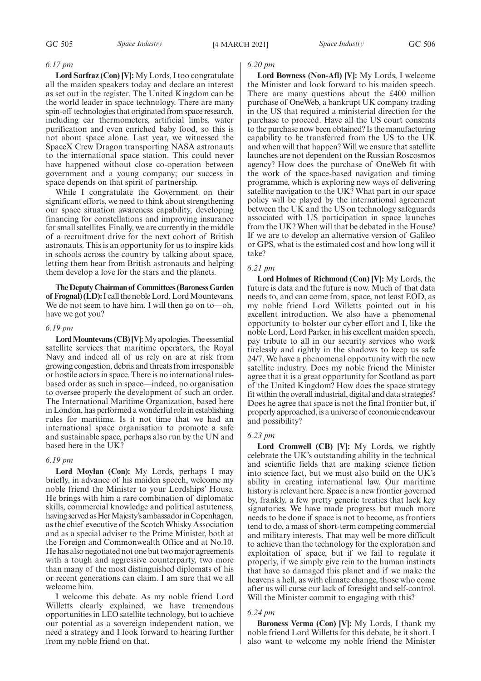#### *6.17 pm*

**Lord Sarfraz (Con) [V]:** My Lords, I too congratulate all the maiden speakers today and declare an interest as set out in the register. The United Kingdom can be the world leader in space technology. There are many spin-off technologies that originated from space research, including ear thermometers, artificial limbs, water purification and even enriched baby food, so this is not about space alone. Last year, we witnessed the SpaceX Crew Dragon transporting NASA astronauts to the international space station. This could never have happened without close co-operation between government and a young company; our success in space depends on that spirit of partnership.

While I congratulate the Government on their significant efforts, we need to think about strengthening our space situation awareness capability, developing financing for constellations and improving insurance for small satellites. Finally, we are currently in the middle of a recruitment drive for the next cohort of British astronauts. This is an opportunity for us to inspire kids in schools across the country by talking about space, letting them hear from British astronauts and helping them develop a love for the stars and the planets.

**The Deputy Chairman of Committees (Baroness Garden of Frognal) (LD):**I call the noble Lord, Lord Mountevans. We do not seem to have him. I will then go on to—oh, have we got you?

#### *6.19 pm*

**Lord Mountevans (CB) [V]:**My apologies. The essential satellite services that maritime operators, the Royal Navy and indeed all of us rely on are at risk from growing congestion, debris and threats from irresponsible or hostile actors in space. There is no international rulesbased order as such in space—indeed, no organisation to oversee properly the development of such an order. The International Maritime Organization, based here in London, has performed a wonderful role in establishing rules for maritime. Is it not time that we had an international space organisation to promote a safe and sustainable space, perhaps also run by the UN and based here in the UK?

#### *6.19 pm*

**Lord Moylan (Con):** My Lords, perhaps I may briefly, in advance of his maiden speech, welcome my noble friend the Minister to your Lordships' House. He brings with him a rare combination of diplomatic skills, commercial knowledge and political astuteness, having served as Her Majesty's ambassador in Copenhagen, as the chief executive of the Scotch Whisky Association and as a special adviser to the Prime Minister, both at the Foreign and Commonwealth Office and at No.10. He has also negotiated not one but two major agreements with a tough and aggressive counterparty, two more than many of the most distinguished diplomats of his or recent generations can claim. I am sure that we all welcome him.

I welcome this debate. As my noble friend Lord Willetts clearly explained, we have tremendous opportunities in LEO satellite technology, but to achieve our potential as a sovereign independent nation, we need a strategy and I look forward to hearing further from my noble friend on that.

#### *6.20 pm*

**Lord Bowness (Non-Afl) [V]:** My Lords, I welcome the Minister and look forward to his maiden speech. There are many questions about the £400 million purchase of OneWeb, a bankrupt UK company trading in the US that required a ministerial direction for the purchase to proceed. Have all the US court consents to the purchase now been obtained? Is the manufacturing capability to be transferred from the US to the UK and when will that happen? Will we ensure that satellite launches are not dependent on the Russian Roscosmos agency? How does the purchase of OneWeb fit with the work of the space-based navigation and timing programme, which is exploring new ways of delivering satellite navigation to the UK? What part in our space policy will be played by the international agreement between the UK and the US on technology safeguards associated with US participation in space launches from the UK? When will that be debated in the House? If we are to develop an alternative version of Galileo or GPS, what is the estimated cost and how long will it take?

#### *6.21 pm*

**Lord Holmes of Richmond (Con) [V]:** My Lords, the future is data and the future is now. Much of that data needs to, and can come from, space, not least EOD, as my noble friend Lord Willetts pointed out in his excellent introduction. We also have a phenomenal opportunity to bolster our cyber effort and I, like the noble Lord, Lord Parker, in his excellent maiden speech, pay tribute to all in our security services who work tirelessly and rightly in the shadows to keep us safe 24/7. We have a phenomenal opportunity with the new satellite industry. Does my noble friend the Minister agree that it is a great opportunity for Scotland as part of the United Kingdom? How does the space strategy fit within the overall industrial, digital and data strategies? Does he agree that space is not the final frontier but, if properly approached, is a universe of economic endeavour and possibility?

#### *6.23 pm*

**Lord Cromwell (CB) [V]:** My Lords, we rightly celebrate the UK's outstanding ability in the technical and scientific fields that are making science fiction into science fact, but we must also build on the UK's ability in creating international law. Our maritime history is relevant here. Space is a new frontier governed by, frankly, a few pretty generic treaties that lack key signatories. We have made progress but much more needs to be done if space is not to become, as frontiers tend to do, a mass of short-term competing commercial and military interests. That may well be more difficult to achieve than the technology for the exploration and exploitation of space, but if we fail to regulate it properly, if we simply give rein to the human instincts that have so damaged this planet and if we make the heavens a hell, as with climate change, those who come after us will curse our lack of foresight and self-control. Will the Minister commit to engaging with this?

#### *6.24 pm*

**Baroness Verma (Con) [V]:** My Lords, I thank my noble friend Lord Willetts for this debate, be it short. I also want to welcome my noble friend the Minister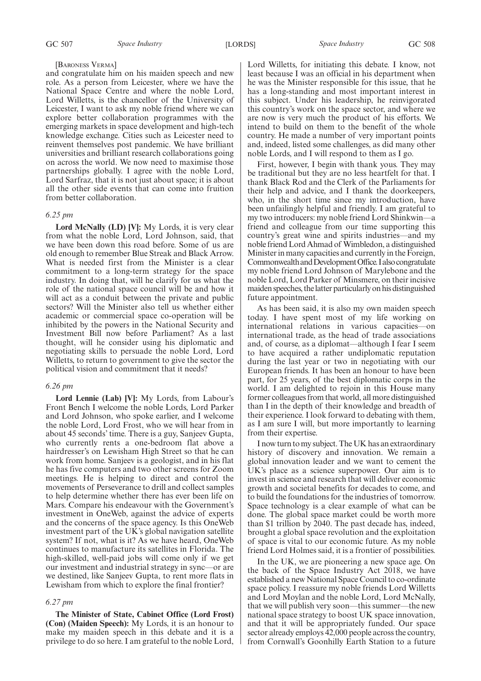#### [BARONESS VERMA]

and congratulate him on his maiden speech and new role. As a person from Leicester, where we have the National Space Centre and where the noble Lord, Lord Willetts, is the chancellor of the University of Leicester, I want to ask my noble friend where we can explore better collaboration programmes with the emerging markets in space development and high-tech knowledge exchange. Cities such as Leicester need to reinvent themselves post pandemic. We have brilliant universities and brilliant research collaborations going on across the world. We now need to maximise those partnerships globally. I agree with the noble Lord, Lord Sarfraz, that it is not just about space; it is about all the other side events that can come into fruition from better collaboration.

#### *6.25 pm*

**Lord McNally (LD) [V]:** My Lords, it is very clear from what the noble Lord, Lord Johnson, said, that we have been down this road before. Some of us are old enough to remember Blue Streak and Black Arrow. What is needed first from the Minister is a clear commitment to a long-term strategy for the space industry. In doing that, will he clarify for us what the role of the national space council will be and how it will act as a conduit between the private and public sectors? Will the Minister also tell us whether either academic or commercial space co-operation will be inhibited by the powers in the National Security and Investment Bill now before Parliament? As a last thought, will he consider using his diplomatic and negotiating skills to persuade the noble Lord, Lord Willetts, to return to government to give the sector the political vision and commitment that it needs?

#### *6.26 pm*

**Lord Lennie (Lab) [V]:** My Lords, from Labour's Front Bench I welcome the noble Lords, Lord Parker and Lord Johnson, who spoke earlier, and I welcome the noble Lord, Lord Frost, who we will hear from in about 45 seconds' time. There is a guy, Sanjeev Gupta, who currently rents a one-bedroom flat above a hairdresser's on Lewisham High Street so that he can work from home. Sanjeev is a geologist, and in his flat he has five computers and two other screens for Zoom meetings. He is helping to direct and control the movements of Perseverance to drill and collect samples to help determine whether there has ever been life on Mars. Compare his endeavour with the Government's investment in OneWeb, against the advice of experts and the concerns of the space agency. Is this OneWeb investment part of the UK's global navigation satellite system? If not, what is it? As we have heard, OneWeb continues to manufacture its satellites in Florida. The high-skilled, well-paid jobs will come only if we get our investment and industrial strategy in sync—or are we destined, like Sanjeev Gupta, to rent more flats in Lewisham from which to explore the final frontier?

#### *6.27 pm*

**The Minister of State, Cabinet Office (Lord Frost) (Con) (Maiden Speech):** My Lords, it is an honour to make my maiden speech in this debate and it is a privilege to do so here. I am grateful to the noble Lord, Lord Willetts, for initiating this debate. I know, not least because I was an official in his department when he was the Minister responsible for this issue, that he has a long-standing and most important interest in this subject. Under his leadership, he reinvigorated this country's work on the space sector, and where we are now is very much the product of his efforts. We intend to build on them to the benefit of the whole country. He made a number of very important points and, indeed, listed some challenges, as did many other noble Lords, and I will respond to them as I go.

First, however, I begin with thank yous. They may be traditional but they are no less heartfelt for that. I thank Black Rod and the Clerk of the Parliaments for their help and advice, and I thank the doorkeepers, who, in the short time since my introduction, have been unfailingly helpful and friendly. I am grateful to my two introducers: my noble friend Lord Shinkwin—a friend and colleague from our time supporting this country's great wine and spirits industries—and my noble friend Lord Ahmad of Wimbledon, a distinguished Minister in many capacities and currently in the Foreign, Commonwealth and Development Office. I also congratulate my noble friend Lord Johnson of Marylebone and the noble Lord, Lord Parker of Minsmere, on their incisive maiden speeches, the latter particularly on his distinguished future appointment.

As has been said, it is also my own maiden speech today. I have spent most of my life working on international relations in various capacitiesinternational trade, as the head of trade associations and, of course, as a diplomat—although I fear I seem to have acquired a rather undiplomatic reputation during the last year or two in negotiating with our European friends. It has been an honour to have been part, for 25 years, of the best diplomatic corps in the world. I am delighted to rejoin in this House many former colleagues from that world, all more distinguished than I in the depth of their knowledge and breadth of their experience. I look forward to debating with them, as I am sure I will, but more importantly to learning from their expertise.

I now turn to my subject. The UK has an extraordinary history of discovery and innovation. We remain a global innovation leader and we want to cement the UK's place as a science superpower. Our aim is to invest in science and research that will deliver economic growth and societal benefits for decades to come, and to build the foundations for the industries of tomorrow. Space technology is a clear example of what can be done. The global space market could be worth more than \$1 trillion by 2040. The past decade has, indeed, brought a global space revolution and the exploitation of space is vital to our economic future. As my noble friend Lord Holmes said, it is a frontier of possibilities.

In the UK, we are pioneering a new space age. On the back of the Space Industry Act 2018, we have established a new National Space Council to co-ordinate space policy. I reassure my noble friends Lord Willetts and Lord Moylan and the noble Lord, Lord McNally, that we will publish very soon—this summer—the new national space strategy to boost UK space innovation, and that it will be appropriately funded. Our space sector already employs 42,000 people across the country, from Cornwall's Goonhilly Earth Station to a future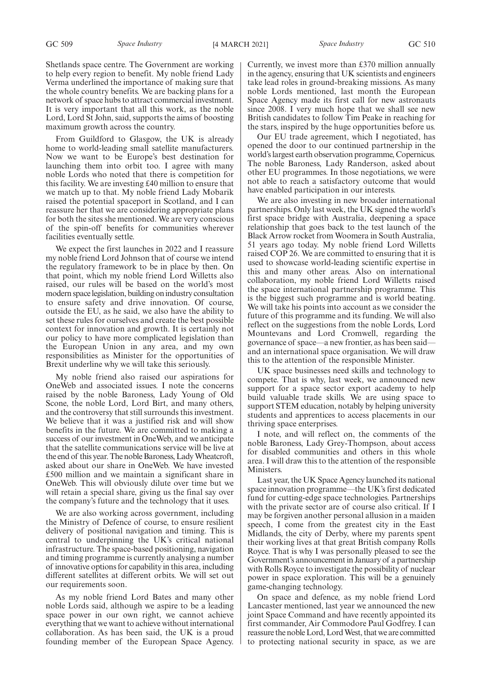Shetlands space centre. The Government are working to help every region to benefit. My noble friend Lady Verma underlined the importance of making sure that the whole country benefits. We are backing plans for a network of space hubs to attract commercial investment. It is very important that all this work, as the noble Lord, Lord St John, said, supports the aims of boosting maximum growth across the country.

From Guildford to Glasgow, the UK is already home to world-leading small satellite manufacturers. Now we want to be Europe's best destination for launching them into orbit too. I agree with many noble Lords who noted that there is competition for this facility. We are investing £40 million to ensure that we match up to that. My noble friend Lady Mobarik raised the potential spaceport in Scotland, and I can reassure her that we are considering appropriate plans for both the sites she mentioned. We are very conscious of the spin-off benefits for communities wherever facilities eventually settle.

We expect the first launches in 2022 and I reassure my noble friend Lord Johnson that of course we intend the regulatory framework to be in place by then. On that point, which my noble friend Lord Willetts also raised, our rules will be based on the world's most modern space legislation, building on industry consultation to ensure safety and drive innovation. Of course, outside the EU, as he said, we also have the ability to set these rules for ourselves and create the best possible context for innovation and growth. It is certainly not our policy to have more complicated legislation than the European Union in any area, and my own responsibilities as Minister for the opportunities of Brexit underline why we will take this seriously.

My noble friend also raised our aspirations for OneWeb and associated issues. I note the concerns raised by the noble Baroness, Lady Young of Old Scone, the noble Lord, Lord Birt, and many others, and the controversy that still surrounds this investment. We believe that it was a justified risk and will show benefits in the future. We are committed to making a success of our investment in OneWeb, and we anticipate that the satellite communications service will be live at the end of this year. The noble Baroness, Lady Wheatcroft, asked about our share in OneWeb. We have invested £500 million and we maintain a significant share in OneWeb. This will obviously dilute over time but we will retain a special share, giving us the final say over the company's future and the technology that it uses.

We are also working across government, including the Ministry of Defence of course, to ensure resilient delivery of positional navigation and timing. This is central to underpinning the UK's critical national infrastructure. The space-based positioning, navigation and timing programme is currently analysing a number of innovative options for capability in this area, including different satellites at different orbits. We will set out our requirements soon.

As my noble friend Lord Bates and many other noble Lords said, although we aspire to be a leading space power in our own right, we cannot achieve everything that we want to achieve without international collaboration. As has been said, the UK is a proud founding member of the European Space Agency.

Currently, we invest more than £370 million annually in the agency, ensuring that UK scientists and engineers take lead roles in ground-breaking missions. As many noble Lords mentioned, last month the European Space Agency made its first call for new astronauts since 2008. I very much hope that we shall see new British candidates to follow Tim Peake in reaching for the stars, inspired by the huge opportunities before us.

Our EU trade agreement, which I negotiated, has opened the door to our continued partnership in the world's largest earth observation programme, Copernicus. The noble Baroness, Lady Randerson, asked about other EU programmes. In those negotiations, we were not able to reach a satisfactory outcome that would have enabled participation in our interests.

We are also investing in new broader international partnerships. Only last week, the UK signed the world's first space bridge with Australia, deepening a space relationship that goes back to the test launch of the Black Arrow rocket from Woomera in South Australia, 51 years ago today. My noble friend Lord Willetts raised COP 26. We are committed to ensuring that it is used to showcase world-leading scientific expertise in this and many other areas. Also on international collaboration, my noble friend Lord Willetts raised the space international partnership programme. This is the biggest such programme and is world beating. We will take his points into account as we consider the future of this programme and its funding. We will also reflect on the suggestions from the noble Lords, Lord Mountevans and Lord Cromwell, regarding the governance of space—a new frontier, as has been said and an international space organisation. We will draw this to the attention of the responsible Minister.

UK space businesses need skills and technology to compete. That is why, last week, we announced new support for a space sector export academy to help build valuable trade skills. We are using space to support STEM education, notably by helping university students and apprentices to access placements in our thriving space enterprises.

I note, and will reflect on, the comments of the noble Baroness, Lady Grey-Thompson, about access for disabled communities and others in this whole area. I will draw this to the attention of the responsible Ministers.

Last year, the UK Space Agency launched its national space innovation programme—the UK's first dedicated fund for cutting-edge space technologies. Partnerships with the private sector are of course also critical. If I may be forgiven another personal allusion in a maiden speech, I come from the greatest city in the East Midlands, the city of Derby, where my parents spent their working lives at that great British company Rolls Royce. That is why I was personally pleased to see the Government's announcement in January of a partnership with Rolls Royce to investigate the possibility of nuclear power in space exploration. This will be a genuinely game-changing technology.

On space and defence, as my noble friend Lord Lancaster mentioned, last year we announced the new joint Space Command and have recently appointed its first commander, Air Commodore Paul Godfrey. I can reassure the noble Lord, Lord West, that we are committed to protecting national security in space, as we are